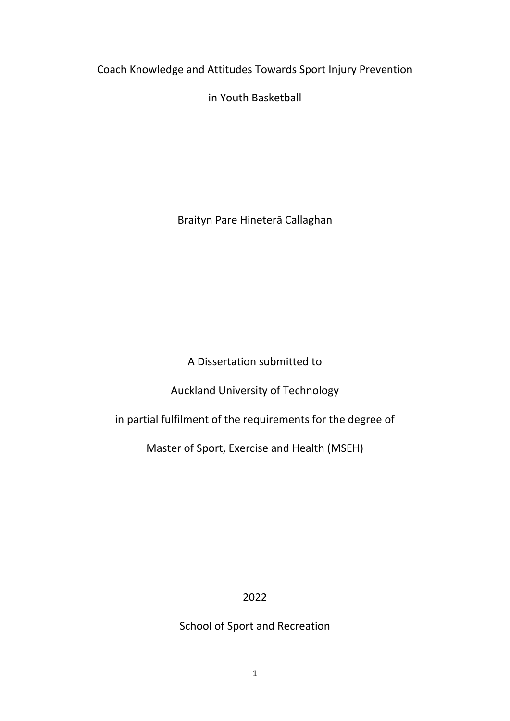<span id="page-0-0"></span>Coach Knowledge and Attitudes Towards Sport Injury Prevention

in Youth Basketball

Braityn Pare Hineterā Callaghan

A Dissertation submitted to

Auckland University of Technology

in partial fulfilment of the requirements for the degree of

Master of Sport, Exercise and Health (MSEH)

2022

School of Sport and Recreation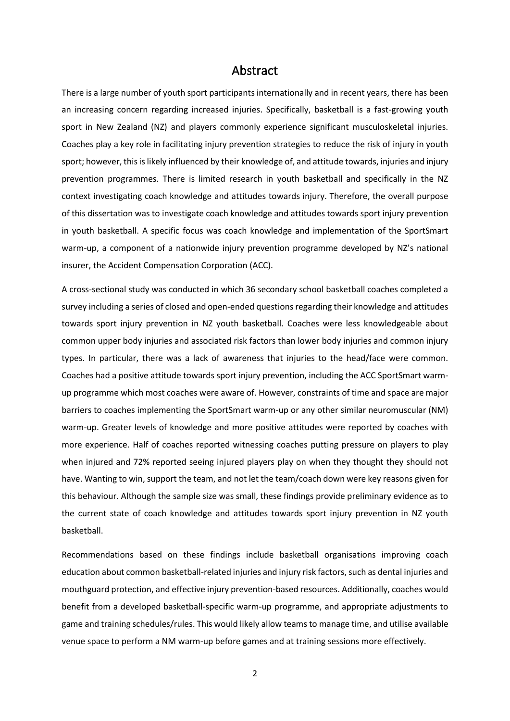### Abstract

<span id="page-1-0"></span>There is a large number of youth sport participants internationally and in recent years, there has been an increasing concern regarding increased injuries. Specifically, basketball is a fast-growing youth sport in New Zealand (NZ) and players commonly experience significant musculoskeletal injuries. Coaches play a key role in facilitating injury prevention strategies to reduce the risk of injury in youth sport; however, this islikely influenced by their knowledge of, and attitude towards, injuries and injury prevention programmes. There is limited research in youth basketball and specifically in the NZ context investigating coach knowledge and attitudes towards injury. Therefore, the overall purpose of this dissertation was to investigate coach knowledge and attitudes towards sport injury prevention in youth basketball. A specific focus was coach knowledge and implementation of the SportSmart warm-up, a component of a nationwide injury prevention programme developed by NZ's national insurer, the Accident Compensation Corporation (ACC).

A cross-sectional study was conducted in which 36 secondary school basketball coaches completed a survey including a series of closed and open-ended questions regarding their knowledge and attitudes towards sport injury prevention in NZ youth basketball. Coaches were less knowledgeable about common upper body injuries and associated risk factors than lower body injuries and common injury types. In particular, there was a lack of awareness that injuries to the head/face were common. Coaches had a positive attitude towards sport injury prevention, including the ACC SportSmart warmup programme which most coaches were aware of. However, constraints of time and space are major barriers to coaches implementing the SportSmart warm-up or any other similar neuromuscular (NM) warm-up. Greater levels of knowledge and more positive attitudes were reported by coaches with more experience. Half of coaches reported witnessing coaches putting pressure on players to play when injured and 72% reported seeing injured players play on when they thought they should not have. Wanting to win, support the team, and not let the team/coach down were key reasons given for this behaviour. Although the sample size was small, these findings provide preliminary evidence as to the current state of coach knowledge and attitudes towards sport injury prevention in NZ youth basketball.

Recommendations based on these findings include basketball organisations improving coach education about common basketball-related injuries and injury risk factors, such as dental injuries and mouthguard protection, and effective injury prevention-based resources. Additionally, coaches would benefit from a developed basketball-specific warm-up programme, and appropriate adjustments to game and training schedules/rules. This would likely allow teams to manage time, and utilise available venue space to perform a NM warm-up before games and at training sessions more effectively.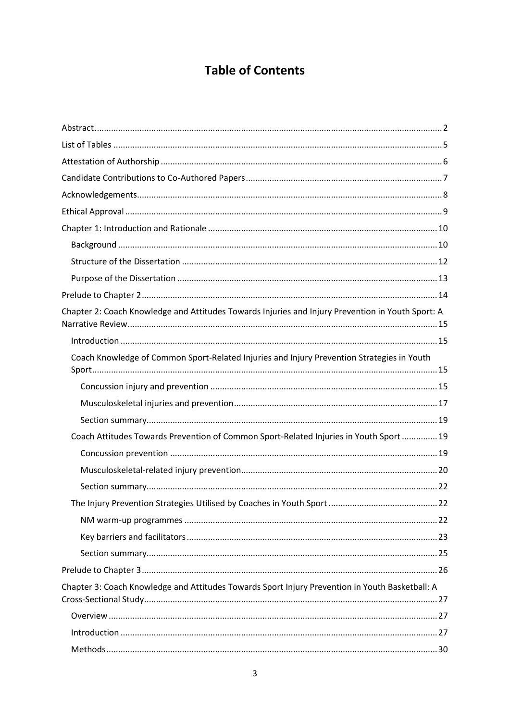### **Table of Contents**

| Chapter 2: Coach Knowledge and Attitudes Towards Injuries and Injury Prevention in Youth Sport: A |
|---------------------------------------------------------------------------------------------------|
|                                                                                                   |
| Coach Knowledge of Common Sport-Related Injuries and Injury Prevention Strategies in Youth        |
|                                                                                                   |
|                                                                                                   |
|                                                                                                   |
| Coach Attitudes Towards Prevention of Common Sport-Related Injuries in Youth Sport  19            |
|                                                                                                   |
|                                                                                                   |
|                                                                                                   |
|                                                                                                   |
|                                                                                                   |
|                                                                                                   |
|                                                                                                   |
|                                                                                                   |
| Chapter 3: Coach Knowledge and Attitudes Towards Sport Injury Prevention in Youth Basketball: A   |
|                                                                                                   |
|                                                                                                   |
|                                                                                                   |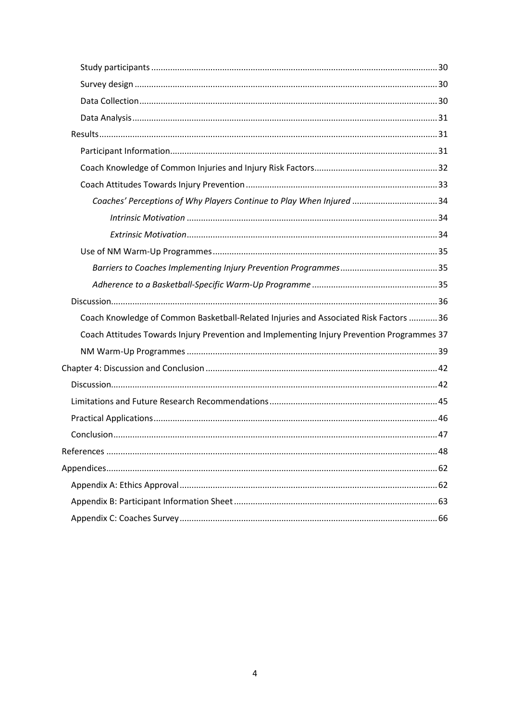| Coaches' Perceptions of Why Players Continue to Play When Injured 34                       |  |
|--------------------------------------------------------------------------------------------|--|
|                                                                                            |  |
|                                                                                            |  |
|                                                                                            |  |
|                                                                                            |  |
|                                                                                            |  |
|                                                                                            |  |
|                                                                                            |  |
| Coach Knowledge of Common Basketball-Related Injuries and Associated Risk Factors  36      |  |
| Coach Attitudes Towards Injury Prevention and Implementing Injury Prevention Programmes 37 |  |
|                                                                                            |  |
|                                                                                            |  |
|                                                                                            |  |
|                                                                                            |  |
|                                                                                            |  |
|                                                                                            |  |
|                                                                                            |  |
|                                                                                            |  |
|                                                                                            |  |
|                                                                                            |  |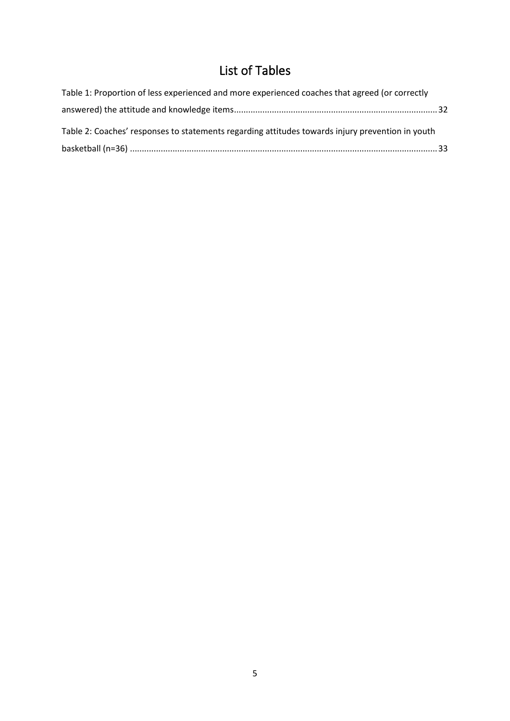## List of Tables

<span id="page-4-0"></span>

| Table 1: Proportion of less experienced and more experienced coaches that agreed (or correctly   |  |
|--------------------------------------------------------------------------------------------------|--|
|                                                                                                  |  |
| Table 2: Coaches' responses to statements regarding attitudes towards injury prevention in youth |  |
|                                                                                                  |  |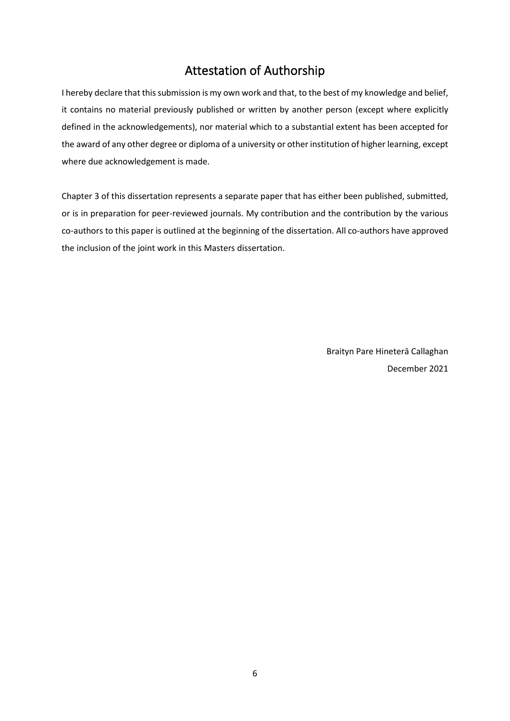### Attestation of Authorship

<span id="page-5-0"></span>I hereby declare that this submission is my own work and that, to the best of my knowledge and belief, it contains no material previously published or written by another person (except where explicitly defined in the acknowledgements), nor material which to a substantial extent has been accepted for the award of any other degree or diploma of a university or other institution of higher learning, except where due acknowledgement is made.

Chapter 3 of this dissertation represents a separate paper that has either been published, submitted, or is in preparation for peer-reviewed journals. My contribution and the contribution by the various co-authors to this paper is outlined at the beginning of the dissertation. All co-authors have approved the inclusion of the joint work in this Masters dissertation.

> Braityn Pare Hineterā Callaghan December 2021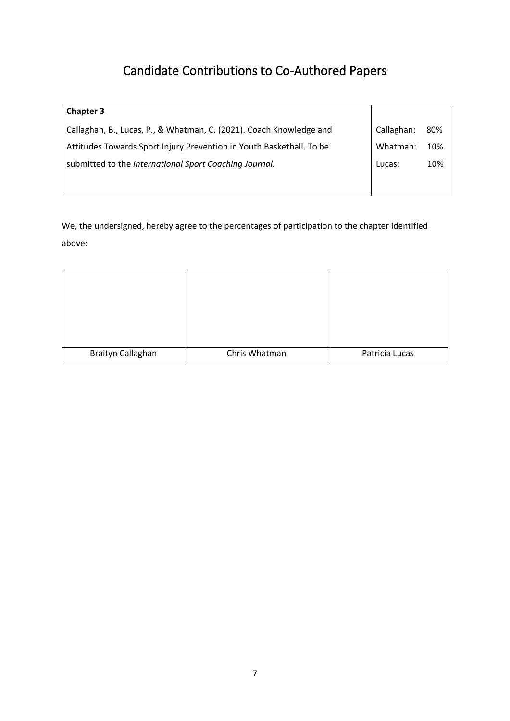## Candidate Contributions to Co-Authored Papers

<span id="page-6-0"></span>

| <b>Chapter 3</b>                                                     |            |     |
|----------------------------------------------------------------------|------------|-----|
| Callaghan, B., Lucas, P., & Whatman, C. (2021). Coach Knowledge and  | Callaghan: | 80% |
| Attitudes Towards Sport Injury Prevention in Youth Basketball. To be | Whatman:   | 10% |
| submitted to the International Sport Coaching Journal.               | Lucas:     | 10% |
|                                                                      |            |     |

We, the undersigned, hereby agree to the percentages of participation to the chapter identified above:

| Braityn Callaghan | Chris Whatman | Patricia Lucas |
|-------------------|---------------|----------------|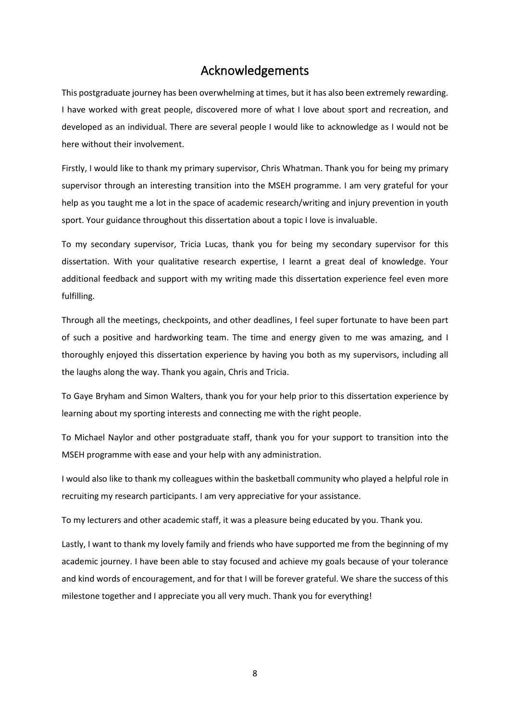### Acknowledgements

<span id="page-7-0"></span>This postgraduate journey has been overwhelming at times, but it has also been extremely rewarding. I have worked with great people, discovered more of what I love about sport and recreation, and developed as an individual. There are several people I would like to acknowledge as I would not be here without their involvement.

Firstly, I would like to thank my primary supervisor, Chris Whatman. Thank you for being my primary supervisor through an interesting transition into the MSEH programme. I am very grateful for your help as you taught me a lot in the space of academic research/writing and injury prevention in youth sport. Your guidance throughout this dissertation about a topic I love is invaluable.

To my secondary supervisor, Tricia Lucas, thank you for being my secondary supervisor for this dissertation. With your qualitative research expertise, I learnt a great deal of knowledge. Your additional feedback and support with my writing made this dissertation experience feel even more fulfilling.

Through all the meetings, checkpoints, and other deadlines, I feel super fortunate to have been part of such a positive and hardworking team. The time and energy given to me was amazing, and I thoroughly enjoyed this dissertation experience by having you both as my supervisors, including all the laughs along the way. Thank you again, Chris and Tricia.

To Gaye Bryham and Simon Walters, thank you for your help prior to this dissertation experience by learning about my sporting interests and connecting me with the right people.

To Michael Naylor and other postgraduate staff, thank you for your support to transition into the MSEH programme with ease and your help with any administration.

I would also like to thank my colleagues within the basketball community who played a helpful role in recruiting my research participants. I am very appreciative for your assistance.

To my lecturers and other academic staff, it was a pleasure being educated by you. Thank you.

Lastly, I want to thank my lovely family and friends who have supported me from the beginning of my academic journey. I have been able to stay focused and achieve my goals because of your tolerance and kind words of encouragement, and for that I will be forever grateful. We share the success of this milestone together and I appreciate you all very much. Thank you for everything!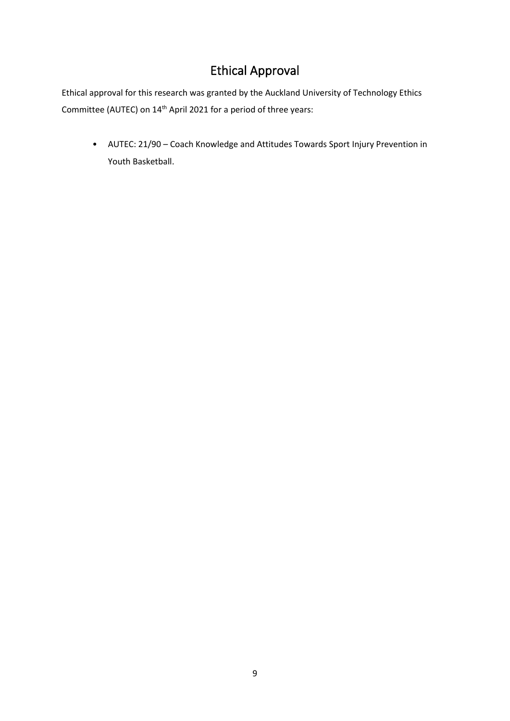### Ethical Approval

<span id="page-8-0"></span>Ethical approval for this research was granted by the Auckland University of Technology Ethics Committee (AUTEC) on 14<sup>th</sup> April 2021 for a period of three years:

• AUTEC: 21/90 – Coach Knowledge and Attitudes Towards Sport Injury Prevention in Youth Basketball.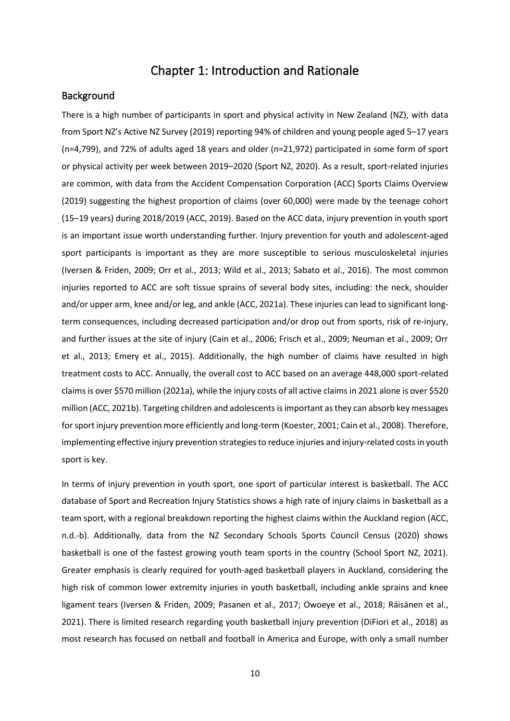### Chapter 1: Introduction and Rationale

#### <span id="page-9-1"></span><span id="page-9-0"></span>Background

There is a high number of participants in sport and physical activity in New Zealand (NZ), with data from Sport NZ's Active NZ Survey (2019) reporting 94% of children and young people aged 5–17 years (n=4,799), and 72% of adults aged 18 years and older (n=21,972) participated in some form of sport or physical activity per week between 2019–2020 (Sport NZ, 2020). As a result, sport-related injuries are common, with data from the Accident Compensation Corporation (ACC) Sports Claims Overview (2019) suggesting the highest proportion of claims (over 60,000) were made by the teenage cohort (15–19 years) during 2018/2019 (ACC, 2019). Based on the ACC data, injury prevention in youth sport is an important issue worth understanding further. Injury prevention for youth and adolescent-aged sport participants is important as they are more susceptible to serious musculoskeletal injuries (Iversen & Friden, 2009; Orr et al., 2013; Wild et al., 2013; Sabato et al., 2016). The most common injuries reported to ACC are soft tissue sprains of several body sites, including: the neck, shoulder and/or upper arm, knee and/or leg, and ankle (ACC, 2021a). These injuries can lead to significant longterm consequences, including decreased participation and/or drop out from sports, risk of re-injury, and further issues at the site of injury (Cain et al., 2006; Frisch et al., 2009; Neuman et al., 2009; Orr et al., 2013; Emery et al., 2015). Additionally, the high number of claims have resulted in high treatment costs to ACC. Annually, the overall cost to ACC based on an average 448,000 sport-related claims is over \$570 million (2021a), while the injury costs of all active claims in 2021 alone is over \$520 million (ACC, 2021b). Targeting children and adolescents is important as they can absorb key messages for sport injury prevention more efficiently and long-term (Koester, 2001; Cain et al., 2008). Therefore, implementing effective injury prevention strategies to reduce injuries and injury-related costs in youth sport is key.

In terms of injury prevention in youth sport, one sport of particular interest is basketball. The ACC database of Sport and Recreation Injury Statistics shows a high rate of injury claims in basketball as a team sport, with a regional breakdown reporting the highest claims within the Auckland region (ACC, n.d.-b). Additionally, data from the NZ Secondary Schools Sports Council Census (2020) shows basketball is one of the fastest growing youth team sports in the country (School Sport NZ, 2021). Greater emphasis is clearly required for youth-aged basketball players in Auckland, considering the high risk of common lower extremity injuries in youth basketball, including ankle sprains and knee ligament tears (Iversen & Friden, 2009; Pasanen et al., 2017; Owoeye et al., 2018; Räisänen et al., 2021). There is limited research regarding youth basketball injury prevention (DiFiori et al., 2018) as most research has focused on netball and football in America and Europe, with only a small number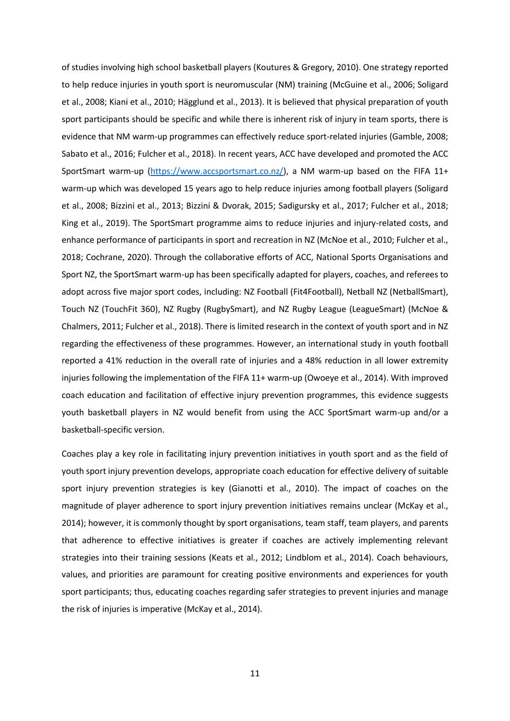of studies involving high school basketball players (Koutures & Gregory, 2010). One strategy reported to help reduce injuries in youth sport is neuromuscular (NM) training (McGuine et al., 2006; Soligard et al., 2008; Kiani et al., 2010; Hägglund et al., 2013). It is believed that physical preparation of youth sport participants should be specific and while there is inherent risk of injury in team sports, there is evidence that NM warm-up programmes can effectively reduce sport-related injuries (Gamble, 2008; Sabato et al., 2016; Fulcher et al., 2018). In recent years, ACC have developed and promoted the ACC SportSmart warm-up [\(https://www.accsportsmart.co.nz/\)](https://www.accsportsmart.co.nz/), a NM warm-up based on the FIFA 11+ warm-up which was developed 15 years ago to help reduce injuries among football players (Soligard et al., 2008; Bizzini et al., 2013; Bizzini & Dvorak, 2015; Sadigursky et al., 2017; Fulcher et al., 2018; King et al., 2019). The SportSmart programme aims to reduce injuries and injury-related costs, and enhance performance of participants in sport and recreation in NZ (McNoe et al., 2010; Fulcher et al., 2018; Cochrane, 2020). Through the collaborative efforts of ACC, National Sports Organisations and Sport NZ, the SportSmart warm-up has been specifically adapted for players, coaches, and referees to adopt across five major sport codes, including: NZ Football (Fit4Football), Netball NZ (NetballSmart), Touch NZ (TouchFit 360), NZ Rugby (RugbySmart), and NZ Rugby League (LeagueSmart) (McNoe & Chalmers, 2011; Fulcher et al., 2018). There is limited research in the context of youth sport and in NZ regarding the effectiveness of these programmes. However, an international study in youth football reported a 41% reduction in the overall rate of injuries and a 48% reduction in all lower extremity injuries following the implementation of the FIFA 11+ warm-up (Owoeye et al., 2014). With improved coach education and facilitation of effective injury prevention programmes, this evidence suggests youth basketball players in NZ would benefit from using the ACC SportSmart warm-up and/or a basketball-specific version.

Coaches play a key role in facilitating injury prevention initiatives in youth sport and as the field of youth sport injury prevention develops, appropriate coach education for effective delivery of suitable sport injury prevention strategies is key (Gianotti et al., 2010). The impact of coaches on the magnitude of player adherence to sport injury prevention initiatives remains unclear (McKay et al., 2014); however, it is commonly thought by sport organisations, team staff, team players, and parents that adherence to effective initiatives is greater if coaches are actively implementing relevant strategies into their training sessions (Keats et al., 2012; Lindblom et al., 2014). Coach behaviours, values, and priorities are paramount for creating positive environments and experiences for youth sport participants; thus, educating coaches regarding safer strategies to prevent injuries and manage the risk of injuries is imperative (McKay et al., 2014).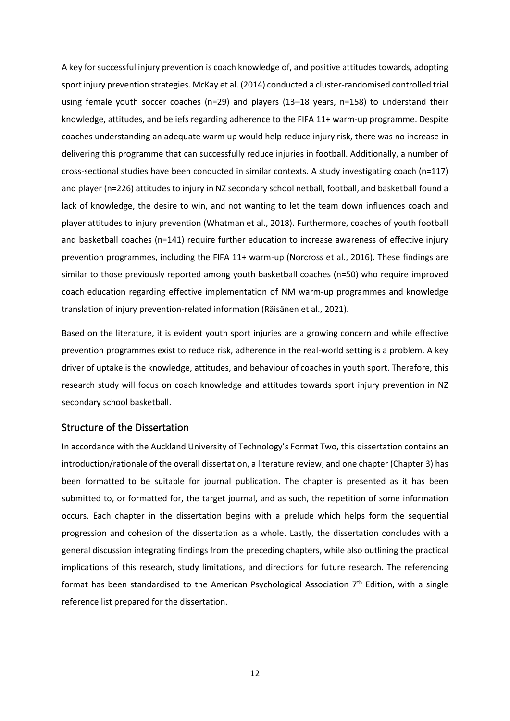A key for successful injury prevention is coach knowledge of, and positive attitudes towards, adopting sport injury prevention strategies. McKay et al. (2014) conducted a cluster-randomised controlled trial using female youth soccer coaches (n=29) and players (13–18 years, n=158) to understand their knowledge, attitudes, and beliefs regarding adherence to the FIFA 11+ warm-up programme. Despite coaches understanding an adequate warm up would help reduce injury risk, there was no increase in delivering this programme that can successfully reduce injuries in football. Additionally, a number of cross-sectional studies have been conducted in similar contexts. A study investigating coach (n=117) and player (n=226) attitudes to injury in NZ secondary school netball, football, and basketball found a lack of knowledge, the desire to win, and not wanting to let the team down influences coach and player attitudes to injury prevention (Whatman et al., 2018). Furthermore, coaches of youth football and basketball coaches (n=141) require further education to increase awareness of effective injury prevention programmes, including the FIFA 11+ warm-up (Norcross et al., 2016). These findings are similar to those previously reported among youth basketball coaches (n=50) who require improved coach education regarding effective implementation of NM warm-up programmes and knowledge translation of injury prevention-related information (Räisänen et al., 2021).

Based on the literature, it is evident youth sport injuries are a growing concern and while effective prevention programmes exist to reduce risk, adherence in the real-world setting is a problem. A key driver of uptake is the knowledge, attitudes, and behaviour of coaches in youth sport. Therefore, this research study will focus on coach knowledge and attitudes towards sport injury prevention in NZ secondary school basketball.

#### <span id="page-11-0"></span>Structure of the Dissertation

In accordance with the Auckland University of Technology's Format Two, this dissertation contains an introduction/rationale of the overall dissertation, a literature review, and one chapter (Chapter 3) has been formatted to be suitable for journal publication. The chapter is presented as it has been submitted to, or formatted for, the target journal, and as such, the repetition of some information occurs. Each chapter in the dissertation begins with a prelude which helps form the sequential progression and cohesion of the dissertation as a whole. Lastly, the dissertation concludes with a general discussion integrating findings from the preceding chapters, while also outlining the practical implications of this research, study limitations, and directions for future research. The referencing format has been standardised to the American Psychological Association  $7<sup>th</sup>$  Edition, with a single reference list prepared for the dissertation.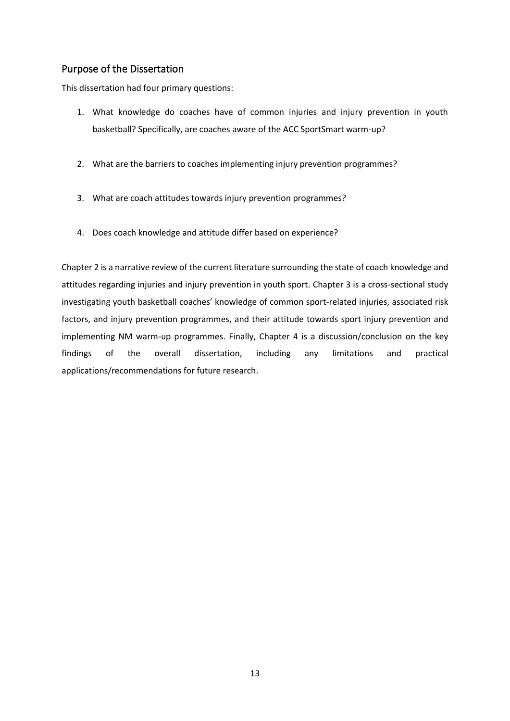### <span id="page-12-0"></span>Purpose of the Dissertation

This dissertation had four primary questions:

- 1. What knowledge do coaches have of common injuries and injury prevention in youth basketball? Specifically, are coaches aware of the ACC SportSmart warm-up?
- 2. What are the barriers to coaches implementing injury prevention programmes?
- 3. What are coach attitudes towards injury prevention programmes?
- 4. Does coach knowledge and attitude differ based on experience?

Chapter 2 is a narrative review of the current literature surrounding the state of coach knowledge and attitudes regarding injuries and injury prevention in youth sport. Chapter 3 is a cross-sectional study investigating youth basketball coaches' knowledge of common sport-related injuries, associated risk factors, and injury prevention programmes, and their attitude towards sport injury prevention and implementing NM warm-up programmes. Finally, Chapter 4 is a discussion/conclusion on the key findings of the overall dissertation, including any limitations and practical applications/recommendations for future research.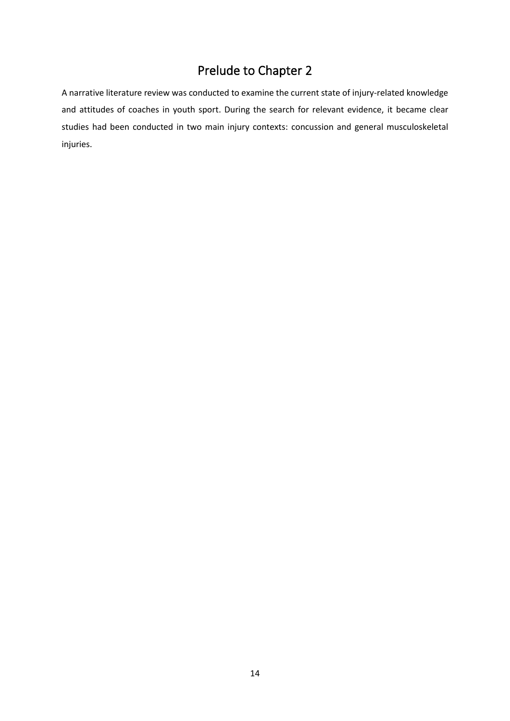### Prelude to Chapter 2

<span id="page-13-0"></span>A narrative literature review was conducted to examine the current state of injury-related knowledge and attitudes of coaches in youth sport. During the search for relevant evidence, it became clear studies had been conducted in two main injury contexts: concussion and general musculoskeletal injuries.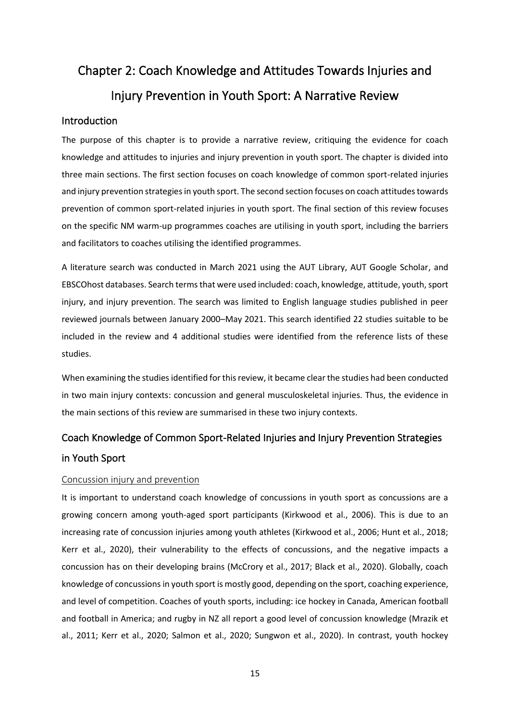# <span id="page-14-0"></span>Chapter 2: Coach Knowledge and Attitudes Towards Injuries and Injury Prevention in Youth Sport: A Narrative Review

#### <span id="page-14-1"></span>Introduction

The purpose of this chapter is to provide a narrative review, critiquing the evidence for coach knowledge and attitudes to injuries and injury prevention in youth sport. The chapter is divided into three main sections. The first section focuses on coach knowledge of common sport-related injuries and injury prevention strategies in youth sport. The second section focuses on coach attitudes towards prevention of common sport-related injuries in youth sport. The final section of this review focuses on the specific NM warm-up programmes coaches are utilising in youth sport, including the barriers and facilitators to coaches utilising the identified programmes.

A literature search was conducted in March 2021 using the AUT Library, AUT Google Scholar, and EBSCOhost databases. Search terms that were used included: coach, knowledge, attitude, youth, sport injury, and injury prevention. The search was limited to English language studies published in peer reviewed journals between January 2000–May 2021. This search identified 22 studies suitable to be included in the review and 4 additional studies were identified from the reference lists of these studies.

When examining the studies identified for this review, it became clear the studies had been conducted in two main injury contexts: concussion and general musculoskeletal injuries. Thus, the evidence in the main sections of this review are summarised in these two injury contexts.

### <span id="page-14-2"></span>Coach Knowledge of Common Sport-Related Injuries and Injury Prevention Strategies in Youth Sport

#### <span id="page-14-3"></span>Concussion injury and prevention

It is important to understand coach knowledge of concussions in youth sport as concussions are a growing concern among youth-aged sport participants (Kirkwood et al., 2006). This is due to an increasing rate of concussion injuries among youth athletes (Kirkwood et al., 2006; Hunt et al., 2018; Kerr et al., 2020), their vulnerability to the effects of concussions, and the negative impacts a concussion has on their developing brains (McCrory et al., 2017; Black et al., 2020). Globally, coach knowledge of concussions in youth sport is mostly good, depending on the sport, coaching experience, and level of competition. Coaches of youth sports, including: ice hockey in Canada, American football and football in America; and rugby in NZ all report a good level of concussion knowledge (Mrazik et al., 2011; Kerr et al., 2020; Salmon et al., 2020; Sungwon et al., 2020). In contrast, youth hockey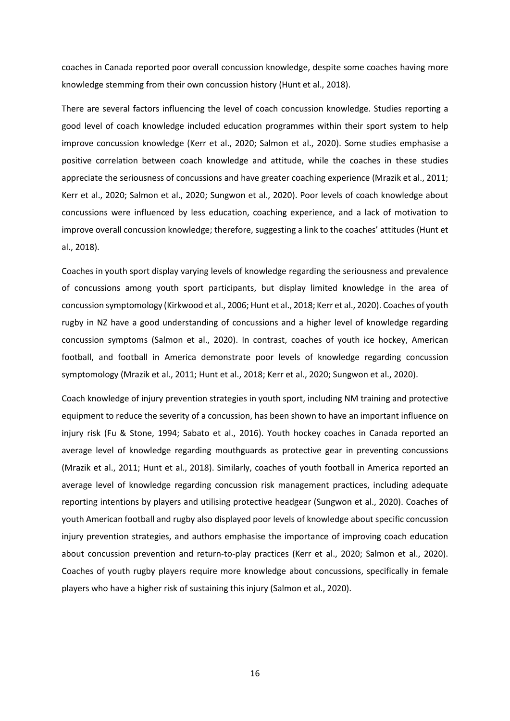coaches in Canada reported poor overall concussion knowledge, despite some coaches having more knowledge stemming from their own concussion history (Hunt et al., 2018).

There are several factors influencing the level of coach concussion knowledge. Studies reporting a good level of coach knowledge included education programmes within their sport system to help improve concussion knowledge (Kerr et al., 2020; Salmon et al., 2020). Some studies emphasise a positive correlation between coach knowledge and attitude, while the coaches in these studies appreciate the seriousness of concussions and have greater coaching experience (Mrazik et al., 2011; Kerr et al., 2020; Salmon et al., 2020; Sungwon et al., 2020). Poor levels of coach knowledge about concussions were influenced by less education, coaching experience, and a lack of motivation to improve overall concussion knowledge; therefore, suggesting a link to the coaches' attitudes (Hunt et al., 2018).

Coaches in youth sport display varying levels of knowledge regarding the seriousness and prevalence of concussions among youth sport participants, but display limited knowledge in the area of concussion symptomology (Kirkwood et al., 2006; Hunt et al., 2018; Kerr et al., 2020). Coaches of youth rugby in NZ have a good understanding of concussions and a higher level of knowledge regarding concussion symptoms (Salmon et al., 2020). In contrast, coaches of youth ice hockey, American football, and football in America demonstrate poor levels of knowledge regarding concussion symptomology (Mrazik et al., 2011; Hunt et al., 2018; Kerr et al., 2020; Sungwon et al., 2020).

Coach knowledge of injury prevention strategies in youth sport, including NM training and protective equipment to reduce the severity of a concussion, has been shown to have an important influence on injury risk (Fu & Stone, 1994; Sabato et al., 2016). Youth hockey coaches in Canada reported an average level of knowledge regarding mouthguards as protective gear in preventing concussions (Mrazik et al., 2011; Hunt et al., 2018). Similarly, coaches of youth football in America reported an average level of knowledge regarding concussion risk management practices, including adequate reporting intentions by players and utilising protective headgear (Sungwon et al., 2020). Coaches of youth American football and rugby also displayed poor levels of knowledge about specific concussion injury prevention strategies, and authors emphasise the importance of improving coach education about concussion prevention and return-to-play practices (Kerr et al., 2020; Salmon et al., 2020). Coaches of youth rugby players require more knowledge about concussions, specifically in female players who have a higher risk of sustaining this injury (Salmon et al., 2020).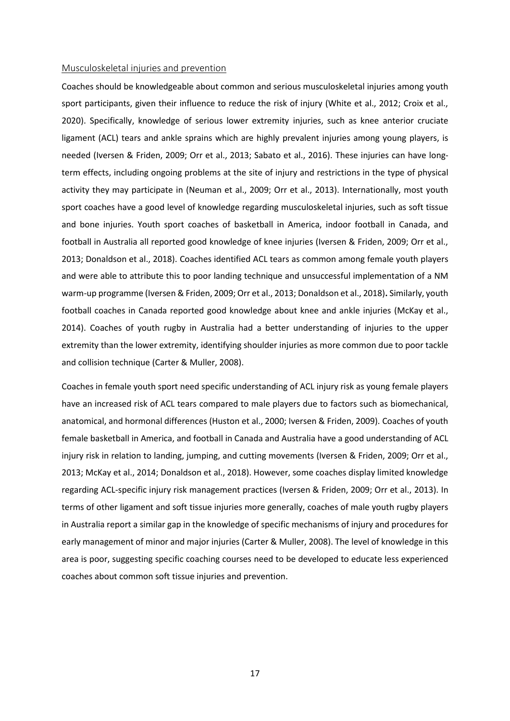#### <span id="page-16-0"></span>Musculoskeletal injuries and prevention

Coaches should be knowledgeable about common and serious musculoskeletal injuries among youth sport participants, given their influence to reduce the risk of injury (White et al., 2012; Croix et al., 2020). Specifically, knowledge of serious lower extremity injuries, such as knee anterior cruciate ligament (ACL) tears and ankle sprains which are highly prevalent injuries among young players, is needed (Iversen & Friden, 2009; Orr et al., 2013; Sabato et al., 2016). These injuries can have longterm effects, including ongoing problems at the site of injury and restrictions in the type of physical activity they may participate in (Neuman et al., 2009; Orr et al., 2013). Internationally, most youth sport coaches have a good level of knowledge regarding musculoskeletal injuries, such as soft tissue and bone injuries. Youth sport coaches of basketball in America, indoor football in Canada, and football in Australia all reported good knowledge of knee injuries (Iversen & Friden, 2009; Orr et al., 2013; Donaldson et al., 2018). Coaches identified ACL tears as common among female youth players and were able to attribute this to poor landing technique and unsuccessful implementation of a NM warm-up programme (Iversen & Friden, 2009; Orr et al., 2013; Donaldson et al., 2018)**.** Similarly, youth football coaches in Canada reported good knowledge about knee and ankle injuries (McKay et al., 2014). Coaches of youth rugby in Australia had a better understanding of injuries to the upper extremity than the lower extremity, identifying shoulder injuries as more common due to poor tackle and collision technique (Carter & Muller, 2008).

Coaches in female youth sport need specific understanding of ACL injury risk as young female players have an increased risk of ACL tears compared to male players due to factors such as biomechanical, anatomical, and hormonal differences (Huston et al., 2000; Iversen & Friden, 2009). Coaches of youth female basketball in America, and football in Canada and Australia have a good understanding of ACL injury risk in relation to landing, jumping, and cutting movements (Iversen & Friden, 2009; Orr et al., 2013; McKay et al., 2014; Donaldson et al., 2018). However, some coaches display limited knowledge regarding ACL-specific injury risk management practices (Iversen & Friden, 2009; Orr et al., 2013). In terms of other ligament and soft tissue injuries more generally, coaches of male youth rugby players in Australia report a similar gap in the knowledge of specific mechanisms of injury and procedures for early management of minor and major injuries (Carter & Muller, 2008). The level of knowledge in this area is poor, suggesting specific coaching courses need to be developed to educate less experienced coaches about common soft tissue injuries and prevention.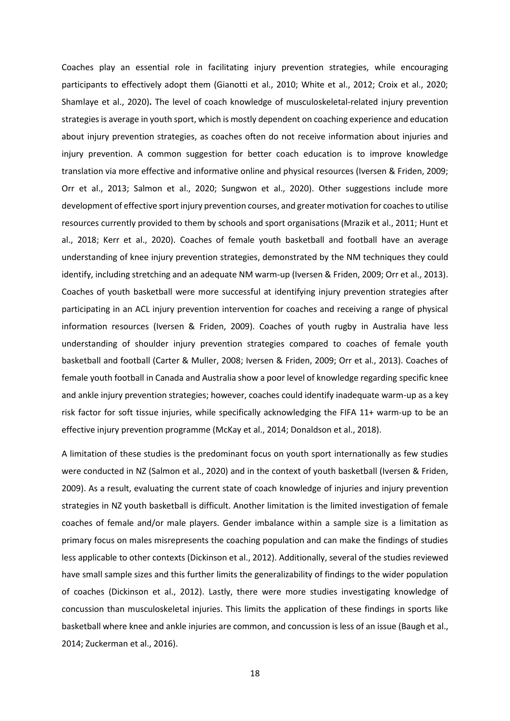Coaches play an essential role in facilitating injury prevention strategies, while encouraging participants to effectively adopt them (Gianotti et al., 2010; White et al., 2012; Croix et al., 2020; Shamlaye et al., 2020)**.** The level of coach knowledge of musculoskeletal-related injury prevention strategies is average in youth sport, which is mostly dependent on coaching experience and education about injury prevention strategies, as coaches often do not receive information about injuries and injury prevention. A common suggestion for better coach education is to improve knowledge translation via more effective and informative online and physical resources (Iversen & Friden, 2009; Orr et al., 2013; Salmon et al., 2020; Sungwon et al., 2020). Other suggestions include more development of effective sport injury prevention courses, and greater motivation for coaches to utilise resources currently provided to them by schools and sport organisations (Mrazik et al., 2011; Hunt et al., 2018; Kerr et al., 2020). Coaches of female youth basketball and football have an average understanding of knee injury prevention strategies, demonstrated by the NM techniques they could identify, including stretching and an adequate NM warm-up (Iversen & Friden, 2009; Orr et al., 2013). Coaches of youth basketball were more successful at identifying injury prevention strategies after participating in an ACL injury prevention intervention for coaches and receiving a range of physical information resources (Iversen & Friden, 2009). Coaches of youth rugby in Australia have less understanding of shoulder injury prevention strategies compared to coaches of female youth basketball and football (Carter & Muller, 2008; Iversen & Friden, 2009; Orr et al., 2013). Coaches of female youth football in Canada and Australia show a poor level of knowledge regarding specific knee and ankle injury prevention strategies; however, coaches could identify inadequate warm-up as a key risk factor for soft tissue injuries, while specifically acknowledging the FIFA 11+ warm-up to be an effective injury prevention programme (McKay et al., 2014; Donaldson et al., 2018).

A limitation of these studies is the predominant focus on youth sport internationally as few studies were conducted in NZ (Salmon et al., 2020) and in the context of youth basketball (Iversen & Friden, 2009). As a result, evaluating the current state of coach knowledge of injuries and injury prevention strategies in NZ youth basketball is difficult. Another limitation is the limited investigation of female coaches of female and/or male players. Gender imbalance within a sample size is a limitation as primary focus on males misrepresents the coaching population and can make the findings of studies less applicable to other contexts (Dickinson et al., 2012). Additionally, several of the studies reviewed have small sample sizes and this further limits the generalizability of findings to the wider population of coaches (Dickinson et al., 2012). Lastly, there were more studies investigating knowledge of concussion than musculoskeletal injuries. This limits the application of these findings in sports like basketball where knee and ankle injuries are common, and concussion is less of an issue (Baugh et al., 2014; Zuckerman et al., 2016).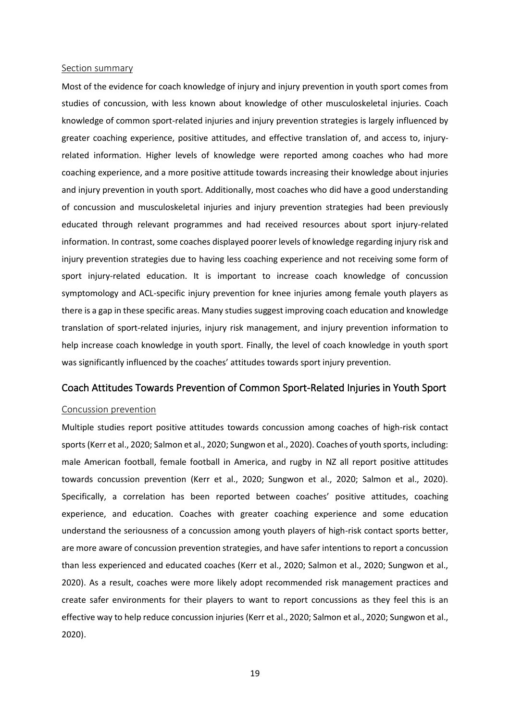#### <span id="page-18-0"></span>Section summary

Most of the evidence for coach knowledge of injury and injury prevention in youth sport comes from studies of concussion, with less known about knowledge of other musculoskeletal injuries. Coach knowledge of common sport-related injuries and injury prevention strategies is largely influenced by greater coaching experience, positive attitudes, and effective translation of, and access to, injuryrelated information. Higher levels of knowledge were reported among coaches who had more coaching experience, and a more positive attitude towards increasing their knowledge about injuries and injury prevention in youth sport. Additionally, most coaches who did have a good understanding of concussion and musculoskeletal injuries and injury prevention strategies had been previously educated through relevant programmes and had received resources about sport injury-related information. In contrast, some coaches displayed poorer levels of knowledge regarding injury risk and injury prevention strategies due to having less coaching experience and not receiving some form of sport injury-related education. It is important to increase coach knowledge of concussion symptomology and ACL-specific injury prevention for knee injuries among female youth players as there is a gap in these specific areas. Many studies suggest improving coach education and knowledge translation of sport-related injuries, injury risk management, and injury prevention information to help increase coach knowledge in youth sport. Finally, the level of coach knowledge in youth sport was significantly influenced by the coaches' attitudes towards sport injury prevention.

#### <span id="page-18-1"></span>Coach Attitudes Towards Prevention of Common Sport-Related Injuries in Youth Sport

#### <span id="page-18-2"></span>Concussion prevention

Multiple studies report positive attitudes towards concussion among coaches of high-risk contact sports (Kerr et al., 2020; Salmon et al., 2020; Sungwon et al., 2020). Coaches of youth sports, including: male American football, female football in America, and rugby in NZ all report positive attitudes towards concussion prevention (Kerr et al., 2020; Sungwon et al., 2020; Salmon et al., 2020). Specifically, a correlation has been reported between coaches' positive attitudes, coaching experience, and education. Coaches with greater coaching experience and some education understand the seriousness of a concussion among youth players of high-risk contact sports better, are more aware of concussion prevention strategies, and have safer intentions to report a concussion than less experienced and educated coaches (Kerr et al., 2020; Salmon et al., 2020; Sungwon et al., 2020). As a result, coaches were more likely adopt recommended risk management practices and create safer environments for their players to want to report concussions as they feel this is an effective way to help reduce concussion injuries (Kerr et al., 2020; Salmon et al., 2020; Sungwon et al., 2020).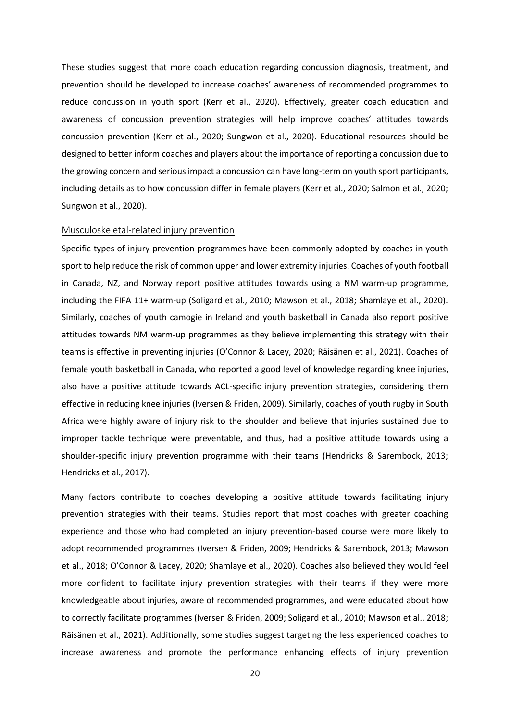These studies suggest that more coach education regarding concussion diagnosis, treatment, and prevention should be developed to increase coaches' awareness of recommended programmes to reduce concussion in youth sport (Kerr et al., 2020). Effectively, greater coach education and awareness of concussion prevention strategies will help improve coaches' attitudes towards concussion prevention (Kerr et al., 2020; Sungwon et al., 2020). Educational resources should be designed to better inform coaches and players about the importance of reporting a concussion due to the growing concern and serious impact a concussion can have long-term on youth sport participants, including details as to how concussion differ in female players (Kerr et al., 2020; Salmon et al., 2020; Sungwon et al., 2020).

#### <span id="page-19-0"></span>Musculoskeletal-related injury prevention

Specific types of injury prevention programmes have been commonly adopted by coaches in youth sport to help reduce the risk of common upper and lower extremity injuries. Coaches of youth football in Canada, NZ, and Norway report positive attitudes towards using a NM warm-up programme, including the FIFA 11+ warm-up (Soligard et al., 2010; Mawson et al., 2018; Shamlaye et al., 2020). Similarly, coaches of youth camogie in Ireland and youth basketball in Canada also report positive attitudes towards NM warm-up programmes as they believe implementing this strategy with their teams is effective in preventing injuries (O'Connor & Lacey, 2020; Räisänen et al., 2021). Coaches of female youth basketball in Canada, who reported a good level of knowledge regarding knee injuries, also have a positive attitude towards ACL-specific injury prevention strategies, considering them effective in reducing knee injuries (Iversen & Friden, 2009). Similarly, coaches of youth rugby in South Africa were highly aware of injury risk to the shoulder and believe that injuries sustained due to improper tackle technique were preventable, and thus, had a positive attitude towards using a shoulder-specific injury prevention programme with their teams (Hendricks & Sarembock, 2013; Hendricks et al., 2017).

Many factors contribute to coaches developing a positive attitude towards facilitating injury prevention strategies with their teams. Studies report that most coaches with greater coaching experience and those who had completed an injury prevention-based course were more likely to adopt recommended programmes (Iversen & Friden, 2009; Hendricks & Sarembock, 2013; Mawson et al., 2018; O'Connor & Lacey, 2020; Shamlaye et al., 2020). Coaches also believed they would feel more confident to facilitate injury prevention strategies with their teams if they were more knowledgeable about injuries, aware of recommended programmes, and were educated about how to correctly facilitate programmes (Iversen & Friden, 2009; Soligard et al., 2010; Mawson et al., 2018; Räisänen et al., 2021). Additionally, some studies suggest targeting the less experienced coaches to increase awareness and promote the performance enhancing effects of injury prevention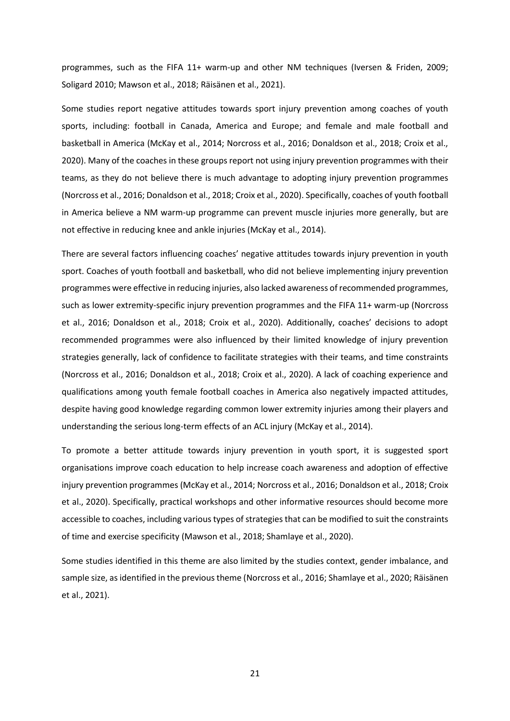programmes, such as the FIFA 11+ warm-up and other NM techniques (Iversen & Friden, 2009; Soligard 2010; Mawson et al., 2018; Räisänen et al., 2021).

Some studies report negative attitudes towards sport injury prevention among coaches of youth sports, including: football in Canada, America and Europe; and female and male football and basketball in America (McKay et al., 2014; Norcross et al., 2016; Donaldson et al., 2018; Croix et al., 2020). Many of the coaches in these groups report not using injury prevention programmes with their teams, as they do not believe there is much advantage to adopting injury prevention programmes (Norcross et al., 2016; Donaldson et al., 2018; Croix et al., 2020). Specifically, coaches of youth football in America believe a NM warm-up programme can prevent muscle injuries more generally, but are not effective in reducing knee and ankle injuries (McKay et al., 2014).

There are several factors influencing coaches' negative attitudes towards injury prevention in youth sport. Coaches of youth football and basketball, who did not believe implementing injury prevention programmes were effective in reducing injuries, also lacked awareness of recommended programmes, such as lower extremity-specific injury prevention programmes and the FIFA 11+ warm-up (Norcross et al., 2016; Donaldson et al., 2018; Croix et al., 2020). Additionally, coaches' decisions to adopt recommended programmes were also influenced by their limited knowledge of injury prevention strategies generally, lack of confidence to facilitate strategies with their teams, and time constraints (Norcross et al., 2016; Donaldson et al., 2018; Croix et al., 2020). A lack of coaching experience and qualifications among youth female football coaches in America also negatively impacted attitudes, despite having good knowledge regarding common lower extremity injuries among their players and understanding the serious long-term effects of an ACL injury (McKay et al., 2014).

To promote a better attitude towards injury prevention in youth sport, it is suggested sport organisations improve coach education to help increase coach awareness and adoption of effective injury prevention programmes (McKay et al., 2014; Norcross et al., 2016; Donaldson et al., 2018; Croix et al., 2020). Specifically, practical workshops and other informative resources should become more accessible to coaches, including various types of strategies that can be modified to suit the constraints of time and exercise specificity (Mawson et al., 2018; Shamlaye et al., 2020).

Some studies identified in this theme are also limited by the studies context, gender imbalance, and sample size, as identified in the previous theme (Norcross et al., 2016; Shamlaye et al., 2020; Räisänen et al., 2021).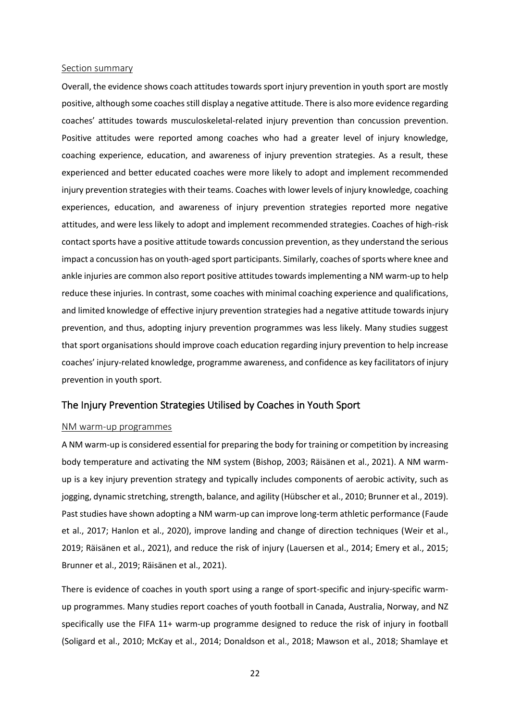#### <span id="page-21-0"></span>Section summary

Overall, the evidence shows coach attitudes towards sport injury prevention in youth sport are mostly positive, although some coaches still display a negative attitude. There is also more evidence regarding coaches' attitudes towards musculoskeletal-related injury prevention than concussion prevention. Positive attitudes were reported among coaches who had a greater level of injury knowledge, coaching experience, education, and awareness of injury prevention strategies. As a result, these experienced and better educated coaches were more likely to adopt and implement recommended injury prevention strategies with their teams. Coaches with lower levels of injury knowledge, coaching experiences, education, and awareness of injury prevention strategies reported more negative attitudes, and were less likely to adopt and implement recommended strategies. Coaches of high-risk contact sports have a positive attitude towards concussion prevention, as they understand the serious impact a concussion has on youth-aged sport participants. Similarly, coaches of sports where knee and ankle injuries are common also report positive attitudes towardsimplementing a NM warm-up to help reduce these injuries. In contrast, some coaches with minimal coaching experience and qualifications, and limited knowledge of effective injury prevention strategies had a negative attitude towards injury prevention, and thus, adopting injury prevention programmes was less likely. Many studies suggest that sport organisations should improve coach education regarding injury prevention to help increase coaches' injury-related knowledge, programme awareness, and confidence as key facilitators of injury prevention in youth sport.

#### <span id="page-21-1"></span>The Injury Prevention Strategies Utilised by Coaches in Youth Sport

#### <span id="page-21-2"></span>NM warm-up programmes

A NM warm-up is considered essential for preparing the body for training or competition by increasing body temperature and activating the NM system (Bishop, 2003; Räisänen et al., 2021). A NM warmup is a key injury prevention strategy and typically includes components of aerobic activity, such as jogging, dynamic stretching, strength, balance, and agility (Hübscher et al., 2010; Brunner et al., 2019). Past studies have shown adopting a NM warm-up can improve long-term athletic performance (Faude et al., 2017; Hanlon et al., 2020), improve landing and change of direction techniques (Weir et al., 2019; Räisänen et al., 2021), and reduce the risk of injury (Lauersen et al., 2014; Emery et al., 2015; Brunner et al., 2019; Räisänen et al., 2021).

There is evidence of coaches in youth sport using a range of sport-specific and injury-specific warmup programmes. Many studies report coaches of youth football in Canada, Australia, Norway, and NZ specifically use the FIFA 11+ warm-up programme designed to reduce the risk of injury in football (Soligard et al., 2010; McKay et al., 2014; Donaldson et al., 2018; Mawson et al., 2018; Shamlaye et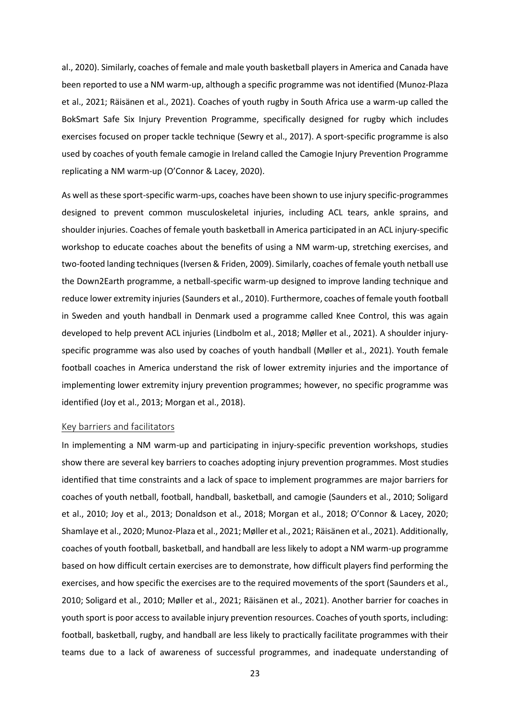al., 2020). Similarly, coaches of female and male youth basketball players in America and Canada have been reported to use a NM warm-up, although a specific programme was not identified (Munoz-Plaza et al., 2021; Räisänen et al., 2021). Coaches of youth rugby in South Africa use a warm-up called the BokSmart Safe Six Injury Prevention Programme, specifically designed for rugby which includes exercises focused on proper tackle technique (Sewry et al., 2017). A sport-specific programme is also used by coaches of youth female camogie in Ireland called the Camogie Injury Prevention Programme replicating a NM warm-up (O'Connor & Lacey, 2020).

As well as these sport-specific warm-ups, coaches have been shown to use injury specific-programmes designed to prevent common musculoskeletal injuries, including ACL tears, ankle sprains, and shoulder injuries. Coaches of female youth basketball in America participated in an ACL injury-specific workshop to educate coaches about the benefits of using a NM warm-up, stretching exercises, and two-footed landing techniques (Iversen & Friden, 2009). Similarly, coaches of female youth netball use the Down2Earth programme, a netball-specific warm-up designed to improve landing technique and reduce lower extremity injuries(Saunders et al., 2010). Furthermore, coaches of female youth football in Sweden and youth handball in Denmark used a programme called Knee Control, this was again developed to help prevent ACL injuries (Lindbolm et al., 2018; Møller et al., 2021). A shoulder injuryspecific programme was also used by coaches of youth handball (Møller et al., 2021). Youth female football coaches in America understand the risk of lower extremity injuries and the importance of implementing lower extremity injury prevention programmes; however, no specific programme was identified (Joy et al., 2013; Morgan et al., 2018).

#### <span id="page-22-0"></span>Key barriers and facilitators

In implementing a NM warm-up and participating in injury-specific prevention workshops, studies show there are several key barriers to coaches adopting injury prevention programmes. Most studies identified that time constraints and a lack of space to implement programmes are major barriers for coaches of youth netball, football, handball, basketball, and camogie (Saunders et al., 2010; Soligard et al., 2010; Joy et al., 2013; Donaldson et al., 2018; Morgan et al., 2018; O'Connor & Lacey, 2020; Shamlaye et al., 2020; Munoz-Plaza et al., 2021; Møller et al., 2021; Räisänen et al., 2021). Additionally, coaches of youth football, basketball, and handball are less likely to adopt a NM warm-up programme based on how difficult certain exercises are to demonstrate, how difficult players find performing the exercises, and how specific the exercises are to the required movements of the sport (Saunders et al., 2010; Soligard et al., 2010; Møller et al., 2021; Räisänen et al., 2021). Another barrier for coaches in youth sport is poor access to available injury prevention resources. Coaches of youth sports, including: football, basketball, rugby, and handball are less likely to practically facilitate programmes with their teams due to a lack of awareness of successful programmes, and inadequate understanding of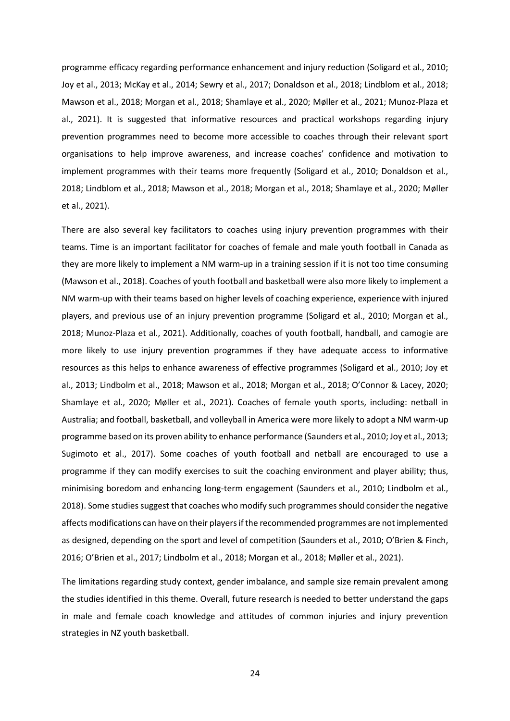programme efficacy regarding performance enhancement and injury reduction (Soligard et al., 2010; Joy et al., 2013; McKay et al., 2014; Sewry et al., 2017; Donaldson et al., 2018; Lindblom et al., 2018; Mawson et al., 2018; Morgan et al., 2018; Shamlaye et al., 2020; Møller et al., 2021; Munoz-Plaza et al., 2021). It is suggested that informative resources and practical workshops regarding injury prevention programmes need to become more accessible to coaches through their relevant sport organisations to help improve awareness, and increase coaches' confidence and motivation to implement programmes with their teams more frequently (Soligard et al., 2010; Donaldson et al., 2018; Lindblom et al., 2018; Mawson et al., 2018; Morgan et al., 2018; Shamlaye et al., 2020; Møller et al., 2021).

There are also several key facilitators to coaches using injury prevention programmes with their teams. Time is an important facilitator for coaches of female and male youth football in Canada as they are more likely to implement a NM warm-up in a training session if it is not too time consuming (Mawson et al., 2018). Coaches of youth football and basketball were also more likely to implement a NM warm-up with their teams based on higher levels of coaching experience, experience with injured players, and previous use of an injury prevention programme (Soligard et al., 2010; Morgan et al., 2018; Munoz-Plaza et al., 2021). Additionally, coaches of youth football, handball, and camogie are more likely to use injury prevention programmes if they have adequate access to informative resources as this helps to enhance awareness of effective programmes (Soligard et al., 2010; Joy et al., 2013; Lindbolm et al., 2018; Mawson et al., 2018; Morgan et al., 2018; O'Connor & Lacey, 2020; Shamlaye et al., 2020; Møller et al., 2021). Coaches of female youth sports, including: netball in Australia; and football, basketball, and volleyball in America were more likely to adopt a NM warm-up programme based on its proven ability to enhance performance (Saunders et al., 2010; Joy et al., 2013; Sugimoto et al., 2017). Some coaches of youth football and netball are encouraged to use a programme if they can modify exercises to suit the coaching environment and player ability; thus, minimising boredom and enhancing long-term engagement (Saunders et al., 2010; Lindbolm et al., 2018). Some studies suggest that coaches who modify such programmes should consider the negative affects modifications can have on their players if the recommended programmes are not implemented as designed, depending on the sport and level of competition (Saunders et al., 2010; O'Brien & Finch, 2016; O'Brien et al., 2017; Lindbolm et al., 2018; Morgan et al., 2018; Møller et al., 2021).

The limitations regarding study context, gender imbalance, and sample size remain prevalent among the studies identified in this theme. Overall, future research is needed to better understand the gaps in male and female coach knowledge and attitudes of common injuries and injury prevention strategies in NZ youth basketball.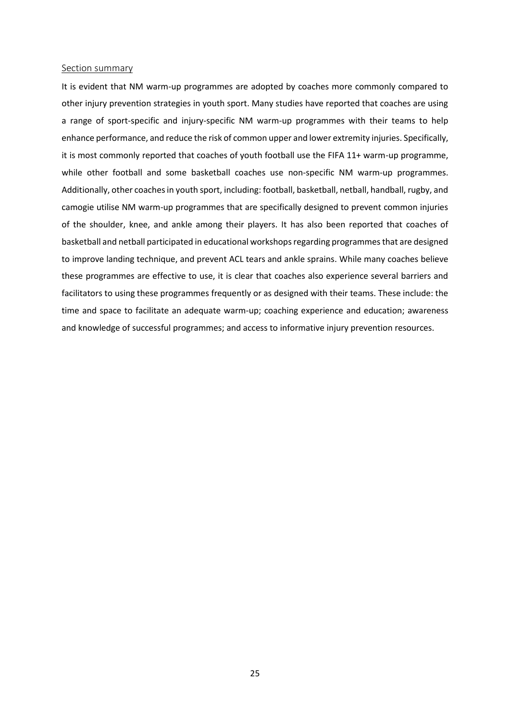#### <span id="page-24-0"></span>Section summary

It is evident that NM warm-up programmes are adopted by coaches more commonly compared to other injury prevention strategies in youth sport. Many studies have reported that coaches are using a range of sport-specific and injury-specific NM warm-up programmes with their teams to help enhance performance, and reduce the risk of common upper and lower extremity injuries. Specifically, it is most commonly reported that coaches of youth football use the FIFA 11+ warm-up programme, while other football and some basketball coaches use non-specific NM warm-up programmes. Additionally, other coaches in youth sport, including: football, basketball, netball, handball, rugby, and camogie utilise NM warm-up programmes that are specifically designed to prevent common injuries of the shoulder, knee, and ankle among their players. It has also been reported that coaches of basketball and netball participated in educational workshops regarding programmes that are designed to improve landing technique, and prevent ACL tears and ankle sprains. While many coaches believe these programmes are effective to use, it is clear that coaches also experience several barriers and facilitators to using these programmes frequently or as designed with their teams. These include: the time and space to facilitate an adequate warm-up; coaching experience and education; awareness and knowledge of successful programmes; and access to informative injury prevention resources.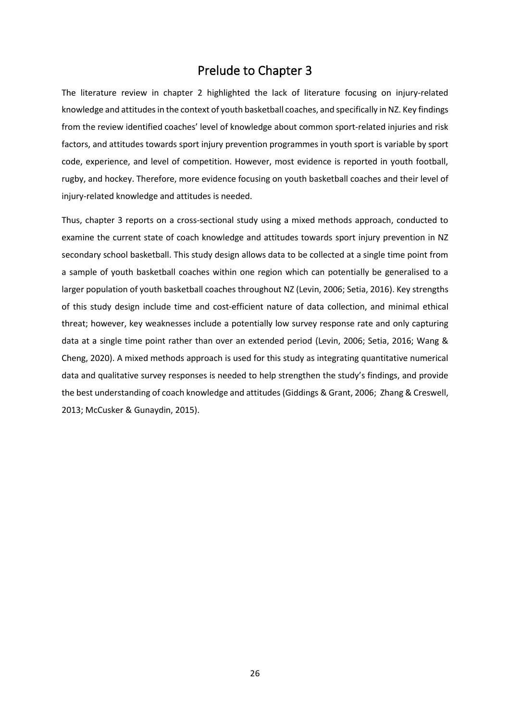### Prelude to Chapter 3

<span id="page-25-0"></span>The literature review in chapter 2 highlighted the lack of literature focusing on injury-related knowledge and attitudes in the context of youth basketball coaches, and specifically in NZ. Key findings from the review identified coaches' level of knowledge about common sport-related injuries and risk factors, and attitudes towards sport injury prevention programmes in youth sport is variable by sport code, experience, and level of competition. However, most evidence is reported in youth football, rugby, and hockey. Therefore, more evidence focusing on youth basketball coaches and their level of injury-related knowledge and attitudes is needed.

Thus, chapter 3 reports on a cross-sectional study using a mixed methods approach, conducted to examine the current state of coach knowledge and attitudes towards sport injury prevention in NZ secondary school basketball. This study design allows data to be collected at a single time point from a sample of youth basketball coaches within one region which can potentially be generalised to a larger population of youth basketball coaches throughout NZ (Levin, 2006; Setia, 2016). Key strengths of this study design include time and cost-efficient nature of data collection, and minimal ethical threat; however, key weaknesses include a potentially low survey response rate and only capturing data at a single time point rather than over an extended period (Levin, 2006; Setia, 2016; Wang & Cheng, 2020). A mixed methods approach is used for this study as integrating quantitative numerical data and qualitative survey responses is needed to help strengthen the study's findings, and provide the best understanding of coach knowledge and attitudes (Giddings & Grant, 2006; Zhang & Creswell, 2013; McCusker & Gunaydin, 2015).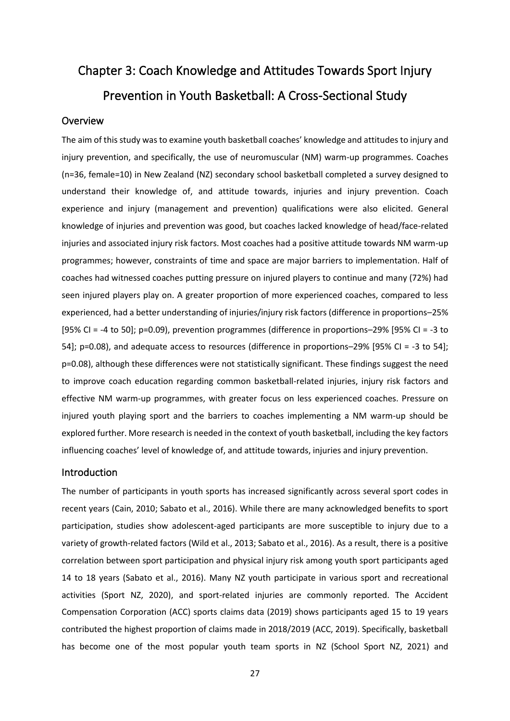# <span id="page-26-0"></span>Chapter 3: Coach Knowledge and Attitudes Towards Sport Injury Prevention in Youth Basketball: A Cross-Sectional Study

#### <span id="page-26-1"></span>Overview

The aim of this study was to examine youth basketball coaches' knowledge and attitudes to injury and injury prevention, and specifically, the use of neuromuscular (NM) warm-up programmes. Coaches (n=36, female=10) in New Zealand (NZ) secondary school basketball completed a survey designed to understand their knowledge of, and attitude towards, injuries and injury prevention. Coach experience and injury (management and prevention) qualifications were also elicited. General knowledge of injuries and prevention was good, but coaches lacked knowledge of head/face-related injuries and associated injury risk factors. Most coaches had a positive attitude towards NM warm-up programmes; however, constraints of time and space are major barriers to implementation. Half of coaches had witnessed coaches putting pressure on injured players to continue and many (72%) had seen injured players play on. A greater proportion of more experienced coaches, compared to less experienced, had a better understanding of injuries/injury risk factors (difference in proportions–25% [95% CI = -4 to 50]; p=0.09), prevention programmes (difference in proportions–29% [95% CI = -3 to 54]; p=0.08), and adequate access to resources (difference in proportions–29% [95% CI = -3 to 54]; p=0.08), although these differences were not statistically significant. These findings suggest the need to improve coach education regarding common basketball-related injuries, injury risk factors and effective NM warm-up programmes, with greater focus on less experienced coaches. Pressure on injured youth playing sport and the barriers to coaches implementing a NM warm-up should be explored further. More research is needed in the context of youth basketball, including the key factors influencing coaches' level of knowledge of, and attitude towards, injuries and injury prevention.

#### <span id="page-26-2"></span>Introduction

The number of participants in youth sports has increased significantly across several sport codes in recent years (Cain, 2010; Sabato et al., 2016). While there are many acknowledged benefits to sport participation, studies show adolescent-aged participants are more susceptible to injury due to a variety of growth-related factors (Wild et al., 2013; Sabato et al., 2016). As a result, there is a positive correlation between sport participation and physical injury risk among youth sport participants aged 14 to 18 years (Sabato et al., 2016). Many NZ youth participate in various sport and recreational activities (Sport NZ, 2020), and sport-related injuries are commonly reported. The Accident Compensation Corporation (ACC) sports claims data (2019) shows participants aged 15 to 19 years contributed the highest proportion of claims made in 2018/2019 (ACC, 2019). Specifically, basketball has become one of the most popular youth team sports in NZ (School Sport NZ, 2021) and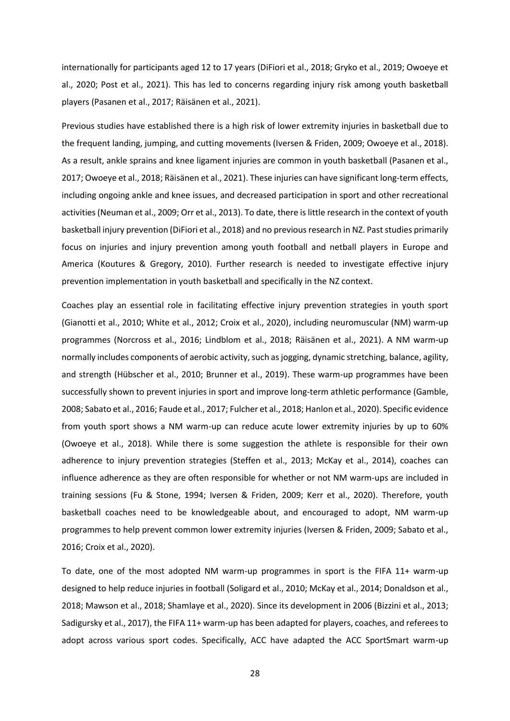internationally for participants aged 12 to 17 years (DiFiori et al., 2018; Gryko et al., 2019; Owoeye et al., 2020; Post et al., 2021). This has led to concerns regarding injury risk among youth basketball players (Pasanen et al., 2017; Räisänen et al., 2021).

Previous studies have established there is a high risk of lower extremity injuries in basketball due to the frequent landing, jumping, and cutting movements (Iversen & Friden, 2009; Owoeye et al., 2018). As a result, ankle sprains and knee ligament injuries are common in youth basketball (Pasanen et al., 2017; Owoeye et al., 2018; Räisänen et al., 2021). These injuries can have significant long-term effects, including ongoing ankle and knee issues, and decreased participation in sport and other recreational activities (Neuman et al., 2009; Orr et al., 2013). To date, there is little research in the context of youth basketball injury prevention (DiFiori et al., 2018) and no previous research in NZ. Past studies primarily focus on injuries and injury prevention among youth football and netball players in Europe and America (Koutures & Gregory, 2010). Further research is needed to investigate effective injury prevention implementation in youth basketball and specifically in the NZ context.

Coaches play an essential role in facilitating effective injury prevention strategies in youth sport (Gianotti et al., 2010; White et al., 2012; Croix et al., 2020), including neuromuscular (NM) warm-up programmes (Norcross et al., 2016; Lindblom et al., 2018; Räisänen et al., 2021). A NM warm-up normally includes components of aerobic activity, such as jogging, dynamic stretching, balance, agility, and strength (Hübscher et al., 2010; Brunner et al., 2019). These warm-up programmes have been successfully shown to prevent injuries in sport and improve long-term athletic performance (Gamble, 2008; Sabato et al., 2016; Faude et al., 2017; Fulcher et al., 2018; Hanlon et al., 2020). Specific evidence from youth sport shows a NM warm-up can reduce acute lower extremity injuries by up to 60% (Owoeye et al., 2018). While there is some suggestion the athlete is responsible for their own adherence to injury prevention strategies (Steffen et al., 2013; McKay et al., 2014), coaches can influence adherence as they are often responsible for whether or not NM warm-ups are included in training sessions (Fu & Stone, 1994; Iversen & Friden, 2009; Kerr et al., 2020). Therefore, youth basketball coaches need to be knowledgeable about, and encouraged to adopt, NM warm-up programmes to help prevent common lower extremity injuries (Iversen & Friden, 2009; Sabato et al., 2016; Croix et al., 2020).

To date, one of the most adopted NM warm-up programmes in sport is the FIFA 11+ warm-up designed to help reduce injuries in football (Soligard et al., 2010; McKay et al., 2014; Donaldson et al., 2018; Mawson et al., 2018; Shamlaye et al., 2020). Since its development in 2006 (Bizzini et al., 2013; Sadigursky et al., 2017), the FIFA 11+ warm-up has been adapted for players, coaches, and referees to adopt across various sport codes. Specifically, ACC have adapted the ACC SportSmart warm-up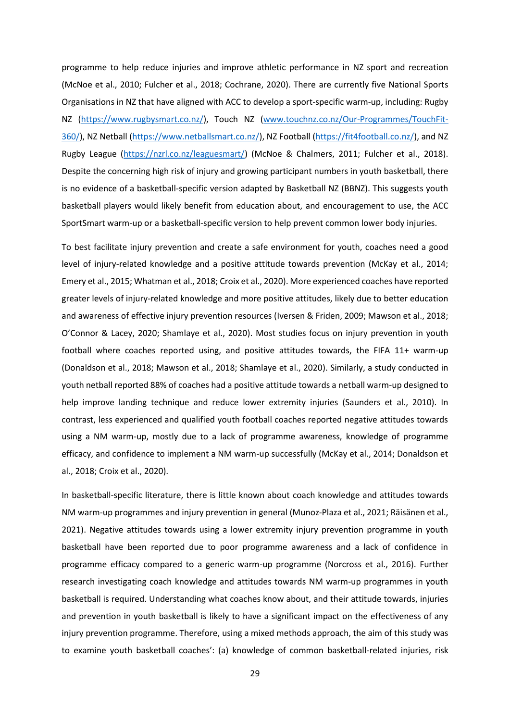programme to help reduce injuries and improve athletic performance in NZ sport and recreation (McNoe et al., 2010; Fulcher et al., 2018; Cochrane, 2020). There are currently five National Sports Organisations in NZ that have aligned with ACC to develop a sport-specific warm-up, including: Rugby NZ [\(https://www.rugbysmart.co.nz/\)](https://www.rugbysmart.co.nz/), Touch NZ [\(www.touchnz.co.nz/Our-Programmes/TouchFit-](http://www.touchnz.co.nz/Our-Programmes/TouchFit-360/)[360/\)](http://www.touchnz.co.nz/Our-Programmes/TouchFit-360/), NZ Netball [\(https://www.netballsmart.co.nz/\)](https://www.netballsmart.co.nz/), NZ Football [\(https://fit4football.co.nz/\)](https://fit4football.co.nz/), and NZ Rugby League [\(https://nzrl.co.nz/leaguesmart/\)](https://nzrl.co.nz/leaguesmart/) (McNoe & Chalmers, 2011; Fulcher et al., 2018). Despite the concerning high risk of injury and growing participant numbers in youth basketball, there is no evidence of a basketball-specific version adapted by Basketball NZ (BBNZ). This suggests youth basketball players would likely benefit from education about, and encouragement to use, the ACC SportSmart warm-up or a basketball-specific version to help prevent common lower body injuries.

To best facilitate injury prevention and create a safe environment for youth, coaches need a good level of injury-related knowledge and a positive attitude towards prevention (McKay et al., 2014; Emery et al., 2015; Whatman et al., 2018; Croix et al., 2020). More experienced coaches have reported greater levels of injury-related knowledge and more positive attitudes, likely due to better education and awareness of effective injury prevention resources (Iversen & Friden, 2009; Mawson et al., 2018; O'Connor & Lacey, 2020; Shamlaye et al., 2020). Most studies focus on injury prevention in youth football where coaches reported using, and positive attitudes towards, the FIFA 11+ warm-up (Donaldson et al., 2018; Mawson et al., 2018; Shamlaye et al., 2020). Similarly, a study conducted in youth netball reported 88% of coaches had a positive attitude towards a netball warm-up designed to help improve landing technique and reduce lower extremity injuries (Saunders et al., 2010). In contrast, less experienced and qualified youth football coaches reported negative attitudes towards using a NM warm-up, mostly due to a lack of programme awareness, knowledge of programme efficacy, and confidence to implement a NM warm-up successfully (McKay et al., 2014; Donaldson et al., 2018; Croix et al., 2020).

In basketball-specific literature, there is little known about coach knowledge and attitudes towards NM warm-up programmes and injury prevention in general (Munoz-Plaza et al., 2021; Räisänen et al., 2021). Negative attitudes towards using a lower extremity injury prevention programme in youth basketball have been reported due to poor programme awareness and a lack of confidence in programme efficacy compared to a generic warm-up programme (Norcross et al., 2016). Further research investigating coach knowledge and attitudes towards NM warm-up programmes in youth basketball is required. Understanding what coaches know about, and their attitude towards, injuries and prevention in youth basketball is likely to have a significant impact on the effectiveness of any injury prevention programme. Therefore, using a mixed methods approach, the aim of this study was to examine youth basketball coaches': (a) knowledge of common basketball-related injuries, risk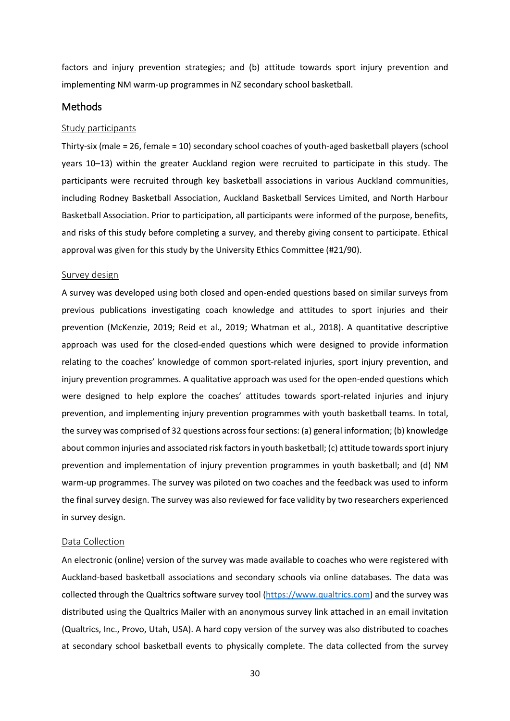factors and injury prevention strategies; and (b) attitude towards sport injury prevention and implementing NM warm-up programmes in NZ secondary school basketball.

#### <span id="page-29-0"></span>**Methods**

#### <span id="page-29-1"></span>Study participants

Thirty-six (male = 26, female = 10) secondary school coaches of youth-aged basketball players (school years 10–13) within the greater Auckland region were recruited to participate in this study. The participants were recruited through key basketball associations in various Auckland communities, including Rodney Basketball Association, Auckland Basketball Services Limited, and North Harbour Basketball Association. Prior to participation, all participants were informed of the purpose, benefits, and risks of this study before completing a survey, and thereby giving consent to participate. Ethical approval was given for this study by the University Ethics Committee (#21/90).

#### <span id="page-29-2"></span>Survey design

A survey was developed using both closed and open-ended questions based on similar surveys from previous publications investigating coach knowledge and attitudes to sport injuries and their prevention (McKenzie, 2019; Reid et al., 2019; Whatman et al., 2018). A quantitative descriptive approach was used for the closed-ended questions which were designed to provide information relating to the coaches' knowledge of common sport-related injuries, sport injury prevention, and injury prevention programmes. A qualitative approach was used for the open-ended questions which were designed to help explore the coaches' attitudes towards sport-related injuries and injury prevention, and implementing injury prevention programmes with youth basketball teams. In total, the survey was comprised of 32 questions across four sections: (a) general information; (b) knowledge about common injuries and associated risk factors in youth basketball; (c) attitude towards sport injury prevention and implementation of injury prevention programmes in youth basketball; and (d) NM warm-up programmes. The survey was piloted on two coaches and the feedback was used to inform the final survey design. The survey was also reviewed for face validity by two researchers experienced in survey design.

#### <span id="page-29-3"></span>Data Collection

An electronic (online) version of the survey was made available to coaches who were registered with Auckland-based basketball associations and secondary schools via online databases. The data was collected through the Qualtrics software survey tool [\(https://www.qualtrics.com\)](https://www.qualtrics.com/) and the survey was distributed using the Qualtrics Mailer with an anonymous survey link attached in an email invitation (Qualtrics, Inc., Provo, Utah, USA). A hard copy version of the survey was also distributed to coaches at secondary school basketball events to physically complete. The data collected from the survey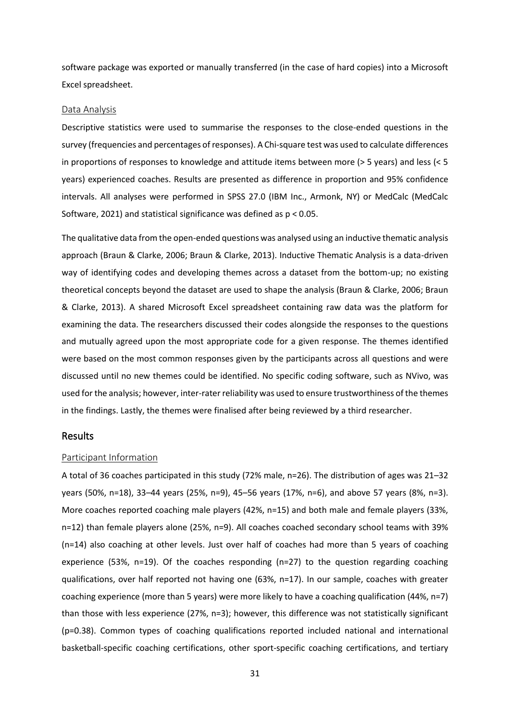software package was exported or manually transferred (in the case of hard copies) into a Microsoft Excel spreadsheet.

#### <span id="page-30-0"></span>Data Analysis

Descriptive statistics were used to summarise the responses to the close-ended questions in the survey (frequencies and percentages of responses). A Chi-square test was used to calculate differences in proportions of responses to knowledge and attitude items between more (> 5 years) and less (< 5 years) experienced coaches. Results are presented as difference in proportion and 95% confidence intervals. All analyses were performed in SPSS 27.0 (IBM Inc., Armonk, NY) or MedCalc (MedCalc Software, 2021) and statistical significance was defined as p < 0.05.

The qualitative data from the open-ended questions was analysed using an inductive thematic analysis approach (Braun & Clarke, 2006; Braun & Clarke, 2013). Inductive Thematic Analysis is a data-driven way of identifying codes and developing themes across a dataset from the bottom-up; no existing theoretical concepts beyond the dataset are used to shape the analysis (Braun & Clarke, 2006; Braun & Clarke, 2013). A shared Microsoft Excel spreadsheet containing raw data was the platform for examining the data. The researchers discussed their codes alongside the responses to the questions and mutually agreed upon the most appropriate code for a given response. The themes identified were based on the most common responses given by the participants across all questions and were discussed until no new themes could be identified. No specific coding software, such as NVivo, was used forthe analysis; however, inter-rater reliability was used to ensure trustworthiness of the themes in the findings. Lastly, the themes were finalised after being reviewed by a third researcher.

#### <span id="page-30-1"></span>Results

#### <span id="page-30-2"></span>Participant Information

A total of 36 coaches participated in this study (72% male, n=26). The distribution of ages was 21–32 years (50%, n=18), 33–44 years (25%, n=9), 45–56 years (17%, n=6), and above 57 years (8%, n=3). More coaches reported coaching male players (42%, n=15) and both male and female players (33%, n=12) than female players alone (25%, n=9). All coaches coached secondary school teams with 39% (n=14) also coaching at other levels. Just over half of coaches had more than 5 years of coaching experience (53%, n=19). Of the coaches responding (n=27) to the question regarding coaching qualifications, over half reported not having one (63%, n=17). In our sample, coaches with greater coaching experience (more than 5 years) were more likely to have a coaching qualification (44%, n=7) than those with less experience (27%, n=3); however, this difference was not statistically significant (p=0.38). Common types of coaching qualifications reported included national and international basketball-specific coaching certifications, other sport-specific coaching certifications, and tertiary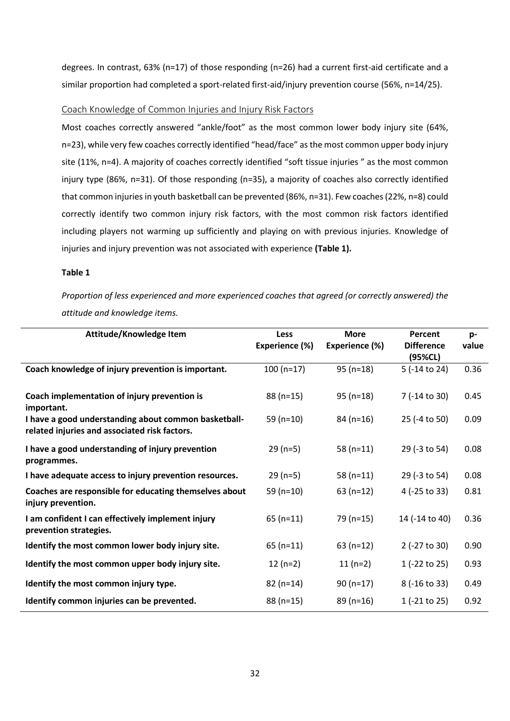degrees. In contrast, 63% (n=17) of those responding (n=26) had a current first-aid certificate and a similar proportion had completed a sport-related first-aid/injury prevention course (56%, n=14/25).

#### <span id="page-31-0"></span>Coach Knowledge of Common Injuries and Injury Risk Factors

Most coaches correctly answered "ankle/foot" as the most common lower body injury site (64%, n=23), while very few coaches correctly identified "head/face" as the most common upper body injury site (11%, n=4). A majority of coaches correctly identified "soft tissue injuries " as the most common injury type (86%, n=31). Of those responding (n=35), a majority of coaches also correctly identified that common injuries in youth basketball can be prevented (86%, n=31). Few coaches (22%, n=8) could correctly identify two common injury risk factors, with the most common risk factors identified including players not warming up sufficiently and playing on with previous injuries. Knowledge of injuries and injury prevention was not associated with experience **(Table 1).**

#### **Table 1**

*Proportion of less experienced and more experienced coaches that agreed (or correctly answered) the attitude and knowledge items.*

| Attitude/Knowledge Item                                                                               | <b>Less</b>    | <b>More</b>    | Percent                      | p-    |
|-------------------------------------------------------------------------------------------------------|----------------|----------------|------------------------------|-------|
|                                                                                                       | Experience (%) | Experience (%) | <b>Difference</b><br>(95%CL) | value |
| Coach knowledge of injury prevention is important.                                                    | $100(n=17)$    | $95(n=18)$     | 5 (-14 to 24)                | 0.36  |
| Coach implementation of injury prevention is<br>important.                                            | $88(n=15)$     | $95(n=18)$     | 7 (-14 to 30)                | 0.45  |
| I have a good understanding about common basketball-<br>related injuries and associated risk factors. | 59 $(n=10)$    | $84(n=16)$     | 25 (-4 to 50)                | 0.09  |
| I have a good understanding of injury prevention<br>programmes.                                       | $29(n=5)$      | $58(n=11)$     | 29 (-3 to 54)                | 0.08  |
| I have adequate access to injury prevention resources.                                                | $29(n=5)$      | 58 $(n=11)$    | 29 (-3 to 54)                | 0.08  |
| Coaches are responsible for educating themselves about<br>injury prevention.                          | 59 (n=10)      | $63(n=12)$     | 4 (-25 to 33)                | 0.81  |
| I am confident I can effectively implement injury<br>prevention strategies.                           | $65$ (n=11)    | $79(n=15)$     | 14 (-14 to 40)               | 0.36  |
| Identify the most common lower body injury site.                                                      | $65(n=11)$     | $63(n=12)$     | 2 (-27 to 30)                | 0.90  |
| Identify the most common upper body injury site.                                                      | $12(n=2)$      | $11(n=2)$      | 1 (-22 to 25)                | 0.93  |
| Identify the most common injury type.                                                                 | $82(n=14)$     | $90(n=17)$     | $8(-16 to 33)$               | 0.49  |
| Identify common injuries can be prevented.                                                            | $88(n=15)$     | $89(n=16)$     | $1 (-21 to 25)$              | 0.92  |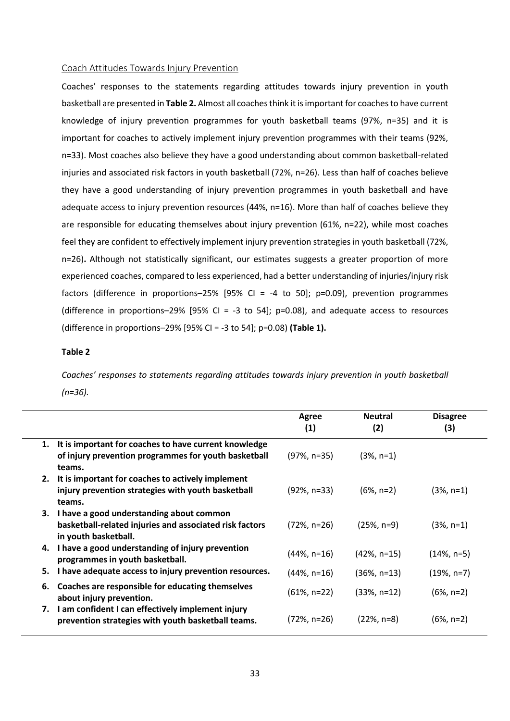#### <span id="page-32-0"></span>Coach Attitudes Towards Injury Prevention

Coaches' responses to the statements regarding attitudes towards injury prevention in youth basketball are presented in **Table 2.** Almost all coaches think it is important for coaches to have current knowledge of injury prevention programmes for youth basketball teams (97%, n=35) and it is important for coaches to actively implement injury prevention programmes with their teams (92%, n=33). Most coaches also believe they have a good understanding about common basketball-related injuries and associated risk factors in youth basketball (72%, n=26). Less than half of coaches believe they have a good understanding of injury prevention programmes in youth basketball and have adequate access to injury prevention resources (44%, n=16). More than half of coaches believe they are responsible for educating themselves about injury prevention (61%, n=22), while most coaches feel they are confident to effectively implement injury prevention strategies in youth basketball (72%, n=26)**.** Although not statistically significant, our estimates suggests a greater proportion of more experienced coaches, compared to less experienced, had a better understanding of injuries/injury risk factors (difference in proportions–25% [95% CI = -4 to 50]; p=0.09), prevention programmes (difference in proportions–29% [95% CI = -3 to 54];  $p=0.08$ ), and adequate access to resources (difference in proportions–29% [95% CI = -3 to 54]; p=0.08) **(Table 1).**

#### **Table 2**

*Coaches' responses to statements regarding attitudes towards injury prevention in youth basketball (n=36).*

|    |                                                                                                                                | Agree<br>(1)    | <b>Neutral</b><br>(2) | <b>Disagree</b><br>(3) |
|----|--------------------------------------------------------------------------------------------------------------------------------|-----------------|-----------------------|------------------------|
| 1. | It is important for coaches to have current knowledge<br>of injury prevention programmes for youth basketball<br>teams.        | $(97\%, n=35)$  | $(3%, n=1)$           |                        |
|    | 2. It is important for coaches to actively implement<br>injury prevention strategies with youth basketball<br>teams.           | $(92\% , n=33)$ | $(6\% , n=2)$         | $(3%, n=1)$            |
|    | 3. I have a good understanding about common<br>basketball-related injuries and associated risk factors<br>in youth basketball. | (72%, n=26)     | $(25\%, n=9)$         | $(3%, n=1)$            |
|    | 4. I have a good understanding of injury prevention<br>programmes in youth basketball.                                         | $(44\%, n=16)$  | $(42\% , n=15)$       | $(14\%, n=5)$          |
| 5. | I have adequate access to injury prevention resources.                                                                         | $(44\%, n=16)$  | $(36\%, n=13)$        | $(19\%, n=7)$          |
| 6. | Coaches are responsible for educating themselves<br>about injury prevention.                                                   | $(61\%, n=22)$  | $(33\%, n=12)$        | $(6\%, n=2)$           |
|    | 7. I am confident I can effectively implement injury<br>prevention strategies with youth basketball teams.                     | (72%, n=26)     | $(22\%, n=8)$         | $(6\%, n=2)$           |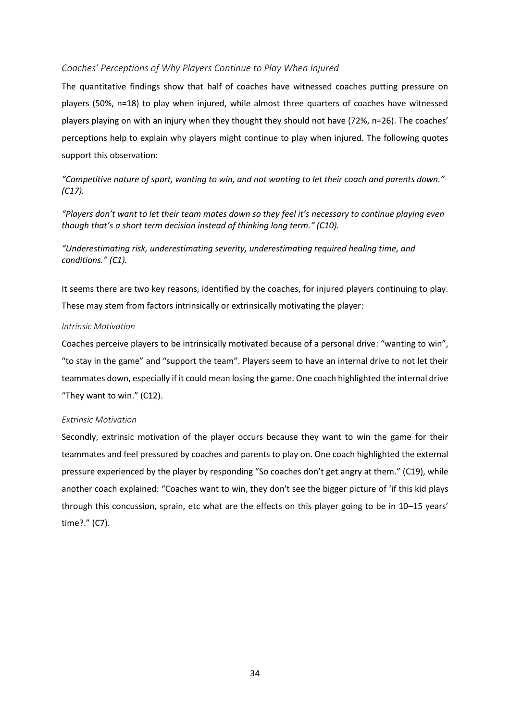#### <span id="page-33-0"></span>*Coaches' Perceptions of Why Players Continue to Play When Injured*

The quantitative findings show that half of coaches have witnessed coaches putting pressure on players (50%, n=18) to play when injured, while almost three quarters of coaches have witnessed players playing on with an injury when they thought they should not have (72%, n=26). The coaches' perceptions help to explain why players might continue to play when injured. The following quotes support this observation:

*"Competitive nature of sport, wanting to win, and not wanting to let their coach and parents down." (C17).*

*"Players don't want to let their team mates down so they feel it's necessary to continue playing even though that's a short term decision instead of thinking long term." (C10).*

*"Underestimating risk, underestimating severity, underestimating required healing time, and conditions." (C1).*

It seems there are two key reasons, identified by the coaches, for injured players continuing to play. These may stem from factors intrinsically or extrinsically motivating the player:

#### <span id="page-33-1"></span>*Intrinsic Motivation*

Coaches perceive players to be intrinsically motivated because of a personal drive: "wanting to win", "to stay in the game" and "support the team". Players seem to have an internal drive to not let their teammates down, especially if it could mean losing the game. One coach highlighted the internal drive "They want to win." (C12).

#### <span id="page-33-2"></span>*Extrinsic Motivation*

Secondly, extrinsic motivation of the player occurs because they want to win the game for their teammates and feel pressured by coaches and parents to play on. One coach highlighted the external pressure experienced by the player by responding "So coaches don't get angry at them." (C19), while another coach explained: "Coaches want to win, they don't see the bigger picture of 'if this kid plays through this concussion, sprain, etc what are the effects on this player going to be in 10–15 years' time?." (C7).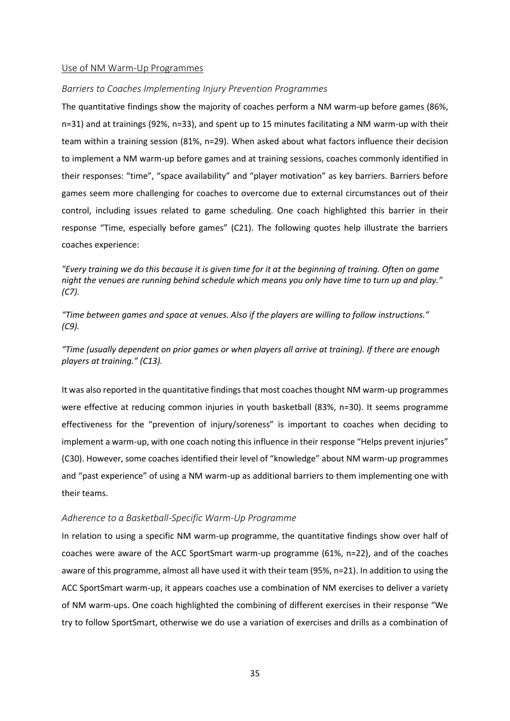#### <span id="page-34-0"></span>Use of NM Warm-Up Programmes

#### <span id="page-34-1"></span>*Barriers to Coaches Implementing Injury Prevention Programmes*

The quantitative findings show the majority of coaches perform a NM warm-up before games (86%, n=31) and at trainings (92%, n=33), and spent up to 15 minutes facilitating a NM warm-up with their team within a training session (81%, n=29). When asked about what factors influence their decision to implement a NM warm-up before games and at training sessions, coaches commonly identified in their responses: "time", "space availability" and "player motivation" as key barriers. Barriers before games seem more challenging for coaches to overcome due to external circumstances out of their control, including issues related to game scheduling. One coach highlighted this barrier in their response "Time, especially before games" (C21). The following quotes help illustrate the barriers coaches experience:

*"Every training we do this because it is given time for it at the beginning of training. Often on game night the venues are running behind schedule which means you only have time to turn up and play." (C7).*

*"Time between games and space at venues. Also if the players are willing to follow instructions." (C9).*

*"Time (usually dependent on prior games or when players all arrive at training). If there are enough players at training." (C13).*

It was also reported in the quantitative findings that most coaches thought NM warm-up programmes were effective at reducing common injuries in youth basketball (83%, n=30). It seems programme effectiveness for the "prevention of injury/soreness" is important to coaches when deciding to implement a warm-up, with one coach noting this influence in their response "Helps prevent injuries" (C30). However, some coaches identified their level of "knowledge" about NM warm-up programmes and "past experience" of using a NM warm-up as additional barriers to them implementing one with their teams.

#### <span id="page-34-2"></span>*Adherence to a Basketball-Specific Warm-Up Programme*

In relation to using a specific NM warm-up programme, the quantitative findings show over half of coaches were aware of the ACC SportSmart warm-up programme (61%, n=22), and of the coaches aware of this programme, almost all have used it with their team (95%, n=21). In addition to using the ACC SportSmart warm-up, it appears coaches use a combination of NM exercises to deliver a variety of NM warm-ups. One coach highlighted the combining of different exercises in their response "We try to follow SportSmart, otherwise we do use a variation of exercises and drills as a combination of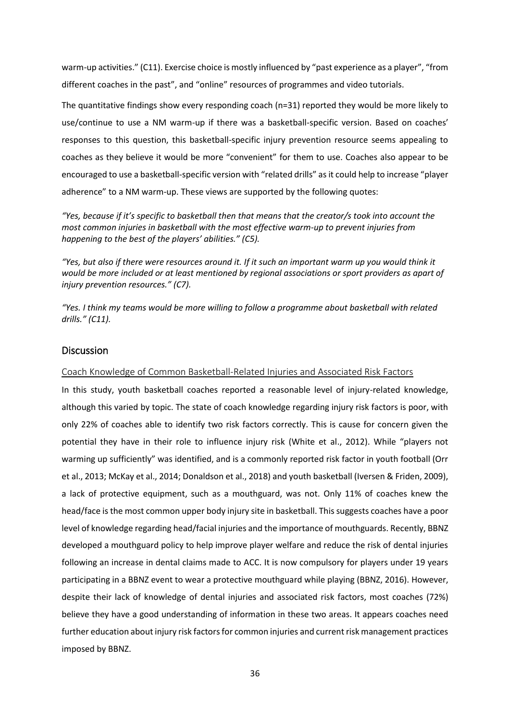warm-up activities." (C11). Exercise choice is mostly influenced by "past experience as a player", "from different coaches in the past", and "online" resources of programmes and video tutorials.

The quantitative findings show every responding coach (n=31) reported they would be more likely to use/continue to use a NM warm-up if there was a basketball-specific version. Based on coaches' responses to this question, this basketball-specific injury prevention resource seems appealing to coaches as they believe it would be more "convenient" for them to use. Coaches also appear to be encouraged to use a basketball-specific version with "related drills" as it could help to increase "player adherence" to a NM warm-up. These views are supported by the following quotes:

*"Yes, because if it's specific to basketball then that means that the creator/s took into account the most common injuries in basketball with the most effective warm-up to prevent injuries from happening to the best of the players' abilities." (C5).*

*"Yes, but also if there were resources around it. If it such an important warm up you would think it would be more included or at least mentioned by regional associations or sport providers as apart of injury prevention resources." (C7).*

*"Yes. I think my teams would be more willing to follow a programme about basketball with related drills." (C11).*

#### <span id="page-35-0"></span>Discussion

#### <span id="page-35-1"></span>Coach Knowledge of Common Basketball-Related Injuries and Associated Risk Factors

In this study, youth basketball coaches reported a reasonable level of injury-related knowledge, although this varied by topic. The state of coach knowledge regarding injury risk factors is poor, with only 22% of coaches able to identify two risk factors correctly. This is cause for concern given the potential they have in their role to influence injury risk (White et al., 2012). While "players not warming up sufficiently" was identified, and is a commonly reported risk factor in youth football (Orr et al., 2013; McKay et al., 2014; Donaldson et al., 2018) and youth basketball (Iversen & Friden, 2009), a lack of protective equipment, such as a mouthguard, was not. Only 11% of coaches knew the head/face is the most common upper body injury site in basketball. This suggests coaches have a poor level of knowledge regarding head/facial injuries and the importance of mouthguards. Recently, BBNZ developed a mouthguard policy to help improve player welfare and reduce the risk of dental injuries following an increase in dental claims made to ACC. It is now compulsory for players under 19 years participating in a BBNZ event to wear a protective mouthguard while playing (BBNZ, 2016). However, despite their lack of knowledge of dental injuries and associated risk factors, most coaches (72%) believe they have a good understanding of information in these two areas. It appears coaches need further education about injury risk factors for common injuries and current risk management practices imposed by BBNZ.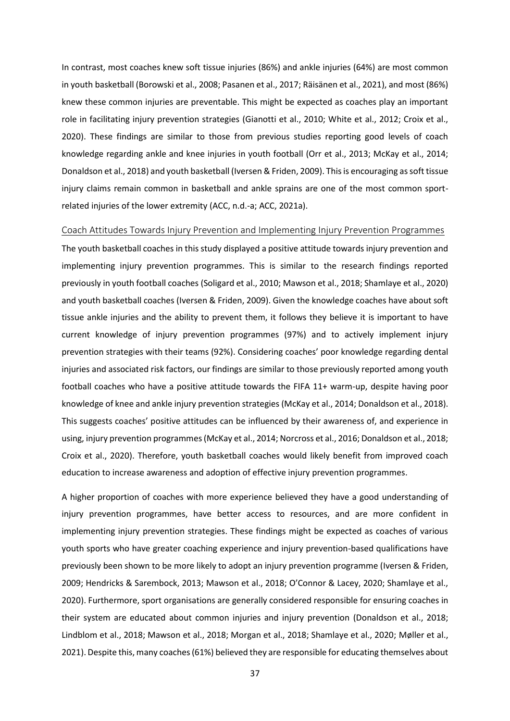In contrast, most coaches knew soft tissue injuries (86%) and ankle injuries (64%) are most common in youth basketball (Borowski et al., 2008; Pasanen et al., 2017; Räisänen et al., 2021), and most (86%) knew these common injuries are preventable. This might be expected as coaches play an important role in facilitating injury prevention strategies (Gianotti et al., 2010; White et al., 2012; Croix et al., 2020). These findings are similar to those from previous studies reporting good levels of coach knowledge regarding ankle and knee injuries in youth football (Orr et al., 2013; McKay et al., 2014; Donaldson et al., 2018) and youth basketball (Iversen & Friden, 2009). This is encouraging as soft tissue injury claims remain common in basketball and ankle sprains are one of the most common sportrelated injuries of the lower extremity (ACC, n.d.-a; ACC, 2021a).

#### <span id="page-36-0"></span>Coach Attitudes Towards Injury Prevention and Implementing Injury Prevention Programmes

The youth basketball coaches in this study displayed a positive attitude towards injury prevention and implementing injury prevention programmes. This is similar to the research findings reported previously in youth football coaches (Soligard et al., 2010; Mawson et al., 2018; Shamlaye et al., 2020) and youth basketball coaches (Iversen & Friden, 2009). Given the knowledge coaches have about soft tissue ankle injuries and the ability to prevent them, it follows they believe it is important to have current knowledge of injury prevention programmes (97%) and to actively implement injury prevention strategies with their teams (92%). Considering coaches' poor knowledge regarding dental injuries and associated risk factors, our findings are similar to those previously reported among youth football coaches who have a positive attitude towards the FIFA 11+ warm-up, despite having poor knowledge of knee and ankle injury prevention strategies (McKay et al., 2014; Donaldson et al., 2018). This suggests coaches' positive attitudes can be influenced by their awareness of, and experience in using, injury prevention programmes (McKay et al., 2014; Norcross et al., 2016; Donaldson et al., 2018; Croix et al., 2020). Therefore, youth basketball coaches would likely benefit from improved coach education to increase awareness and adoption of effective injury prevention programmes.

A higher proportion of coaches with more experience believed they have a good understanding of injury prevention programmes, have better access to resources, and are more confident in implementing injury prevention strategies. These findings might be expected as coaches of various youth sports who have greater coaching experience and injury prevention-based qualifications have previously been shown to be more likely to adopt an injury prevention programme (Iversen & Friden, 2009; Hendricks & Sarembock, 2013; Mawson et al., 2018; O'Connor & Lacey, 2020; Shamlaye et al., 2020). Furthermore, sport organisations are generally considered responsible for ensuring coaches in their system are educated about common injuries and injury prevention (Donaldson et al., 2018; Lindblom et al., 2018; Mawson et al., 2018; Morgan et al., 2018; Shamlaye et al., 2020; Møller et al., 2021). Despite this, many coaches (61%) believed they are responsible for educating themselves about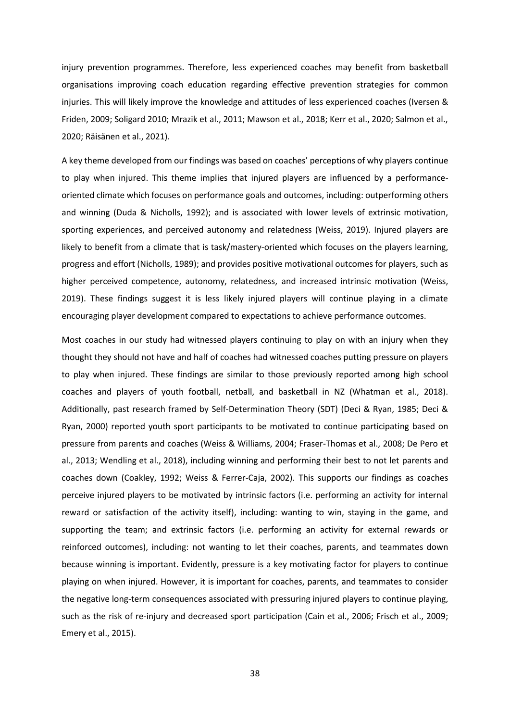injury prevention programmes. Therefore, less experienced coaches may benefit from basketball organisations improving coach education regarding effective prevention strategies for common injuries. This will likely improve the knowledge and attitudes of less experienced coaches (Iversen & Friden, 2009; Soligard 2010; Mrazik et al., 2011; Mawson et al., 2018; Kerr et al., 2020; Salmon et al., 2020; Räisänen et al., 2021).

A key theme developed from our findings was based on coaches' perceptions of why players continue to play when injured. This theme implies that injured players are influenced by a performanceoriented climate which focuses on performance goals and outcomes, including: outperforming others and winning (Duda & Nicholls, 1992); and is associated with lower levels of extrinsic motivation, sporting experiences, and perceived autonomy and relatedness (Weiss, 2019). Injured players are likely to benefit from a climate that is task/mastery-oriented which focuses on the players learning, progress and effort (Nicholls, 1989); and provides positive motivational outcomes for players, such as higher perceived competence, autonomy, relatedness, and increased intrinsic motivation (Weiss, 2019). These findings suggest it is less likely injured players will continue playing in a climate encouraging player development compared to expectations to achieve performance outcomes.

Most coaches in our study had witnessed players continuing to play on with an injury when they thought they should not have and half of coaches had witnessed coaches putting pressure on players to play when injured. These findings are similar to those previously reported among high school coaches and players of youth football, netball, and basketball in NZ (Whatman et al., 2018). Additionally, past research framed by Self-Determination Theory (SDT) (Deci & Ryan, 1985; Deci & Ryan, 2000) reported youth sport participants to be motivated to continue participating based on pressure from parents and coaches (Weiss & Williams, 2004; Fraser-Thomas et al., 2008; De Pero et al., 2013; Wendling et al., 2018), including winning and performing their best to not let parents and coaches down (Coakley, 1992; Weiss & Ferrer-Caja, 2002). This supports our findings as coaches perceive injured players to be motivated by intrinsic factors (i.e. performing an activity for internal reward or satisfaction of the activity itself), including: wanting to win, staying in the game, and supporting the team; and extrinsic factors (i.e. performing an activity for external rewards or reinforced outcomes), including: not wanting to let their coaches, parents, and teammates down because winning is important. Evidently, pressure is a key motivating factor for players to continue playing on when injured. However, it is important for coaches, parents, and teammates to consider the negative long-term consequences associated with pressuring injured players to continue playing, such as the risk of re-injury and decreased sport participation (Cain et al., 2006; Frisch et al., 2009; Emery et al., 2015).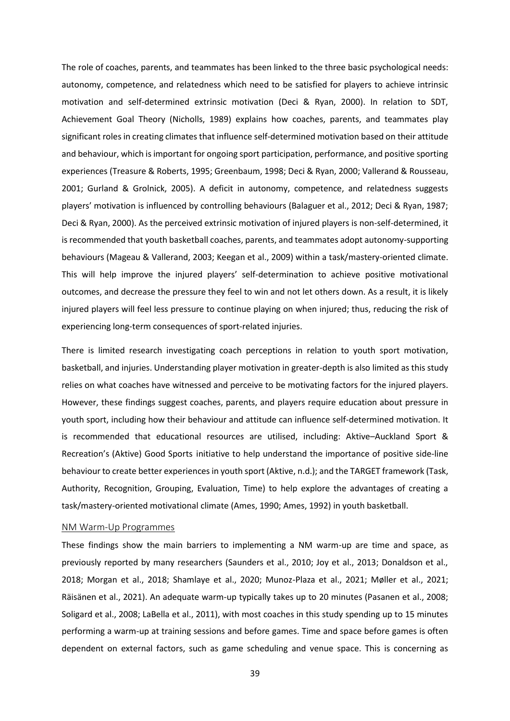The role of coaches, parents, and teammates has been linked to the three basic psychological needs: autonomy, competence, and relatedness which need to be satisfied for players to achieve intrinsic motivation and self-determined extrinsic motivation (Deci & Ryan, 2000). In relation to SDT, Achievement Goal Theory (Nicholls, 1989) explains how coaches, parents, and teammates play significant roles in creating climates that influence self-determined motivation based on their attitude and behaviour, which is important for ongoing sport participation, performance, and positive sporting experiences (Treasure & Roberts, 1995; Greenbaum, 1998; Deci & Ryan, 2000; Vallerand & Rousseau, 2001; Gurland & Grolnick, 2005). A deficit in autonomy, competence, and relatedness suggests players' motivation is influenced by controlling behaviours (Balaguer et al., 2012; Deci & Ryan, 1987; Deci & Ryan, 2000). As the perceived extrinsic motivation of injured players is non-self-determined, it is recommended that youth basketball coaches, parents, and teammates adopt autonomy-supporting behaviours (Mageau & Vallerand, 2003; Keegan et al., 2009) within a task/mastery-oriented climate. This will help improve the injured players' self-determination to achieve positive motivational outcomes, and decrease the pressure they feel to win and not let others down. As a result, it is likely injured players will feel less pressure to continue playing on when injured; thus, reducing the risk of experiencing long-term consequences of sport-related injuries.

There is limited research investigating coach perceptions in relation to youth sport motivation, basketball, and injuries. Understanding player motivation in greater-depth is also limited as this study relies on what coaches have witnessed and perceive to be motivating factors for the injured players. However, these findings suggest coaches, parents, and players require education about pressure in youth sport, including how their behaviour and attitude can influence self-determined motivation. It is recommended that educational resources are utilised, including: Aktive–Auckland Sport & Recreation's (Aktive) Good Sports initiative to help understand the importance of positive side-line behaviour to create better experiences in youth sport (Aktive, n.d.); and the TARGET framework (Task, Authority, Recognition, Grouping, Evaluation, Time) to help explore the advantages of creating a task/mastery-oriented motivational climate (Ames, 1990; Ames, 1992) in youth basketball.

#### <span id="page-38-0"></span>NM Warm-Up Programmes

These findings show the main barriers to implementing a NM warm-up are time and space, as previously reported by many researchers (Saunders et al., 2010; Joy et al., 2013; Donaldson et al., 2018; Morgan et al., 2018; Shamlaye et al., 2020; Munoz-Plaza et al., 2021; Møller et al., 2021; Räisänen et al., 2021). An adequate warm-up typically takes up to 20 minutes (Pasanen et al., 2008; Soligard et al., 2008; LaBella et al., 2011), with most coaches in this study spending up to 15 minutes performing a warm-up at training sessions and before games. Time and space before games is often dependent on external factors, such as game scheduling and venue space. This is concerning as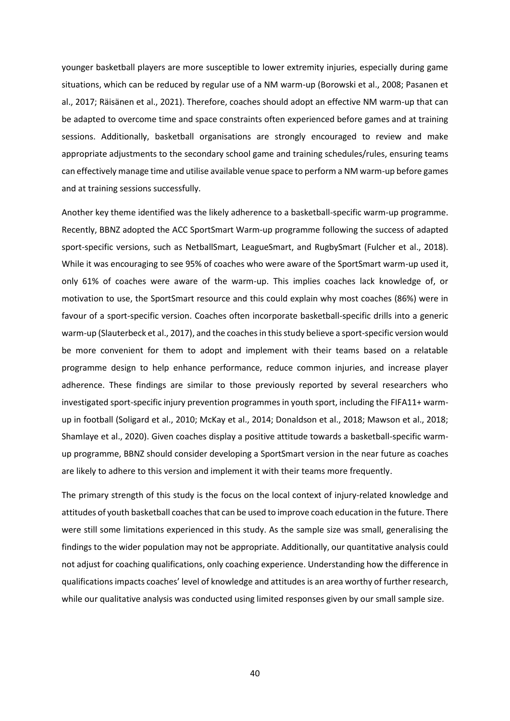younger basketball players are more susceptible to lower extremity injuries, especially during game situations, which can be reduced by regular use of a NM warm-up (Borowski et al., 2008; Pasanen et al., 2017; Räisänen et al., 2021). Therefore, coaches should adopt an effective NM warm-up that can be adapted to overcome time and space constraints often experienced before games and at training sessions. Additionally, basketball organisations are strongly encouraged to review and make appropriate adjustments to the secondary school game and training schedules/rules, ensuring teams can effectively manage time and utilise available venue space to perform a NM warm-up before games and at training sessions successfully.

Another key theme identified was the likely adherence to a basketball-specific warm-up programme. Recently, BBNZ adopted the ACC SportSmart Warm-up programme following the success of adapted sport-specific versions, such as NetballSmart, LeagueSmart, and RugbySmart (Fulcher et al., 2018). While it was encouraging to see 95% of coaches who were aware of the SportSmart warm-up used it, only 61% of coaches were aware of the warm-up. This implies coaches lack knowledge of, or motivation to use, the SportSmart resource and this could explain why most coaches (86%) were in favour of a sport-specific version. Coaches often incorporate basketball-specific drills into a generic warm-up (Slauterbeck et al., 2017), and the coaches in thisstudy believe a sport-specific version would be more convenient for them to adopt and implement with their teams based on a relatable programme design to help enhance performance, reduce common injuries, and increase player adherence. These findings are similar to those previously reported by several researchers who investigated sport-specific injury prevention programmes in youth sport, including the FIFA11+ warmup in football (Soligard et al., 2010; McKay et al., 2014; Donaldson et al., 2018; Mawson et al., 2018; Shamlaye et al., 2020). Given coaches display a positive attitude towards a basketball-specific warmup programme, BBNZ should consider developing a SportSmart version in the near future as coaches are likely to adhere to this version and implement it with their teams more frequently.

The primary strength of this study is the focus on the local context of injury-related knowledge and attitudes of youth basketball coaches that can be used to improve coach education in the future. There were still some limitations experienced in this study. As the sample size was small, generalising the findings to the wider population may not be appropriate. Additionally, our quantitative analysis could not adjust for coaching qualifications, only coaching experience. Understanding how the difference in qualifications impacts coaches' level of knowledge and attitudes is an area worthy of further research, while our qualitative analysis was conducted using limited responses given by our small sample size.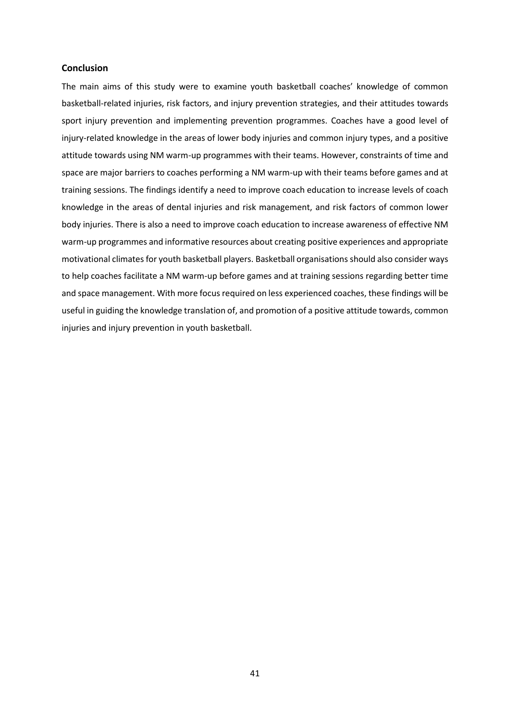#### **Conclusion**

The main aims of this study were to examine youth basketball coaches' knowledge of common basketball-related injuries, risk factors, and injury prevention strategies, and their attitudes towards sport injury prevention and implementing prevention programmes. Coaches have a good level of injury-related knowledge in the areas of lower body injuries and common injury types, and a positive attitude towards using NM warm-up programmes with their teams. However, constraints of time and space are major barriers to coaches performing a NM warm-up with their teams before games and at training sessions. The findings identify a need to improve coach education to increase levels of coach knowledge in the areas of dental injuries and risk management, and risk factors of common lower body injuries. There is also a need to improve coach education to increase awareness of effective NM warm-up programmes and informative resources about creating positive experiences and appropriate motivational climates for youth basketball players. Basketball organisations should also consider ways to help coaches facilitate a NM warm-up before games and at training sessions regarding better time and space management. With more focus required on less experienced coaches, these findings will be useful in guiding the knowledge translation of, and promotion of a positive attitude towards, common injuries and injury prevention in youth basketball.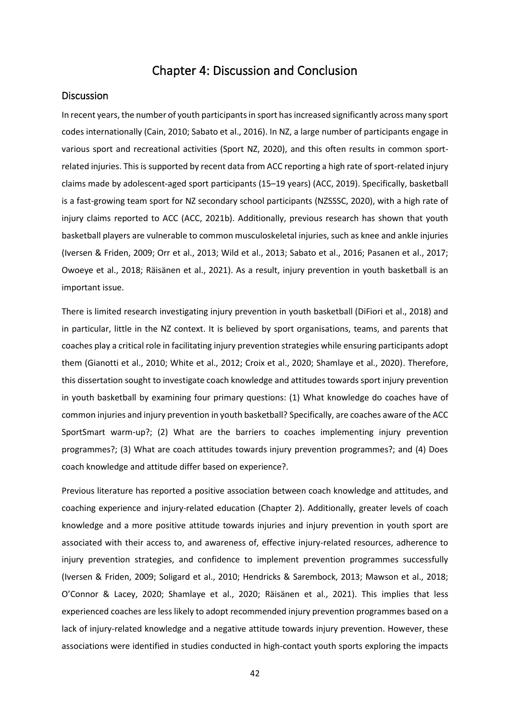### Chapter 4: Discussion and Conclusion

#### <span id="page-41-1"></span><span id="page-41-0"></span>**Discussion**

In recent years, the number of youth participants in sport has increased significantly across many sport codes internationally (Cain, 2010; Sabato et al., 2016). In NZ, a large number of participants engage in various sport and recreational activities (Sport NZ, 2020), and this often results in common sportrelated injuries. This is supported by recent data from ACC reporting a high rate of sport-related injury claims made by adolescent-aged sport participants (15–19 years) (ACC, 2019). Specifically, basketball is a fast-growing team sport for NZ secondary school participants (NZSSSC, 2020), with a high rate of injury claims reported to ACC (ACC, 2021b). Additionally, previous research has shown that youth basketball players are vulnerable to common musculoskeletal injuries, such as knee and ankle injuries (Iversen & Friden, 2009; Orr et al., 2013; Wild et al., 2013; Sabato et al., 2016; Pasanen et al., 2017; Owoeye et al., 2018; Räisänen et al., 2021). As a result, injury prevention in youth basketball is an important issue.

There is limited research investigating injury prevention in youth basketball (DiFiori et al., 2018) and in particular, little in the NZ context. It is believed by sport organisations, teams, and parents that coaches play a critical role in facilitating injury prevention strategies while ensuring participants adopt them (Gianotti et al., 2010; White et al., 2012; Croix et al., 2020; Shamlaye et al., 2020). Therefore, this dissertation sought to investigate coach knowledge and attitudes towards sport injury prevention in youth basketball by examining four primary questions: (1) What knowledge do coaches have of common injuries and injury prevention in youth basketball? Specifically, are coaches aware of the ACC SportSmart warm-up?; (2) What are the barriers to coaches implementing injury prevention programmes?; (3) What are coach attitudes towards injury prevention programmes?; and (4) Does coach knowledge and attitude differ based on experience?.

Previous literature has reported a positive association between coach knowledge and attitudes, and coaching experience and injury-related education (Chapter 2). Additionally, greater levels of coach knowledge and a more positive attitude towards injuries and injury prevention in youth sport are associated with their access to, and awareness of, effective injury-related resources, adherence to injury prevention strategies, and confidence to implement prevention programmes successfully (Iversen & Friden, 2009; Soligard et al., 2010; Hendricks & Sarembock, 2013; Mawson et al., 2018; O'Connor & Lacey, 2020; Shamlaye et al., 2020; Räisänen et al., 2021). This implies that less experienced coaches are less likely to adopt recommended injury prevention programmes based on a lack of injury-related knowledge and a negative attitude towards injury prevention. However, these associations were identified in studies conducted in high-contact youth sports exploring the impacts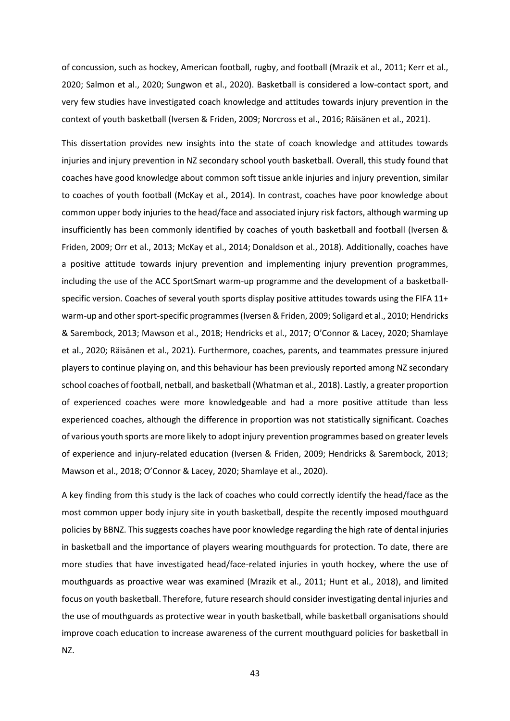of concussion, such as hockey, American football, rugby, and football (Mrazik et al., 2011; Kerr et al., 2020; Salmon et al., 2020; Sungwon et al., 2020). Basketball is considered a low-contact sport, and very few studies have investigated coach knowledge and attitudes towards injury prevention in the context of youth basketball (Iversen & Friden, 2009; Norcross et al., 2016; Räisänen et al., 2021).

This dissertation provides new insights into the state of coach knowledge and attitudes towards injuries and injury prevention in NZ secondary school youth basketball. Overall, this study found that coaches have good knowledge about common soft tissue ankle injuries and injury prevention, similar to coaches of youth football (McKay et al., 2014). In contrast, coaches have poor knowledge about common upper body injuries to the head/face and associated injury risk factors, although warming up insufficiently has been commonly identified by coaches of youth basketball and football (Iversen & Friden, 2009; Orr et al., 2013; McKay et al., 2014; Donaldson et al., 2018). Additionally, coaches have a positive attitude towards injury prevention and implementing injury prevention programmes, including the use of the ACC SportSmart warm-up programme and the development of a basketballspecific version. Coaches of several youth sports display positive attitudes towards using the FIFA 11+ warm-up and other sport-specific programmes (Iversen & Friden, 2009; Soligard et al., 2010; Hendricks & Sarembock, 2013; Mawson et al., 2018; Hendricks et al., 2017; O'Connor & Lacey, 2020; Shamlaye et al., 2020; Räisänen et al., 2021). Furthermore, coaches, parents, and teammates pressure injured players to continue playing on, and this behaviour has been previously reported among NZ secondary school coaches of football, netball, and basketball (Whatman et al., 2018). Lastly, a greater proportion of experienced coaches were more knowledgeable and had a more positive attitude than less experienced coaches, although the difference in proportion was not statistically significant. Coaches of various youth sports are more likely to adopt injury prevention programmes based on greater levels of experience and injury-related education (Iversen & Friden, 2009; Hendricks & Sarembock, 2013; Mawson et al., 2018; O'Connor & Lacey, 2020; Shamlaye et al., 2020).

A key finding from this study is the lack of coaches who could correctly identify the head/face as the most common upper body injury site in youth basketball, despite the recently imposed mouthguard policies by BBNZ. Thissuggests coaches have poor knowledge regarding the high rate of dental injuries in basketball and the importance of players wearing mouthguards for protection. To date, there are more studies that have investigated head/face-related injuries in youth hockey, where the use of mouthguards as proactive wear was examined (Mrazik et al., 2011; Hunt et al., 2018), and limited focus on youth basketball. Therefore, future research should consider investigating dental injuries and the use of mouthguards as protective wear in youth basketball, while basketball organisations should improve coach education to increase awareness of the current mouthguard policies for basketball in NZ.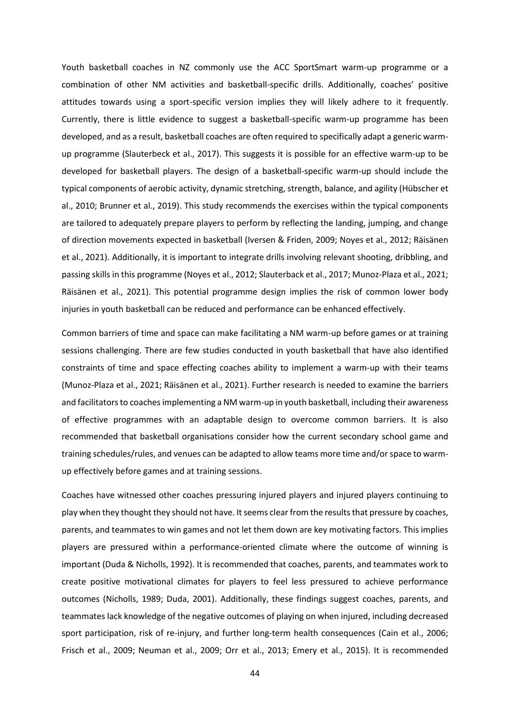Youth basketball coaches in NZ commonly use the ACC SportSmart warm-up programme or a combination of other NM activities and basketball-specific drills. Additionally, coaches' positive attitudes towards using a sport-specific version implies they will likely adhere to it frequently. Currently, there is little evidence to suggest a basketball-specific warm-up programme has been developed, and as a result, basketball coaches are often required to specifically adapt a generic warmup programme (Slauterbeck et al., 2017). This suggests it is possible for an effective warm-up to be developed for basketball players. The design of a basketball-specific warm-up should include the typical components of aerobic activity, dynamic stretching, strength, balance, and agility (Hübscher et al., 2010; Brunner et al., 2019). This study recommends the exercises within the typical components are tailored to adequately prepare players to perform by reflecting the landing, jumping, and change of direction movements expected in basketball (Iversen & Friden, 2009; Noyes et al., 2012; Räisänen et al., 2021). Additionally, it is important to integrate drills involving relevant shooting, dribbling, and passing skills in this programme (Noyes et al., 2012; Slauterback et al., 2017; Munoz-Plaza et al., 2021; Räisänen et al., 2021). This potential programme design implies the risk of common lower body injuries in youth basketball can be reduced and performance can be enhanced effectively.

Common barriers of time and space can make facilitating a NM warm-up before games or at training sessions challenging. There are few studies conducted in youth basketball that have also identified constraints of time and space effecting coaches ability to implement a warm-up with their teams (Munoz-Plaza et al., 2021; Räisänen et al., 2021). Further research is needed to examine the barriers and facilitators to coaches implementing a NM warm-up in youth basketball, including their awareness of effective programmes with an adaptable design to overcome common barriers. It is also recommended that basketball organisations consider how the current secondary school game and training schedules/rules, and venues can be adapted to allow teams more time and/or space to warmup effectively before games and at training sessions.

Coaches have witnessed other coaches pressuring injured players and injured players continuing to play when they thought they should not have. It seems clear from the results that pressure by coaches, parents, and teammates to win games and not let them down are key motivating factors. This implies players are pressured within a performance-oriented climate where the outcome of winning is important (Duda & Nicholls, 1992). It is recommended that coaches, parents, and teammates work to create positive motivational climates for players to feel less pressured to achieve performance outcomes (Nicholls, 1989; Duda, 2001). Additionally, these findings suggest coaches, parents, and teammates lack knowledge of the negative outcomes of playing on when injured, including decreased sport participation, risk of re-injury, and further long-term health consequences (Cain et al., 2006; Frisch et al., 2009; Neuman et al., 2009; Orr et al., 2013; Emery et al., 2015). It is recommended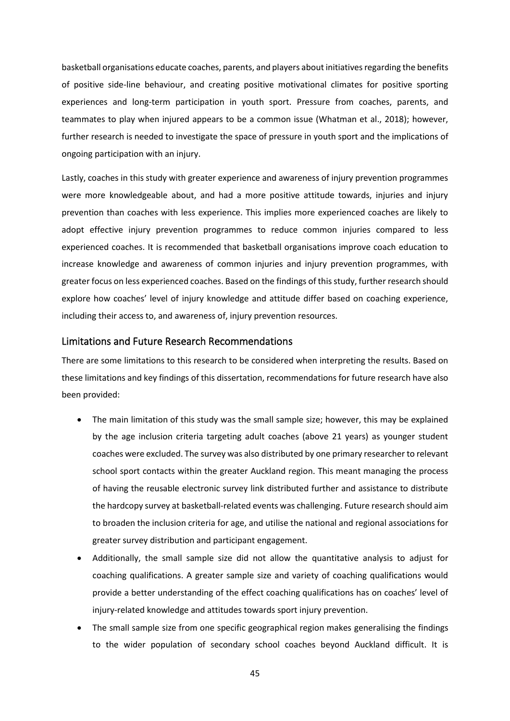basketball organisations educate coaches, parents, and players about initiatives regarding the benefits of positive side-line behaviour, and creating positive motivational climates for positive sporting experiences and long-term participation in youth sport. Pressure from coaches, parents, and teammates to play when injured appears to be a common issue (Whatman et al., 2018); however, further research is needed to investigate the space of pressure in youth sport and the implications of ongoing participation with an injury.

Lastly, coaches in this study with greater experience and awareness of injury prevention programmes were more knowledgeable about, and had a more positive attitude towards, injuries and injury prevention than coaches with less experience. This implies more experienced coaches are likely to adopt effective injury prevention programmes to reduce common injuries compared to less experienced coaches. It is recommended that basketball organisations improve coach education to increase knowledge and awareness of common injuries and injury prevention programmes, with greater focus on less experienced coaches. Based on the findings of this study, further research should explore how coaches' level of injury knowledge and attitude differ based on coaching experience, including their access to, and awareness of, injury prevention resources.

#### <span id="page-44-0"></span>Limitations and Future Research Recommendations

There are some limitations to this research to be considered when interpreting the results. Based on these limitations and key findings of this dissertation, recommendations for future research have also been provided:

- The main limitation of this study was the small sample size; however, this may be explained by the age inclusion criteria targeting adult coaches (above 21 years) as younger student coaches were excluded. The survey was also distributed by one primary researcher to relevant school sport contacts within the greater Auckland region. This meant managing the process of having the reusable electronic survey link distributed further and assistance to distribute the hardcopy survey at basketball-related events was challenging. Future research should aim to broaden the inclusion criteria for age, and utilise the national and regional associations for greater survey distribution and participant engagement.
- Additionally, the small sample size did not allow the quantitative analysis to adjust for coaching qualifications. A greater sample size and variety of coaching qualifications would provide a better understanding of the effect coaching qualifications has on coaches' level of injury-related knowledge and attitudes towards sport injury prevention.
- The small sample size from one specific geographical region makes generalising the findings to the wider population of secondary school coaches beyond Auckland difficult. It is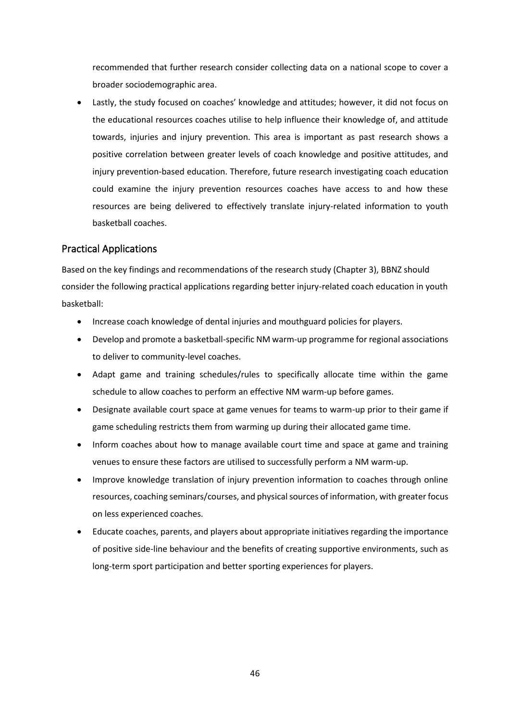recommended that further research consider collecting data on a national scope to cover a broader sociodemographic area.

Lastly, the study focused on coaches' knowledge and attitudes; however, it did not focus on the educational resources coaches utilise to help influence their knowledge of, and attitude towards, injuries and injury prevention. This area is important as past research shows a positive correlation between greater levels of coach knowledge and positive attitudes, and injury prevention-based education. Therefore, future research investigating coach education could examine the injury prevention resources coaches have access to and how these resources are being delivered to effectively translate injury-related information to youth basketball coaches.

#### <span id="page-45-0"></span>Practical Applications

Based on the key findings and recommendations of the research study (Chapter 3), BBNZ should consider the following practical applications regarding better injury-related coach education in youth basketball:

- Increase coach knowledge of dental injuries and mouthguard policies for players.
- Develop and promote a basketball-specific NM warm-up programme for regional associations to deliver to community-level coaches.
- Adapt game and training schedules/rules to specifically allocate time within the game schedule to allow coaches to perform an effective NM warm-up before games.
- Designate available court space at game venues for teams to warm-up prior to their game if game scheduling restricts them from warming up during their allocated game time.
- Inform coaches about how to manage available court time and space at game and training venues to ensure these factors are utilised to successfully perform a NM warm-up.
- Improve knowledge translation of injury prevention information to coaches through online resources, coaching seminars/courses, and physical sources of information, with greater focus on less experienced coaches.
- Educate coaches, parents, and players about appropriate initiatives regarding the importance of positive side-line behaviour and the benefits of creating supportive environments, such as long-term sport participation and better sporting experiences for players.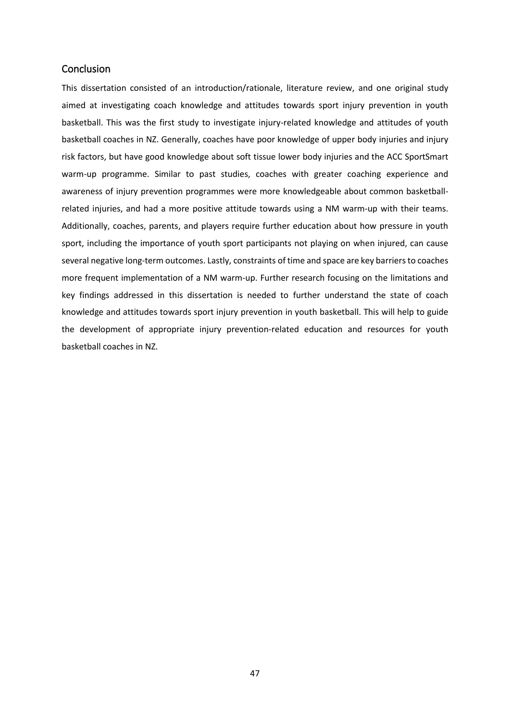#### <span id="page-46-0"></span>**Conclusion**

This dissertation consisted of an introduction/rationale, literature review, and one original study aimed at investigating coach knowledge and attitudes towards sport injury prevention in youth basketball. This was the first study to investigate injury-related knowledge and attitudes of youth basketball coaches in NZ. Generally, coaches have poor knowledge of upper body injuries and injury risk factors, but have good knowledge about soft tissue lower body injuries and the ACC SportSmart warm-up programme. Similar to past studies, coaches with greater coaching experience and awareness of injury prevention programmes were more knowledgeable about common basketballrelated injuries, and had a more positive attitude towards using a NM warm-up with their teams. Additionally, coaches, parents, and players require further education about how pressure in youth sport, including the importance of youth sport participants not playing on when injured, can cause several negative long-term outcomes. Lastly, constraints of time and space are key barriers to coaches more frequent implementation of a NM warm-up. Further research focusing on the limitations and key findings addressed in this dissertation is needed to further understand the state of coach knowledge and attitudes towards sport injury prevention in youth basketball. This will help to guide the development of appropriate injury prevention-related education and resources for youth basketball coaches in NZ.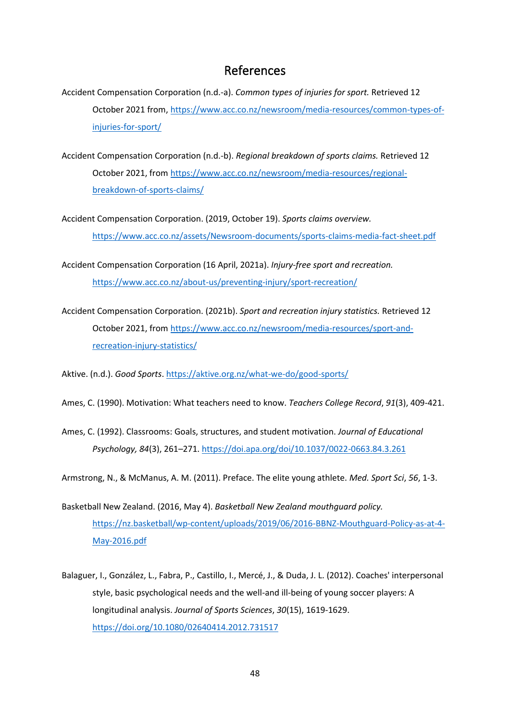### References

- <span id="page-47-0"></span>Accident Compensation Corporation (n.d.-a). *Common types of injuries for sport.* Retrieved 12 October 2021 from, [https://www.acc.co.nz/newsroom/media-resources/common-types-of](https://www.acc.co.nz/newsroom/media-resources/common-types-of-injuries-for-sport/)[injuries-for-sport/](https://www.acc.co.nz/newsroom/media-resources/common-types-of-injuries-for-sport/)
- Accident Compensation Corporation (n.d.-b). *Regional breakdown of sports claims.* Retrieved 12 October 2021, from [https://www.acc.co.nz/newsroom/media-resources/regional](https://www.acc.co.nz/newsroom/media-resources/regional-breakdown-of-sports-claims/)[breakdown-of-sports-claims/](https://www.acc.co.nz/newsroom/media-resources/regional-breakdown-of-sports-claims/)
- Accident Compensation Corporation. (2019, October 19). *Sports claims overview.* <https://www.acc.co.nz/assets/Newsroom-documents/sports-claims-media-fact-sheet.pdf>

Accident Compensation Corporation (16 April, 2021a). *Injury-free sport and recreation.*  <https://www.acc.co.nz/about-us/preventing-injury/sport-recreation/>

Accident Compensation Corporation. (2021b). *Sport and recreation injury statistics.* Retrieved 12 October 2021, from [https://www.acc.co.nz/newsroom/media-resources/sport-and](https://www.acc.co.nz/newsroom/media-resources/sport-and-%09recreation-injury-statistics/)[recreation-injury-statistics/](https://www.acc.co.nz/newsroom/media-resources/sport-and-%09recreation-injury-statistics/)

Aktive. (n.d.). *Good Sports*.<https://aktive.org.nz/what-we-do/good-sports/>

- Ames, C. (1990). Motivation: What teachers need to know. *Teachers College Record*, *91*(3), 409-421.
- Ames, C. (1992). Classrooms: Goals, structures, and student motivation. *Journal of Educational Psychology, 84*(3), 261–271. <https://doi.apa.org/doi/10.1037/0022-0663.84.3.261>

Armstrong, N., & McManus, A. M. (2011). Preface. The elite young athlete. *Med. Sport Sci*, *56*, 1-3.

- Basketball New Zealand. (2016, May 4). *Basketball New Zealand mouthguard policy.* [https://nz.basketball/wp-content/uploads/2019/06/2016-BBNZ-Mouthguard-Policy-as-at-4-](https://nz.basketball/wp-content/uploads/2019/06/2016-BBNZ-Mouthguard-Policy-as-at-4-May-2016.pdf) [May-2016.pdf](https://nz.basketball/wp-content/uploads/2019/06/2016-BBNZ-Mouthguard-Policy-as-at-4-May-2016.pdf)
- Balaguer, I., González, L., Fabra, P., Castillo, I., Mercé, J., & Duda, J. L. (2012). Coaches' interpersonal style, basic psychological needs and the well-and ill-being of young soccer players: A longitudinal analysis. *Journal of Sports Sciences*, *30*(15), 1619-1629. <https://doi.org/10.1080/02640414.2012.731517>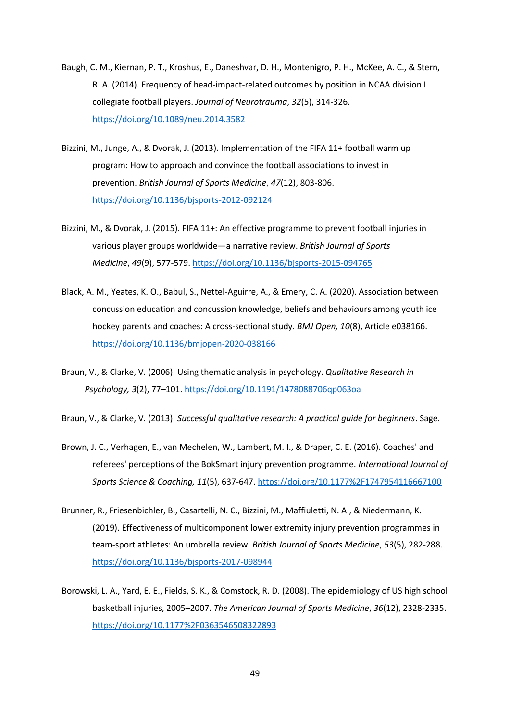- Baugh, C. M., Kiernan, P. T., Kroshus, E., Daneshvar, D. H., Montenigro, P. H., McKee, A. C., & Stern, R. A. (2014). Frequency of head-impact-related outcomes by position in NCAA division I collegiate football players. *Journal of Neurotrauma*, *32*(5), 314-326. <https://doi.org/10.1089/neu.2014.3582>
- Bizzini, M., Junge, A., & Dvorak, J. (2013). Implementation of the FIFA 11+ football warm up program: How to approach and convince the football associations to invest in prevention. *British Journal of Sports Medicine*, *47*(12), 803-806. <https://doi.org/10.1136/bjsports-2012-092124>
- Bizzini, M., & Dvorak, J. (2015). FIFA 11+: An effective programme to prevent football injuries in various player groups worldwide—a narrative review. *British Journal of Sports Medicine*, *49*(9), 577-579. <https://doi.org/10.1136/bjsports-2015-094765>
- Black, A. M., Yeates, K. O., Babul, S., Nettel-Aguirre, A., & Emery, C. A. (2020). Association between concussion education and concussion knowledge, beliefs and behaviours among youth ice hockey parents and coaches: A cross-sectional study. *BMJ Open, 10*(8), Article e038166. <https://doi.org/10.1136/bmjopen-2020-038166>
- Braun, V., & Clarke, V. (2006). Using thematic analysis in psychology. *Qualitative Research in Psychology, 3*(2), 77–101. <https://doi.org/10.1191/1478088706qp063oa>

Braun, V., & Clarke, V. (2013). *Successful qualitative research: A practical guide for beginners*. Sage.

- Brown, J. C., Verhagen, E., van Mechelen, W., Lambert, M. I., & Draper, C. E. (2016). Coaches' and referees' perceptions of the BokSmart injury prevention programme. *International Journal of Sports Science & Coaching, 11*(5), 637-647.<https://doi.org/10.1177%2F1747954116667100>
- Brunner, R., Friesenbichler, B., Casartelli, N. C., Bizzini, M., Maffiuletti, N. A., & Niedermann, K. (2019). Effectiveness of multicomponent lower extremity injury prevention programmes in team-sport athletes: An umbrella review. *British Journal of Sports Medicine*, *53*(5), 282-288. <https://doi.org/10.1136/bjsports-2017-098944>
- Borowski, L. A., Yard, E. E., Fields, S. K., & Comstock, R. D. (2008). The epidemiology of US high school basketball injuries, 2005–2007. *The American Journal of Sports Medicine*, *36*(12), 2328-2335. <https://doi.org/10.1177%2F0363546508322893>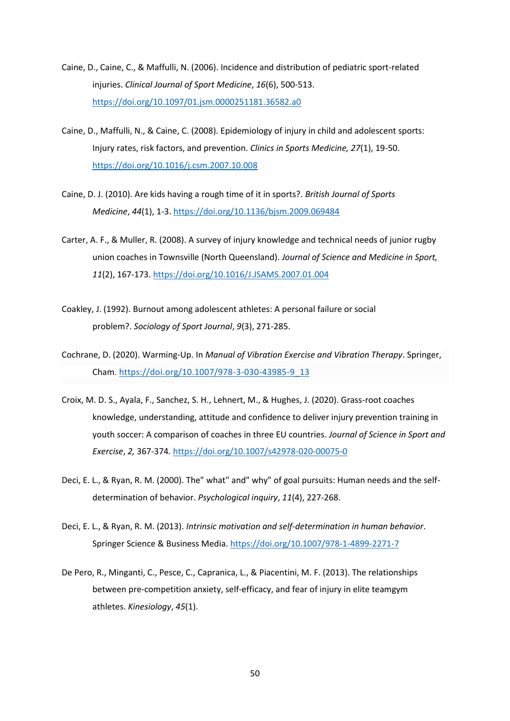- Caine, D., Caine, C., & Maffulli, N. (2006). Incidence and distribution of pediatric sport-related injuries. *Clinical Journal of Sport Medicine*, *16*(6), 500-513. <https://doi.org/10.1097/01.jsm.0000251181.36582.a0>
- Caine, D., Maffulli, N., & Caine, C. (2008). Epidemiology of injury in child and adolescent sports: Injury rates, risk factors, and prevention. *Clinics in Sports Medicine, 27*(1), 19-50. <https://doi.org/10.1016/j.csm.2007.10.008>
- Caine, D. J. (2010). Are kids having a rough time of it in sports?. *British Journal of Sports Medicine*, *44*(1), 1-3[. https://doi.org/10.1136/bjsm.2009.069484](https://doi.org/10.1136/bjsm.2009.069484)
- Carter, A. F., & Muller, R. (2008). A survey of injury knowledge and technical needs of junior rugby union coaches in Townsville (North Queensland). *Journal of Science and Medicine in Sport, 11*(2), 167-173[. https://doi.org/10.1016/J.JSAMS.2007.01.004](https://doi.org/10.1016/J.JSAMS.2007.01.004)
- Coakley, J. (1992). Burnout among adolescent athletes: A personal failure or social problem?. *Sociology of Sport Journal*, *9*(3), 271-285.
- Cochrane, D. (2020). Warming-Up. In *Manual of Vibration Exercise and Vibration Therapy*. Springer, Cham. [https://doi.org/10.1007/978-3-030-43985-9\\_13](https://doi.org/10.1007/978-3-030-43985-9_13)
- Croix, M. D. S., Ayala, F., Sanchez, S. H., Lehnert, M., & Hughes, J. (2020). Grass-root coaches knowledge, understanding, attitude and confidence to deliver injury prevention training in youth soccer: A comparison of coaches in three EU countries. *Journal of Science in Sport and Exercise*, *2,* 367-374*.* <https://doi.org/10.1007/s42978-020-00075-0>
- Deci, E. L., & Ryan, R. M. (2000). The" what" and" why" of goal pursuits: Human needs and the selfdetermination of behavior. *Psychological inquiry*, *11*(4), 227-268.
- Deci, E. L., & Ryan, R. M. (2013). *Intrinsic motivation and self-determination in human behavior*. Springer Science & Business Media[. https://doi.org/10.1007/978-1-4899-2271-7](https://doi.org/10.1007/978-1-4899-2271-7)
- De Pero, R., Minganti, C., Pesce, C., Capranica, L., & Piacentini, M. F. (2013). The relationships between pre-competition anxiety, self-efficacy, and fear of injury in elite teamgym athletes. *Kinesiology*, *45*(1).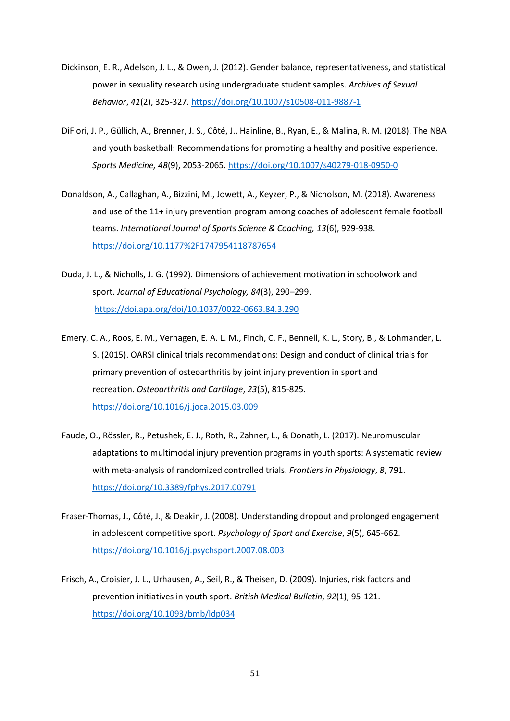- Dickinson, E. R., Adelson, J. L., & Owen, J. (2012). Gender balance, representativeness, and statistical power in sexuality research using undergraduate student samples. *Archives of Sexual Behavior*, *41*(2), 325-327.<https://doi.org/10.1007/s10508-011-9887-1>
- DiFiori, J. P., Güllich, A., Brenner, J. S., Côté, J., Hainline, B., Ryan, E., & Malina, R. M. (2018). The NBA and youth basketball: Recommendations for promoting a healthy and positive experience. *Sports Medicine, 48*(9), 2053-2065[. https://doi.org/10.1007/s40279-018-0950-0](https://doi.org/10.1007/s40279-018-0950-0)
- Donaldson, A., Callaghan, A., Bizzini, M., Jowett, A., Keyzer, P., & Nicholson, M. (2018). Awareness and use of the 11+ injury prevention program among coaches of adolescent female football teams. *International Journal of Sports Science & Coaching, 13*(6), 929-938. <https://doi.org/10.1177%2F1747954118787654>
- Duda, J. L., & Nicholls, J. G. (1992). Dimensions of achievement motivation in schoolwork and sport. *Journal of Educational Psychology, 84*(3), 290–299. <https://doi.apa.org/doi/10.1037/0022-0663.84.3.290>
- Emery, C. A., Roos, E. M., Verhagen, E. A. L. M., Finch, C. F., Bennell, K. L., Story, B., & Lohmander, L. S. (2015). OARSI clinical trials recommendations: Design and conduct of clinical trials for primary prevention of osteoarthritis by joint injury prevention in sport and recreation. *Osteoarthritis and Cartilage*, *23*(5), 815-825. <https://doi.org/10.1016/j.joca.2015.03.009>
- Faude, O., Rössler, R., Petushek, E. J., Roth, R., Zahner, L., & Donath, L. (2017). Neuromuscular adaptations to multimodal injury prevention programs in youth sports: A systematic review with meta-analysis of randomized controlled trials. *Frontiers in Physiology*, *8*, 791. <https://doi.org/10.3389/fphys.2017.00791>
- Fraser-Thomas, J., Côté, J., & Deakin, J. (2008). Understanding dropout and prolonged engagement in adolescent competitive sport. *Psychology of Sport and Exercise*, *9*(5), 645-662. <https://doi.org/10.1016/j.psychsport.2007.08.003>
- Frisch, A., Croisier, J. L., Urhausen, A., Seil, R., & Theisen, D. (2009). Injuries, risk factors and prevention initiatives in youth sport. *British Medical Bulletin*, *92*(1), 95-121. <https://doi.org/10.1093/bmb/ldp034>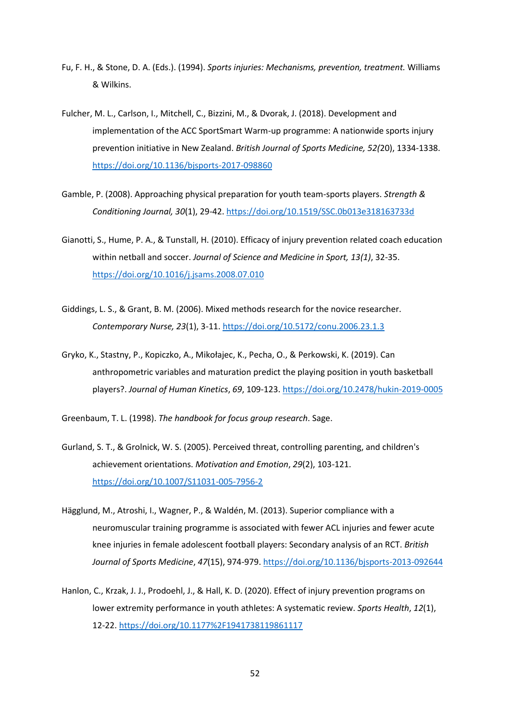- Fu, F. H., & Stone, D. A. (Eds.). (1994). *Sports injuries: Mechanisms, prevention, treatment.* Williams & Wilkins.
- Fulcher, M. L., Carlson, I., Mitchell, C., Bizzini, M., & Dvorak, J. (2018). Development and implementation of the ACC SportSmart Warm-up programme: A nationwide sports injury prevention initiative in New Zealand. *British Journal of Sports Medicine, 52(*20), 1334-1338. <https://doi.org/10.1136/bjsports-2017-098860>
- Gamble, P. (2008). Approaching physical preparation for youth team-sports players. *Strength & Conditioning Journal, 30*(1), 29-42[. https://doi.org/10.1519/SSC.0b013e318163733d](https://doi.org/10.1519/SSC.0b013e318163733d)
- Gianotti, S., Hume, P. A., & Tunstall, H. (2010). Efficacy of injury prevention related coach education within netball and soccer. *Journal of Science and Medicine in Sport, 13(1)*, 32-35. <https://doi.org/10.1016/j.jsams.2008.07.010>
- Giddings, L. S., & Grant, B. M. (2006). Mixed methods research for the novice researcher. *Contemporary Nurse, 23*(1), 3-11.<https://doi.org/10.5172/conu.2006.23.1.3>
- Gryko, K., Stastny, P., Kopiczko, A., Mikołajec, K., Pecha, O., & Perkowski, K. (2019). Can anthropometric variables and maturation predict the playing position in youth basketball players?. *Journal of Human Kinetics*, *69*, 109-123.<https://doi.org/10.2478/hukin-2019-0005>

Greenbaum, T. L. (1998). *The handbook for focus group research*. Sage.

- Gurland, S. T., & Grolnick, W. S. (2005). Perceived threat, controlling parenting, and children's achievement orientations. *Motivation and Emotion*, *29*(2), 103-121. <https://doi.org/10.1007/S11031-005-7956-2>
- Hägglund, M., Atroshi, I., Wagner, P., & Waldén, M. (2013). Superior compliance with a neuromuscular training programme is associated with fewer ACL injuries and fewer acute knee injuries in female adolescent football players: Secondary analysis of an RCT. *British Journal of Sports Medicine*, *47*(15), 974-979.<https://doi.org/10.1136/bjsports-2013-092644>
- Hanlon, C., Krzak, J. J., Prodoehl, J., & Hall, K. D. (2020). Effect of injury prevention programs on lower extremity performance in youth athletes: A systematic review. *Sports Health*, *12*(1), 12-22.<https://doi.org/10.1177%2F1941738119861117>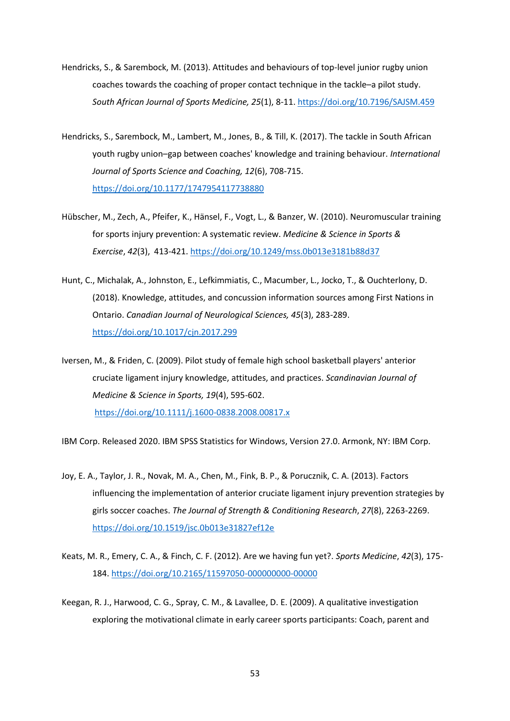- Hendricks, S., & Sarembock, M. (2013). Attitudes and behaviours of top-level junior rugby union coaches towards the coaching of proper contact technique in the tackle–a pilot study. *South African Journal of Sports Medicine, 25*(1), 8-11[. https://doi.org/10.7196/SAJSM.459](https://doi.org/10.7196/SAJSM.459)
- Hendricks, S., Sarembock, M., Lambert, M., Jones, B., & Till, K. (2017). The tackle in South African youth rugby union–gap between coaches' knowledge and training behaviour. *International Journal of Sports Science and Coaching, 12*(6), 708-715. <https://doi.org/10.1177/1747954117738880>
- Hübscher, M., Zech, A., Pfeifer, K., Hänsel, F., Vogt, L., & Banzer, W. (2010). Neuromuscular training for sports injury prevention: A systematic review. *Medicine & Science in Sports & Exercise*, *42*(3), 413-421.<https://doi.org/10.1249/mss.0b013e3181b88d37>
- Hunt, C., Michalak, A., Johnston, E., Lefkimmiatis, C., Macumber, L., Jocko, T., & Ouchterlony, D. (2018). Knowledge, attitudes, and concussion information sources among First Nations in Ontario. *Canadian Journal of Neurological Sciences, 45*(3), 283-289. <https://doi.org/10.1017/cjn.2017.299>

Iversen, M., & Friden, C. (2009). Pilot study of female high school basketball players' anterior cruciate ligament injury knowledge, attitudes, and practices. *Scandinavian Journal of Medicine & Science in Sports, 19*(4), 595-602. <https://doi.org/10.1111/j.1600-0838.2008.00817.x>

IBM Corp. Released 2020. IBM SPSS Statistics for Windows, Version 27.0. Armonk, NY: IBM Corp.

- Joy, E. A., Taylor, J. R., Novak, M. A., Chen, M., Fink, B. P., & Porucznik, C. A. (2013). Factors influencing the implementation of anterior cruciate ligament injury prevention strategies by girls soccer coaches. *The Journal of Strength & Conditioning Research*, *27*(8), 2263-2269. <https://doi.org/10.1519/jsc.0b013e31827ef12e>
- Keats, M. R., Emery, C. A., & Finch, C. F. (2012). Are we having fun yet?. *Sports Medicine*, *42*(3), 175- 184.<https://doi.org/10.2165/11597050-000000000-00000>
- Keegan, R. J., Harwood, C. G., Spray, C. M., & Lavallee, D. E. (2009). A qualitative investigation exploring the motivational climate in early career sports participants: Coach, parent and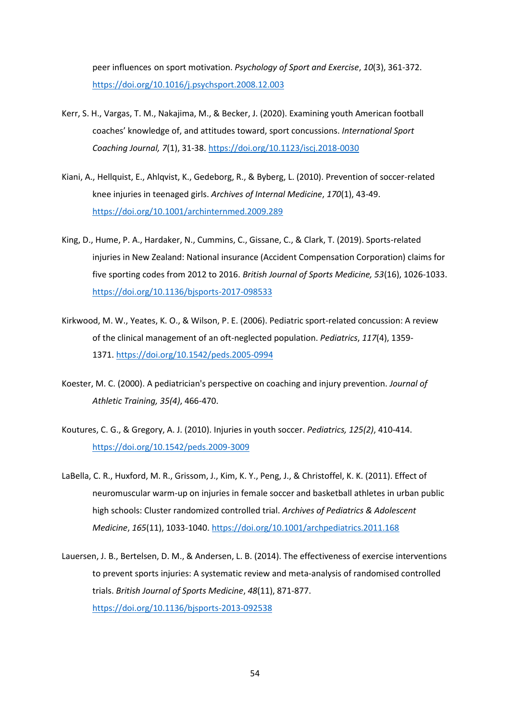peer influences on sport motivation. *Psychology of Sport and Exercise*, *10*(3), 361-372. <https://doi.org/10.1016/j.psychsport.2008.12.003>

- Kerr, S. H., Vargas, T. M., Nakajima, M., & Becker, J. (2020). Examining youth American football coaches' knowledge of, and attitudes toward, sport concussions. *International Sport Coaching Journal, 7*(1), 31-38.<https://doi.org/10.1123/iscj.2018-0030>
- Kiani, A., Hellquist, E., Ahlqvist, K., Gedeborg, R., & Byberg, L. (2010). Prevention of soccer-related knee injuries in teenaged girls. *Archives of Internal Medicine*, *170*(1), 43-49. <https://doi.org/10.1001/archinternmed.2009.289>
- King, D., Hume, P. A., Hardaker, N., Cummins, C., Gissane, C., & Clark, T. (2019). Sports-related injuries in New Zealand: National insurance (Accident Compensation Corporation) claims for five sporting codes from 2012 to 2016. *British Journal of Sports Medicine, 53*(16), 1026-1033. <https://doi.org/10.1136/bjsports-2017-098533>
- Kirkwood, M. W., Yeates, K. O., & Wilson, P. E. (2006). Pediatric sport-related concussion: A review of the clinical management of an oft-neglected population. *Pediatrics*, *117*(4), 1359- 1371[. https://doi.org/10.1542/peds.2005-0994](https://doi.org/10.1542/peds.2005-0994)
- Koester, M. C. (2000). A pediatrician's perspective on coaching and injury prevention. *Journal of Athletic Training, 35(4)*, 466-470.
- Koutures, C. G., & Gregory, A. J. (2010). Injuries in youth soccer. *Pediatrics, 125(2)*, 410-414. <https://doi.org/10.1542/peds.2009-3009>
- LaBella, C. R., Huxford, M. R., Grissom, J., Kim, K. Y., Peng, J., & Christoffel, K. K. (2011). Effect of neuromuscular warm-up on injuries in female soccer and basketball athletes in urban public high schools: Cluster randomized controlled trial. *Archives of Pediatrics & Adolescent Medicine*, *165*(11), 1033-1040.<https://doi.org/10.1001/archpediatrics.2011.168>
- Lauersen, J. B., Bertelsen, D. M., & Andersen, L. B. (2014). The effectiveness of exercise interventions to prevent sports injuries: A systematic review and meta-analysis of randomised controlled trials. *British Journal of Sports Medicine*, *48*(11), 871-877. <https://doi.org/10.1136/bjsports-2013-092538>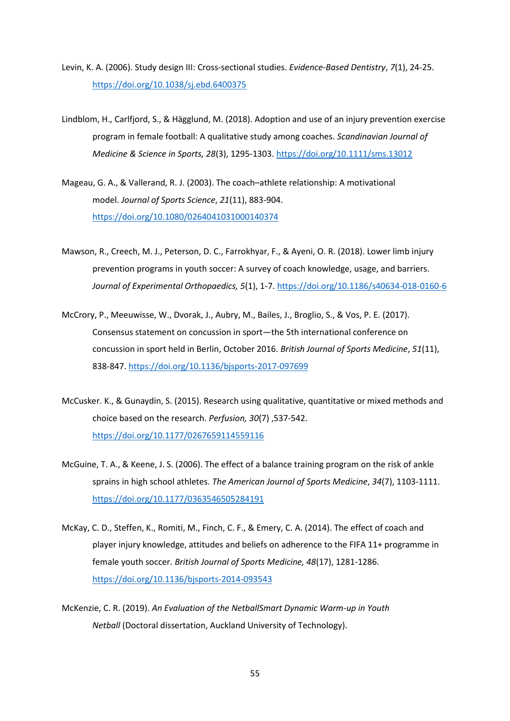- Levin, K. A. (2006). Study design III: Cross-sectional studies. *Evidence-Based Dentistry*, *7*(1), 24-25. <https://doi.org/10.1038/sj.ebd.6400375>
- Lindblom, H., Carlfjord, S., & Hägglund, M. (2018). Adoption and use of an injury prevention exercise program in female football: A qualitative study among coaches. *Scandinavian Journal of Medicine & Science in Sports, 28*(3), 1295-1303[. https://doi.org/10.1111/sms.13012](https://doi.org/10.1111/sms.13012)
- Mageau, G. A., & Vallerand, R. J. (2003). The coach–athlete relationship: A motivational model. *Journal of Sports Science*, *21*(11), 883-904. <https://doi.org/10.1080/0264041031000140374>
- Mawson, R., Creech, M. J., Peterson, D. C., Farrokhyar, F., & Ayeni, O. R. (2018). Lower limb injury prevention programs in youth soccer: A survey of coach knowledge, usage, and barriers. *Journal of Experimental Orthopaedics, 5*(1), 1-7[. https://doi.org/10.1186/s40634-018-0160-6](https://doi.org/10.1186/s40634-018-0160-6)
- McCrory, P., Meeuwisse, W., Dvorak, J., Aubry, M., Bailes, J., Broglio, S., & Vos, P. E. (2017). Consensus statement on concussion in sport—the 5th international conference on concussion in sport held in Berlin, October 2016. *British Journal of Sports Medicine*, *51*(11), 838-847.<https://doi.org/10.1136/bjsports-2017-097699>
- McCusker. K., & Gunaydin, S. (2015). Research using qualitative, quantitative or mixed methods and choice based on the research. *Perfusion, 30*(7) ,537-542. <https://doi.org/10.1177/0267659114559116>
- McGuine, T. A., & Keene, J. S. (2006). The effect of a balance training program on the risk of ankle sprains in high school athletes. *The American Journal of Sports Medicine*, *34*(7), 1103-1111. <https://doi.org/10.1177/0363546505284191>
- McKay, C. D., Steffen, K., Romiti, M., Finch, C. F., & Emery, C. A. (2014). The effect of coach and player injury knowledge, attitudes and beliefs on adherence to the FIFA 11+ programme in female youth soccer. *British Journal of Sports Medicine, 48*(17), 1281-1286. <https://doi.org/10.1136/bjsports-2014-093543>
- McKenzie, C. R. (2019). *An Evaluation of the NetballSmart Dynamic Warm-up in Youth Netball* (Doctoral dissertation, Auckland University of Technology).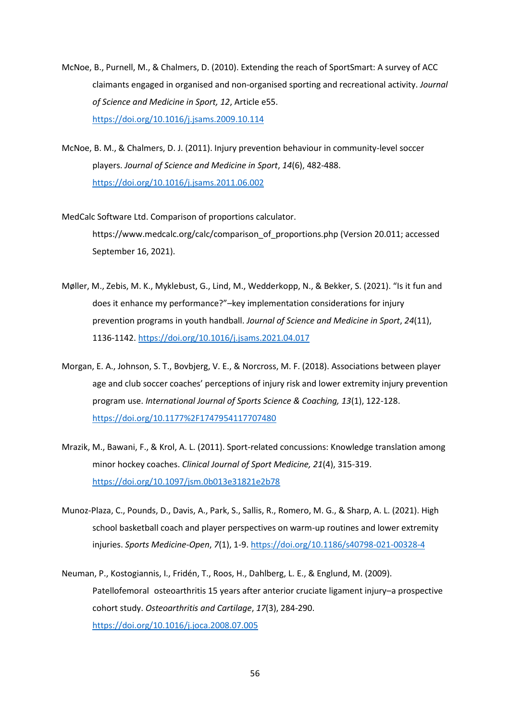- McNoe, B., Purnell, M., & Chalmers, D. (2010). Extending the reach of SportSmart: A survey of ACC claimants engaged in organised and non-organised sporting and recreational activity. *Journal of Science and Medicine in Sport, 12*, Article e55. <https://doi.org/10.1016/j.jsams.2009.10.114>
- McNoe, B. M., & Chalmers, D. J. (2011). Injury prevention behaviour in community-level soccer players. *Journal of Science and Medicine in Sport*, *14*(6), 482-488. <https://doi.org/10.1016/j.jsams.2011.06.002>
- MedCalc Software Ltd. Comparison of proportions calculator. https://www.medcalc.org/calc/comparison\_of\_proportions.php (Version 20.011; accessed September 16, 2021).
- Møller, M., Zebis, M. K., Myklebust, G., Lind, M., Wedderkopp, N., & Bekker, S. (2021). "Is it fun and does it enhance my performance?"–key implementation considerations for injury prevention programs in youth handball. *Journal of Science and Medicine in Sport*, *24*(11), 1136-1142.<https://doi.org/10.1016/j.jsams.2021.04.017>
- Morgan, E. A., Johnson, S. T., Bovbjerg, V. E., & Norcross, M. F. (2018). Associations between player age and club soccer coaches' perceptions of injury risk and lower extremity injury prevention program use. *International Journal of Sports Science & Coaching, 13*(1), 122-128. <https://doi.org/10.1177%2F1747954117707480>
- Mrazik, M., Bawani, F., & Krol, A. L. (2011). Sport-related concussions: Knowledge translation among minor hockey coaches. *Clinical Journal of Sport Medicine, 21*(4), 315-319. <https://doi.org/10.1097/jsm.0b013e31821e2b78>
- Munoz-Plaza, C., Pounds, D., Davis, A., Park, S., Sallis, R., Romero, M. G., & Sharp, A. L. (2021). High school basketball coach and player perspectives on warm-up routines and lower extremity injuries. *Sports Medicine-Open*, *7*(1), 1-9[. https://doi.org/10.1186/s40798-021-00328-4](https://doi.org/10.1186/s40798-021-00328-4)
- Neuman, P., Kostogiannis, I., Fridén, T., Roos, H., Dahlberg, L. E., & Englund, M. (2009). Patellofemoral osteoarthritis 15 years after anterior cruciate ligament injury–a prospective cohort study. *Osteoarthritis and Cartilage*, *17*(3), 284-290. <https://doi.org/10.1016/j.joca.2008.07.005>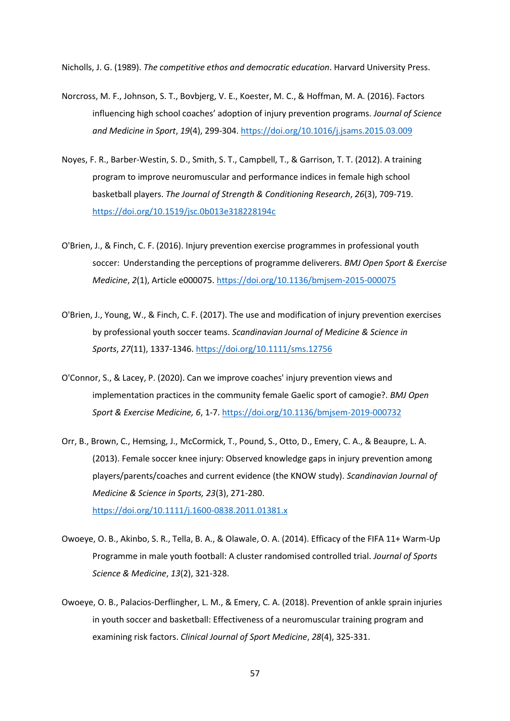Nicholls, J. G. (1989). *The competitive ethos and democratic education*. Harvard University Press.

- Norcross, M. F., Johnson, S. T., Bovbjerg, V. E., Koester, M. C., & Hoffman, M. A. (2016). Factors influencing high school coaches' adoption of injury prevention programs. *Journal of Science and Medicine in Sport*, *19*(4), 299-304.<https://doi.org/10.1016/j.jsams.2015.03.009>
- Noyes, F. R., Barber-Westin, S. D., Smith, S. T., Campbell, T., & Garrison, T. T. (2012). A training program to improve neuromuscular and performance indices in female high school basketball players. *The Journal of Strength & Conditioning Research*, *26*(3), 709-719. <https://doi.org/10.1519/jsc.0b013e318228194c>
- O'Brien, J., & Finch, C. F. (2016). Injury prevention exercise programmes in professional youth soccer: Understanding the perceptions of programme deliverers. *BMJ Open Sport & Exercise Medicine*, *2*(1), Article e000075.<https://doi.org/10.1136/bmjsem-2015-000075>
- O'Brien, J., Young, W., & Finch, C. F. (2017). The use and modification of injury prevention exercises by professional youth soccer teams. *Scandinavian Journal of Medicine & Science in Sports*, *27*(11), 1337-1346[. https://doi.org/10.1111/sms.12756](https://doi.org/10.1111/sms.12756)
- O'Connor, S., & Lacey, P. (2020). Can we improve coaches' injury prevention views and implementation practices in the community female Gaelic sport of camogie?. *BMJ Open Sport & Exercise Medicine, 6*, 1-7.<https://doi.org/10.1136/bmjsem-2019-000732>
- Orr, B., Brown, C., Hemsing, J., McCormick, T., Pound, S., Otto, D., Emery, C. A., & Beaupre, L. A. (2013). Female soccer knee injury: Observed knowledge gaps in injury prevention among players/parents/coaches and current evidence (the KNOW study). *Scandinavian Journal of Medicine & Science in Sports, 23*(3), 271-280. <https://doi.org/10.1111/j.1600-0838.2011.01381.x>
- Owoeye, O. B., Akinbo, S. R., Tella, B. A., & Olawale, O. A. (2014). Efficacy of the FIFA 11+ Warm-Up Programme in male youth football: A cluster randomised controlled trial. *Journal of Sports Science & Medicine*, *13*(2), 321-328.
- Owoeye, O. B., Palacios-Derflingher, L. M., & Emery, C. A. (2018). Prevention of ankle sprain injuries in youth soccer and basketball: Effectiveness of a neuromuscular training program and examining risk factors. *Clinical Journal of Sport Medicine*, *28*(4), 325-331.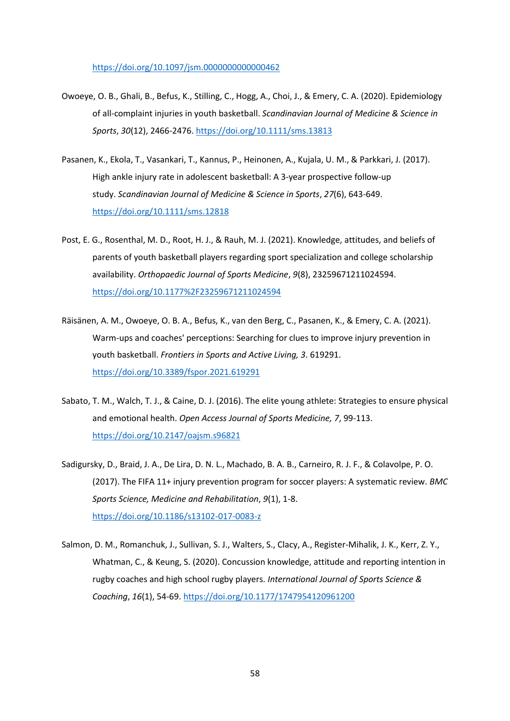<https://doi.org/10.1097/jsm.0000000000000462>

- Owoeye, O. B., Ghali, B., Befus, K., Stilling, C., Hogg, A., Choi, J., & Emery, C. A. (2020). Epidemiology of all‐complaint injuries in youth basketball. *Scandinavian Journal of Medicine & Science in Sports*, *30*(12), 2466-2476[. https://doi.org/10.1111/sms.13813](https://doi.org/10.1111/sms.13813)
- Pasanen, K., Ekola, T., Vasankari, T., Kannus, P., Heinonen, A., Kujala, U. M., & Parkkari, J. (2017). High ankle injury rate in adolescent basketball: A 3‐year prospective follow‐up study. *Scandinavian Journal of Medicine & Science in Sports*, *27*(6), 643-649. <https://doi.org/10.1111/sms.12818>
- Post, E. G., Rosenthal, M. D., Root, H. J., & Rauh, M. J. (2021). Knowledge, attitudes, and beliefs of parents of youth basketball players regarding sport specialization and college scholarship availability. *Orthopaedic Journal of Sports Medicine*, *9*(8), 23259671211024594. <https://doi.org/10.1177%2F23259671211024594>
- Räisänen, A. M., Owoeye, O. B. A., Befus, K., van den Berg, C., Pasanen, K., & Emery, C. A. (2021). Warm-ups and coaches' perceptions: Searching for clues to improve injury prevention in youth basketball. *Frontiers in Sports and Active Living, 3*. 619291. <https://doi.org/10.3389/fspor.2021.619291>
- Sabato, T. M., Walch, T. J., & Caine, D. J. (2016). The elite young athlete: Strategies to ensure physical and emotional health. *Open Access Journal of Sports Medicine, 7*, 99-113. <https://doi.org/10.2147/oajsm.s96821>
- Sadigursky, D., Braid, J. A., De Lira, D. N. L., Machado, B. A. B., Carneiro, R. J. F., & Colavolpe, P. O. (2017). The FIFA 11+ injury prevention program for soccer players: A systematic review. *BMC Sports Science, Medicine and Rehabilitation*, *9*(1), 1-8. <https://doi.org/10.1186/s13102-017-0083-z>
- Salmon, D. M., Romanchuk, J., Sullivan, S. J., Walters, S., Clacy, A., Register-Mihalik, J. K., Kerr, Z. Y., Whatman, C., & Keung, S. (2020). Concussion knowledge, attitude and reporting intention in rugby coaches and high school rugby players. *International Journal of Sports Science & Coaching*, *16*(1), 54-69.<https://doi.org/10.1177/1747954120961200>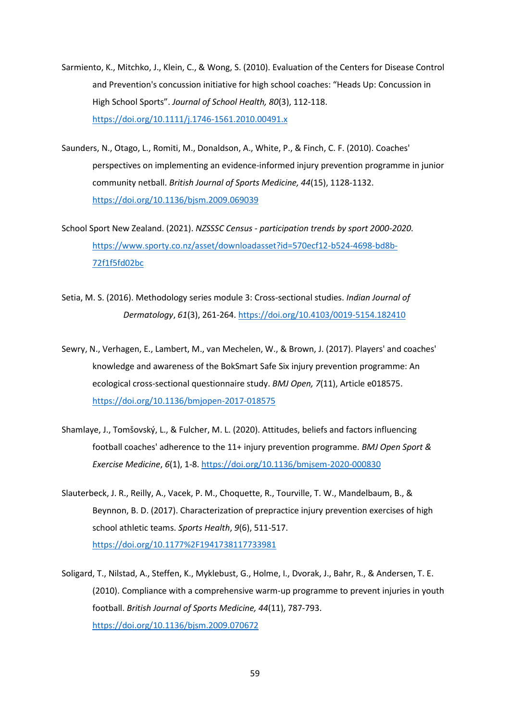- Sarmiento, K., Mitchko, J., Klein, C., & Wong, S. (2010). Evaluation of the Centers for Disease Control and Prevention's concussion initiative for high school coaches: "Heads Up: Concussion in High School Sports". *Journal of School Health, 80*(3), 112-118. <https://doi.org/10.1111/j.1746-1561.2010.00491.x>
- Saunders, N., Otago, L., Romiti, M., Donaldson, A., White, P., & Finch, C. F. (2010). Coaches' perspectives on implementing an evidence-informed injury prevention programme in junior community netball. *British Journal of Sports Medicine, 44*(15), 1128-1132. <https://doi.org/10.1136/bjsm.2009.069039>
- School Sport New Zealand. (2021). *NZSSSC Census - participation trends by sport 2000-2020.*  [https://www.sporty.co.nz/asset/downloadasset?id=570ecf12-b524-4698-bd8b-](https://www.sporty.co.nz/asset/downloadasset?id=570ecf12-b524-4698-bd8b-72f1f5fd02bc)[72f1f5fd02bc](https://www.sporty.co.nz/asset/downloadasset?id=570ecf12-b524-4698-bd8b-72f1f5fd02bc)
- Setia, M. S. (2016). Methodology series module 3: Cross-sectional studies. *Indian Journal of Dermatology*, *61*(3), 261-264. <https://doi.org/10.4103/0019-5154.182410>
- Sewry, N., Verhagen, E., Lambert, M., van Mechelen, W., & Brown, J. (2017). Players' and coaches' knowledge and awareness of the BokSmart Safe Six injury prevention programme: An ecological cross-sectional questionnaire study. *BMJ Open, 7*(11), Article e018575. <https://doi.org/10.1136/bmjopen-2017-018575>
- Shamlaye, J., Tomšovský, L., & Fulcher, M. L. (2020). Attitudes, beliefs and factors influencing football coaches' adherence to the 11+ injury prevention programme. *BMJ Open Sport & Exercise Medicine*, *6*(1), 1-8.<https://doi.org/10.1136/bmjsem-2020-000830>
- Slauterbeck, J. R., Reilly, A., Vacek, P. M., Choquette, R., Tourville, T. W., Mandelbaum, B., & Beynnon, B. D. (2017). Characterization of prepractice injury prevention exercises of high school athletic teams. *Sports Health*, *9*(6), 511-517. <https://doi.org/10.1177%2F1941738117733981>
- Soligard, T., Nilstad, A., Steffen, K., Myklebust, G., Holme, I., Dvorak, J., Bahr, R., & Andersen, T. E. (2010). Compliance with a comprehensive warm-up programme to prevent injuries in youth football. *British Journal of Sports Medicine, 44*(11), 787-793. <https://doi.org/10.1136/bjsm.2009.070672>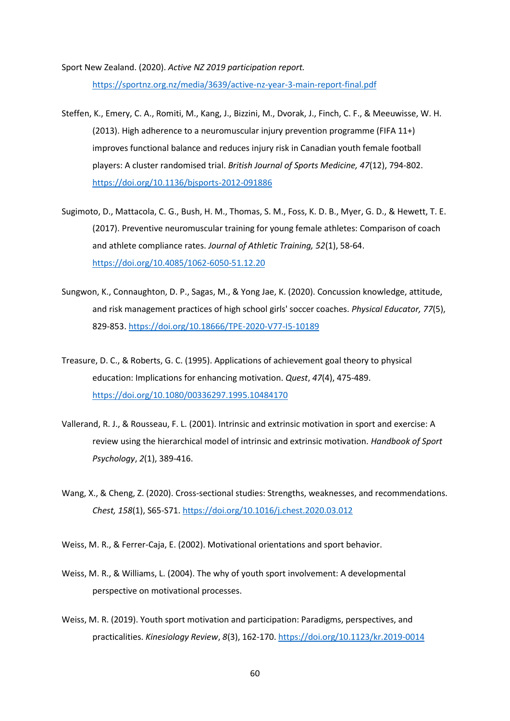Sport New Zealand. (2020). *Active NZ 2019 participation report.*  <https://sportnz.org.nz/media/3639/active-nz-year-3-main-report-final.pdf>

- Steffen, K., Emery, C. A., Romiti, M., Kang, J., Bizzini, M., Dvorak, J., Finch, C. F., & Meeuwisse, W. H. (2013). High adherence to a neuromuscular injury prevention programme (FIFA 11+) improves functional balance and reduces injury risk in Canadian youth female football players: A cluster randomised trial. *British Journal of Sports Medicine, 47*(12), 794-802. <https://doi.org/10.1136/bjsports-2012-091886>
- Sugimoto, D., Mattacola, C. G., Bush, H. M., Thomas, S. M., Foss, K. D. B., Myer, G. D., & Hewett, T. E. (2017). Preventive neuromuscular training for young female athletes: Comparison of coach and athlete compliance rates. *Journal of Athletic Training, 52*(1), 58-64. <https://doi.org/10.4085/1062-6050-51.12.20>
- Sungwon, K., Connaughton, D. P., Sagas, M., & Yong Jae, K. (2020). Concussion knowledge, attitude, and risk management practices of high school girls' soccer coaches. *Physical Educator, 77*(5), 829-853.<https://doi.org/10.18666/TPE-2020-V77-I5-10189>
- Treasure, D. C., & Roberts, G. C. (1995). Applications of achievement goal theory to physical education: Implications for enhancing motivation. *Quest*, *47*(4), 475-489. <https://doi.org/10.1080/00336297.1995.10484170>
- Vallerand, R. J., & Rousseau, F. L. (2001). Intrinsic and extrinsic motivation in sport and exercise: A review using the hierarchical model of intrinsic and extrinsic motivation. *Handbook of Sport Psychology*, *2*(1), 389-416.
- Wang, X., & Cheng, Z. (2020). Cross-sectional studies: Strengths, weaknesses, and recommendations. *Chest, 158*(1), S65-S71.<https://doi.org/10.1016/j.chest.2020.03.012>

Weiss, M. R., & Ferrer-Caja, E. (2002). Motivational orientations and sport behavior.

- Weiss, M. R., & Williams, L. (2004). The why of youth sport involvement: A developmental perspective on motivational processes.
- Weiss, M. R. (2019). Youth sport motivation and participation: Paradigms, perspectives, and practicalities. *Kinesiology Review*, *8*(3), 162-170.<https://doi.org/10.1123/kr.2019-0014>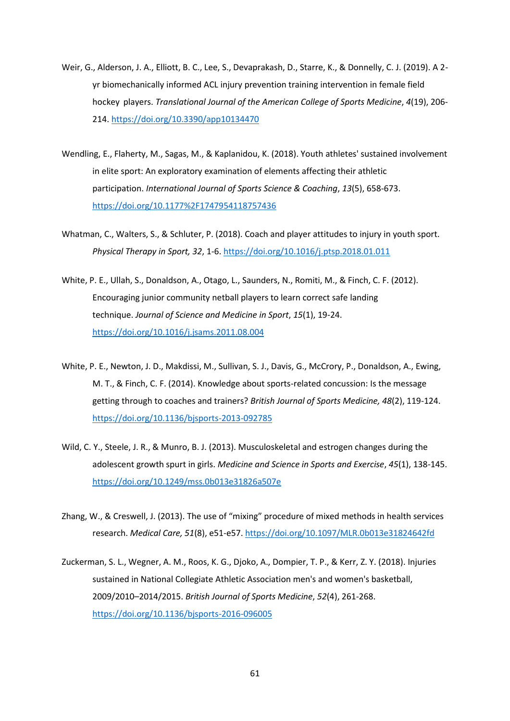- Weir, G., Alderson, J. A., Elliott, B. C., Lee, S., Devaprakash, D., Starre, K., & Donnelly, C. J. (2019). A 2 yr biomechanically informed ACL injury prevention training intervention in female field hockey players. *Translational Journal of the American College of Sports Medicine*, *4*(19), 206- 214.<https://doi.org/10.3390/app10134470>
- Wendling, E., Flaherty, M., Sagas, M., & Kaplanidou, K. (2018). Youth athletes' sustained involvement in elite sport: An exploratory examination of elements affecting their athletic participation. *International Journal of Sports Science & Coaching*, *13*(5), 658-673. <https://doi.org/10.1177%2F1747954118757436>
- Whatman, C., Walters, S., & Schluter, P. (2018). Coach and player attitudes to injury in youth sport. *Physical Therapy in Sport, 32*, 1-6.<https://doi.org/10.1016/j.ptsp.2018.01.011>
- White, P. E., Ullah, S., Donaldson, A., Otago, L., Saunders, N., Romiti, M., & Finch, C. F. (2012). Encouraging junior community netball players to learn correct safe landing technique. *Journal of Science and Medicine in Sport*, *15*(1), 19-24. <https://doi.org/10.1016/j.jsams.2011.08.004>
- White, P. E., Newton, J. D., Makdissi, M., Sullivan, S. J., Davis, G., McCrory, P., Donaldson, A., Ewing, M. T., & Finch, C. F. (2014). Knowledge about sports-related concussion: Is the message getting through to coaches and trainers? *British Journal of Sports Medicine, 48*(2), 119-124. <https://doi.org/10.1136/bjsports-2013-092785>
- Wild, C. Y., Steele, J. R., & Munro, B. J. (2013). Musculoskeletal and estrogen changes during the adolescent growth spurt in girls. *Medicine and Science in Sports and Exercise*, *45*(1), 138-145. <https://doi.org/10.1249/mss.0b013e31826a507e>
- Zhang, W., & Creswell, J. (2013). The use of "mixing" procedure of mixed methods in health services research. *Medical Care, 51*(8), e51-e57.<https://doi.org/10.1097/MLR.0b013e31824642fd>
- Zuckerman, S. L., Wegner, A. M., Roos, K. G., Djoko, A., Dompier, T. P., & Kerr, Z. Y. (2018). Injuries sustained in National Collegiate Athletic Association men's and women's basketball, 2009/2010–2014/2015. *British Journal of Sports Medicine*, *52*(4), 261-268. <https://doi.org/10.1136/bjsports-2016-096005>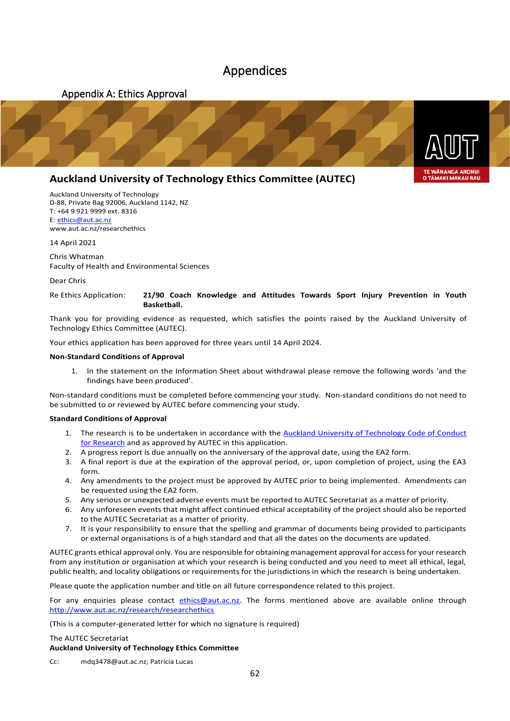### <span id="page-61-1"></span>Appendices

<span id="page-61-0"></span>

### **Auckland University of Technology Ethics Committee (AUTEC)**

Auckland University of Technology D-88, Private Bag 92006, Auckland 1142, NZ T: +64 9 921 9999 ext. 8316 E: ethics@aut.ac.nz www.aut.ac.nz/researchethics

14 April 2021

Chris Whatman Faculty of Health and Environmental Sciences

Dear Chris

#### Re Ethics Application: **21/90 Coach Knowledge and Attitudes Towards Sport Injury Prevention in Youth Basketball.**

Thank you for providing evidence as requested, which satisfies the points raised by the Auckland University of Technology Ethics Committee (AUTEC).

Your ethics application has been approved for three years until 14 April 2024.

#### **Non-Standard Conditions of Approval**

1. In the statement on the Information Sheet about withdrawal please remove the following words 'and the findings have been produced'.

Non-standard conditions must be completed before commencing your study. Non-standard conditions do not need to be submitted to or reviewed by AUTEC before commencing your study.

#### **Standard Conditions of Approval**

- 1. The research is to be undertaken in accordance with the Auckland University of Technology Code of Conduct for Research and as approved by AUTEC in this application.
- 2. A progress report is due annually on the anniversary of the approval date, using the EA2 form.
- 3. A final report is due at the expiration of the approval period, or, upon completion of project, using the EA3 form.
- 4. Any amendments to the project must be approved by AUTEC prior to being implemented. Amendments can be requested using the EA2 form.
- 5. Any serious or unexpected adverse events must be reported to AUTEC Secretariat as a matter of priority.
- 6. Any unforeseen events that might affect continued ethical acceptability of the project should also be reported to the AUTEC Secretariat as a matter of priority.
- 7. It is your responsibility to ensure that the spelling and grammar of documents being provided to participants or external organisations is of a high standard and that all the dates on the documents are updated.

AUTEC grants ethical approval only. You are responsible for obtaining management approval for access for your research from any institution or organisation at which your research is being conducted and you need to meet all ethical, legal, public health, and locality obligations or requirements for the jurisdictions in which the research is being undertaken.

Please quote the application number and title on all future correspondence related to this project.

For any enquiries please contact ethics@aut.ac.nz. The forms mentioned above are available online through http://www.aut.ac.nz/research/researchethics

(This is a computer-generated letter for which no signature is required)

#### The AUTEC Secretariat

#### **Auckland University of Technology Ethics Committee**

Cc: mdq3478@aut.ac.nz; Patricia Lucas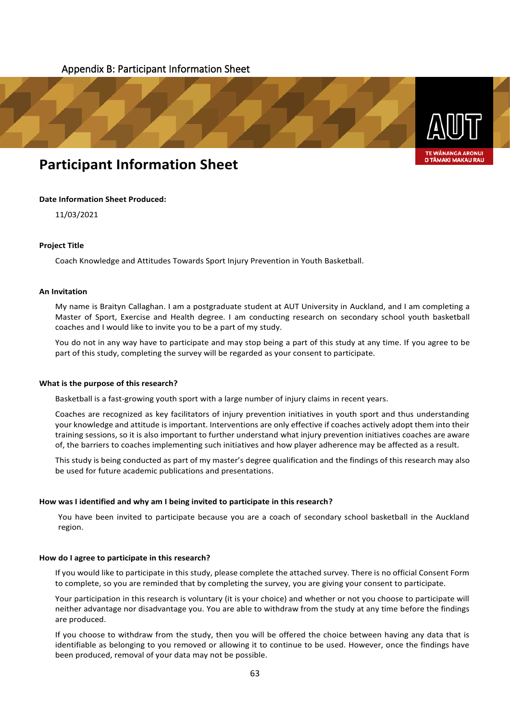#### <span id="page-62-0"></span>Appendix B: Participant Information Sheet



### **Participant Information Sheet**

#### **Date Information Sheet Produced:**

11/03/2021

#### **Project Title**

Coach Knowledge and Attitudes Towards Sport Injury Prevention in Youth Basketball.

#### **An Invitation**

My name is Braityn Callaghan. I am a postgraduate student at AUT University in Auckland, and I am completing a Master of Sport, Exercise and Health degree. I am conducting research on secondary school youth basketball coaches and I would like to invite you to be a part of my study.

You do not in any way have to participate and may stop being a part of this study at any time. If you agree to be part of this study, completing the survey will be regarded as your consent to participate.

#### **What is the purpose of this research?**

Basketball is a fast-growing youth sport with a large number of injury claims in recent years.

Coaches are recognized as key facilitators of injury prevention initiatives in youth sport and thus understanding your knowledge and attitude is important. Interventions are only effective if coaches actively adopt them into their training sessions, so it is also important to further understand what injury prevention initiatives coaches are aware of, the barriers to coaches implementing such initiatives and how player adherence may be affected as a result.

This study is being conducted as part of my master's degree qualification and the findings of this research may also be used for future academic publications and presentations.

#### **How was I identified and why am I being invited to participate in this research?**

You have been invited to participate because you are a coach of secondary school basketball in the Auckland region.

#### **How do I agree to participate in this research?**

If you would like to participate in this study, please complete the attached survey. There is no official Consent Form to complete, so you are reminded that by completing the survey, you are giving your consent to participate.

Your participation in this research is voluntary (it is your choice) and whether or not you choose to participate will neither advantage nor disadvantage you. You are able to withdraw from the study at any time before the findings are produced.

If you choose to withdraw from the study, then you will be offered the choice between having any data that is identifiable as belonging to you removed or allowing it to continue to be used. However, once the findings have been produced, removal of your data may not be possible.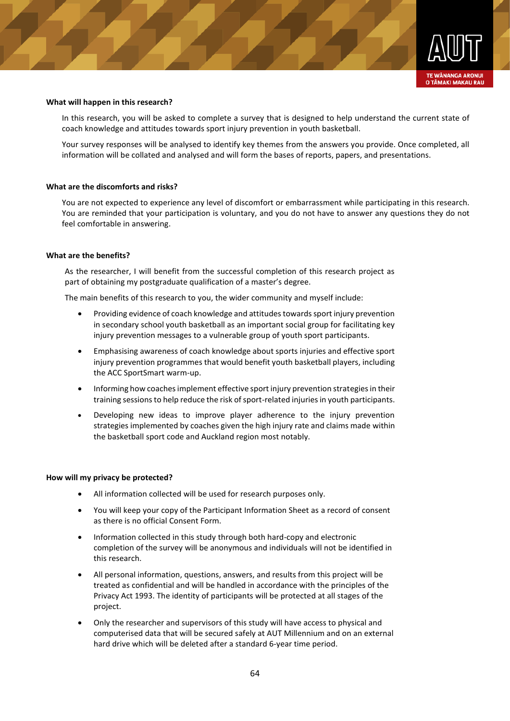

#### **What will happen in this research?**

In this research, you will be asked to complete a survey that is designed to help understand the current state of coach knowledge and attitudes towards sport injury prevention in youth basketball.

Your survey responses will be analysed to identify key themes from the answers you provide. Once completed, all information will be collated and analysed and will form the bases of reports, papers, and presentations.

#### **What are the discomforts and risks?**

You are not expected to experience any level of discomfort or embarrassment while participating in this research. You are reminded that your participation is voluntary, and you do not have to answer any questions they do not feel comfortable in answering.

#### **What are the benefits?**

As the researcher, I will benefit from the successful completion of this research project as part of obtaining my postgraduate qualification of a master's degree.

The main benefits of this research to you, the wider community and myself include:

- Providing evidence of coach knowledge and attitudes towards sport injury prevention in secondary school youth basketball as an important social group for facilitating key injury prevention messages to a vulnerable group of youth sport participants.
- Emphasising awareness of coach knowledge about sports injuries and effective sport injury prevention programmes that would benefit youth basketball players, including the ACC SportSmart warm-up.
- Informing how coaches implement effective sport injury prevention strategies in their training sessions to help reduce the risk of sport-related injuries in youth participants.
- Developing new ideas to improve player adherence to the injury prevention strategies implemented by coaches given the high injury rate and claims made within the basketball sport code and Auckland region most notably.

#### **How will my privacy be protected?**

- All information collected will be used for research purposes only.
- You will keep your copy of the Participant Information Sheet as a record of consent as there is no official Consent Form.
- Information collected in this study through both hard-copy and electronic completion of the survey will be anonymous and individuals will not be identified in this research.
- All personal information, questions, answers, and results from this project will be treated as confidential and will be handled in accordance with the principles of the Privacy Act 1993. The identity of participants will be protected at all stages of the project.
- Only the researcher and supervisors of this study will have access to physical and computerised data that will be secured safely at AUT Millennium and on an external hard drive which will be deleted after a standard 6-year time period.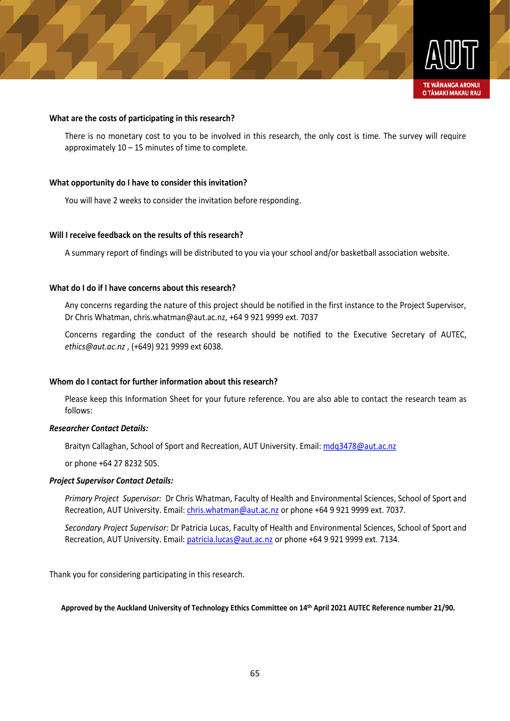

There is no monetary cost to you to be involved in this research, the only cost is time. The survey will require approximately 10 – 15 minutes of time to complete.

#### **What opportunity do I have to consider this invitation?**

You will have 2 weeks to consider the invitation before responding.

#### **Will I receive feedback on the results of this research?**

A summary report of findings will be distributed to you via your school and/or basketball association website.

#### **What do I do if I have concerns about this research?**

Any concerns regarding the nature of this project should be notified in the first instance to the Project Supervisor, Dr Chris Whatman, chris.whatman@aut.ac.nz, +64 9 921 9999 ext. 7037

Concerns regarding the conduct of the research should be notified to the Executive Secretary of AUTEC, *ethics@aut.ac.nz* , (+649) 921 9999 ext 6038.

#### **Whom do I contact for further information about this research?**

What are the costs of participating in this research?<br>
There is no monetary cost to you to be involved in the approximately 10 – 15 minutes of time to complete.<br>
What opportunity do I have to consider this invitation?<br>
You Please keep this Information Sheet for your future reference. You are also able to contact the research team as follows:

#### *Researcher Contact Details:*

Braityn Callaghan, School of Sport and Recreation, AUT University. Email: mdq3478@aut.ac.nz

or phone +64 27 8232 505.

#### *Project Supervisor Contact Details:*

*Primary Project Supervisor:* Dr Chris Whatman, Faculty of Health and Environmental Sciences, School of Sport and Recreation, AUT University. Email: chris.whatman@aut.ac.nz or phone +64 9 921 9999 ext. 7037.

*Secondary Project Supervisor:* Dr Patricia Lucas, Faculty of Health and Environmental Sciences, School of Sport and Recreation, AUT University. Email: patricia.lucas@aut.ac.nz or phone +64 9 921 9999 ext. 7134.

Thank you for considering participating in this research.

#### **Approved by the Auckland University of Technology Ethics Committee on 14th April 2021 AUTEC Reference number 21/90.**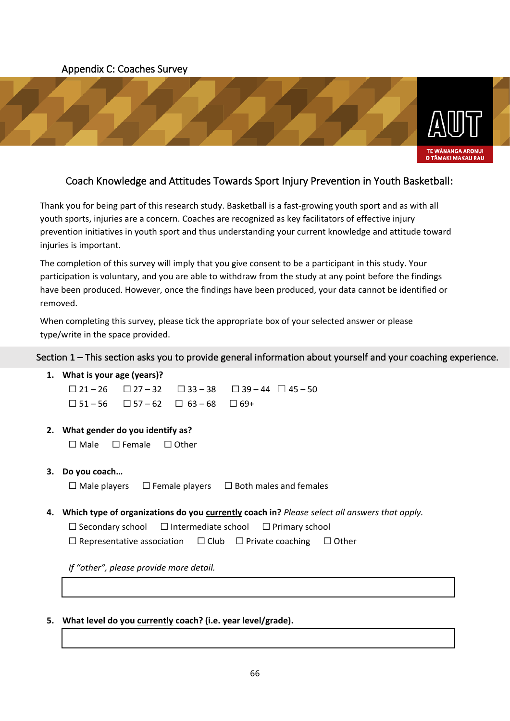#### <span id="page-65-0"></span>Appendix C: Coaches Survey



#### Coach Knowledge and Attitudes Towards Sport Injury Prevention in Youth Basketball:

Thank you for being part of this research study. Basketball is a fast-growing youth sport and as with all youth sports, injuries are a concern. Coaches are recognized as key facilitators of effective injury prevention initiatives in youth sport and thus understanding your current knowledge and attitude toward injuries is important.

The completion of this survey will imply that you give consent to be a participant in this study. Your participation is voluntary, and you are able to withdraw from the study at any point before the findings have been produced. However, once the findings have been produced, your data cannot be identified or removed.

When completing this survey, please tick the appropriate box of your selected answer or please type/write in the space provided.

#### Section 1 – This section asks you to provide general information about yourself and your coaching experience.

- **1. What is your age (years)?**   $\Box$  21 – 26  $\Box$  27 – 32  $\Box$  33 – 38  $\Box$  39 – 44  $\Box$  45 – 50  $\Box$  51 – 56  $\Box$  57 – 62  $\Box$  63 – 68  $\Box$  69+ **2. What gender do you identify as?**  ☐ Male ☐ Female ☐ Other **3. Do you coach…**   $\Box$  Male players  $\Box$  Female players  $\Box$  Both males and females **4. Which type of organizations do you currently coach in?** *Please select all answers that apply.* ☐ Secondary school ☐ Intermediate school ☐ Primary school ☐ Representative association ☐ Club ☐ Private coaching ☐ Other *If "other", please provide more detail.*
- **5. What level do you currently coach? (i.e. year level/grade).**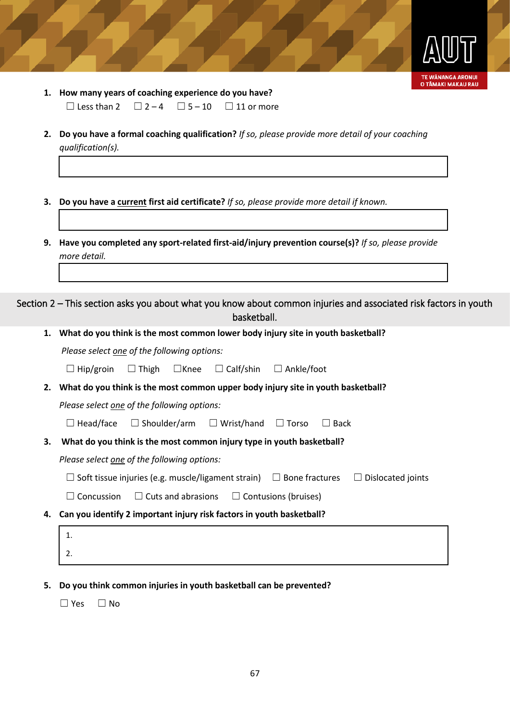

- **1. How many years of coaching experience do you have?**  $\Box$  Less than 2  $\Box$  2 – 4  $\Box$  5 – 10  $\Box$  11 or more
- **2. Do you have a formal coaching qualification?** *If so, please provide more detail of your coaching qualification(s).*
- **3. Do you have a current first aid certificate?** *If so, please provide more detail if known.*
- **9. Have you completed any sport-related first-aid/injury prevention course(s)?** *If so, please provide more detail.*

Section 2 – This section asks you about what you know about common injuries and associated risk factors in youth basketball.

**1. What do you think is the most common lower body injury site in youth basketball?**

*Please select one of the following options:*

☐ Hip/groin ☐ Thigh ☐Knee ☐ Calf/shin ☐ Ankle/foot

**2. What do you think is the most common upper body injury site in youth basketball?**

*Please select one of the following options:*

☐ Head/face ☐ Shoulder/arm ☐ Wrist/hand ☐ Torso ☐ Back

**3. What do you think is the most common injury type in youth basketball?**

*Please select one of the following options:*

| $\square$ Soft tissue injuries (e.g. muscle/ligament strain) | $\Box$ Bone fractures | $\Box$ Dislocated joints |
|--------------------------------------------------------------|-----------------------|--------------------------|
|                                                              |                       |                          |

 $\Box$  Concussion  $\Box$  Cuts and abrasions  $\Box$  Contusions (bruises)

- **4. Can you identify 2 important injury risk factors in youth basketball?**
	- 1. 2.
- **5. Do you think common injuries in youth basketball can be prevented?**

☐ Yes ☐ No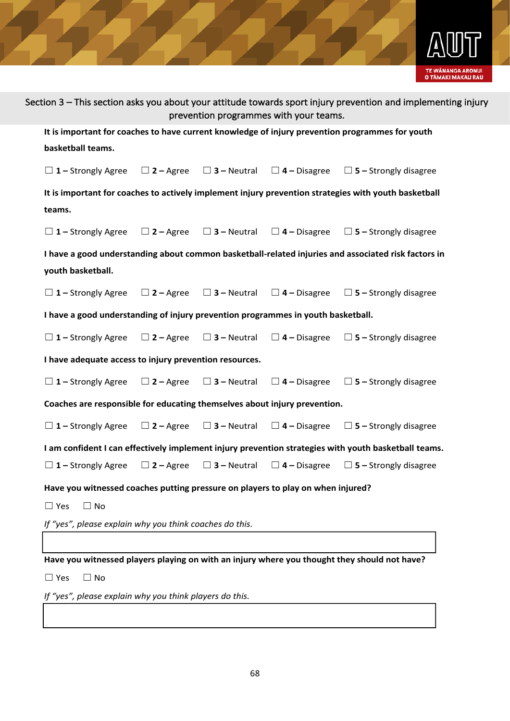

|                                                                                  |                  |                       | prevention programmes with your teams. | Section 3 – This section asks you about your attitude towards sport injury prevention and implementing injury |
|----------------------------------------------------------------------------------|------------------|-----------------------|----------------------------------------|---------------------------------------------------------------------------------------------------------------|
|                                                                                  |                  |                       |                                        | It is important for coaches to have current knowledge of injury prevention programmes for youth               |
| basketball teams.                                                                |                  |                       |                                        |                                                                                                               |
| $\Box$ 1 – Strongly Agree                                                        | $\Box$ 2 – Agree | $\square$ 3 – Neutral |                                        | $\Box$ 4 – Disagree $\Box$ 5 – Strongly disagree                                                              |
|                                                                                  |                  |                       |                                        | It is important for coaches to actively implement injury prevention strategies with youth basketball          |
| teams.                                                                           |                  |                       |                                        |                                                                                                               |
| $\Box$ 1 – Strongly Agree                                                        | $\Box$ 2 – Agree | $\square$ 3 – Neutral | $\square$ 4 – Disagree                 | $\Box$ 5 – Strongly disagree                                                                                  |
|                                                                                  |                  |                       |                                        | I have a good understanding about common basketball-related injuries and associated risk factors in           |
| youth basketball.                                                                |                  |                       |                                        |                                                                                                               |
| $\Box$ 1 – Strongly Agree                                                        | $\Box$ 2 – Agree | $\Box$ 3 – Neutral    | $\square$ 4 – Disagree                 | $\Box$ 5 – Strongly disagree                                                                                  |
| I have a good understanding of injury prevention programmes in youth basketball. |                  |                       |                                        |                                                                                                               |
| $\Box$ 1 – Strongly Agree                                                        | $\Box$ 2 – Agree | $\square$ 3 – Neutral | $\square$ 4 – Disagree                 | $\Box$ 5 – Strongly disagree                                                                                  |
| I have adequate access to injury prevention resources.                           |                  |                       |                                        |                                                                                                               |
| $\Box$ 1 – Strongly Agree                                                        | $\Box$ 2 – Agree | $\square$ 3 – Neutral | $\square$ 4 – Disagree                 | $\Box$ 5 – Strongly disagree                                                                                  |
| Coaches are responsible for educating themselves about injury prevention.        |                  |                       |                                        |                                                                                                               |
| $\Box$ 1 – Strongly Agree                                                        | $\Box$ 2 – Agree | $\square$ 3 – Neutral | $\Box$ 4 – Disagree                    | $\Box$ 5 – Strongly disagree                                                                                  |
|                                                                                  |                  |                       |                                        | I am confident I can effectively implement injury prevention strategies with youth basketball teams.          |
| $\Box$ 1 – Strongly Agree                                                        | $\Box$ 2 – Agree | $\Box$ 3 – Neutral    | $\Box$ 4 – Disagree                    | $\Box$ 5 – Strongly disagree                                                                                  |
| Have you witnessed coaches putting pressure on players to play on when injured?  |                  |                       |                                        |                                                                                                               |
| $\Box$ Yes<br>$\Box$ No                                                          |                  |                       |                                        |                                                                                                               |
| If "yes", please explain why you think coaches do this.                          |                  |                       |                                        |                                                                                                               |
|                                                                                  |                  |                       |                                        |                                                                                                               |
|                                                                                  |                  |                       |                                        | Have you witnessed players playing on with an injury where you thought they should not have?                  |
| $\Box$ Yes<br>$\Box$ No                                                          |                  |                       |                                        |                                                                                                               |
| If "yes", please explain why you think players do this.                          |                  |                       |                                        |                                                                                                               |
|                                                                                  |                  |                       |                                        |                                                                                                               |
|                                                                                  |                  |                       |                                        |                                                                                                               |
|                                                                                  |                  |                       |                                        |                                                                                                               |
|                                                                                  |                  | 68                    |                                        |                                                                                                               |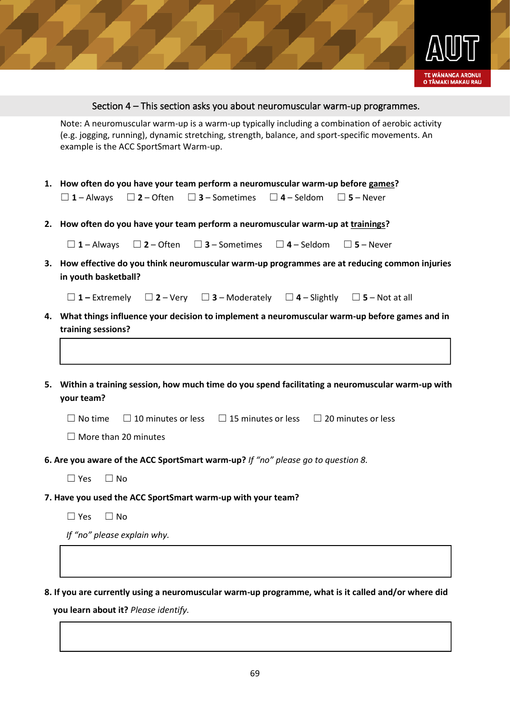

#### Section 4 – This section asks you about neuromuscular warm-up programmes.

Note: A neuromuscular warm-up is a warm-up hypically including a combination of actobic activity<br>Re.g. Joggleg, running), dynamic stretching, strength, balance, and sport-specific movements. An<br>example is the ACC SportSmar (e.g. jogging, running), dynamic stretching, strength, balance, and sport-specific movements. An example is the ACC SportSmart Warm-up.

- **1. How often do you have your team perform a neuromuscular warm-up before games?** ☐ **<sup>1</sup>** – Always ☐ **<sup>2</sup>** – Often ☐ **3** – Sometimes ☐ **<sup>4</sup>**– Seldom ☐ **<sup>5</sup>** – Never
- **2. How often do you have your team perform a neuromuscular warm-up at trainings?**

☐ **<sup>1</sup>** – Always ☐ **<sup>2</sup>** – Often ☐ **3** – Sometimes ☐ **<sup>4</sup>**– Seldom ☐ **<sup>5</sup>** – Never

**3. How effective do you think neuromuscular warm-up programmes are at reducing common injuries in youth basketball?**

☐ **<sup>1</sup>–** Extremely ☐ **<sup>2</sup>** – Very ☐ **3** – Moderately ☐ **<sup>4</sup>**– Slightly ☐ **<sup>5</sup>** – Not at all

- **4. What things influence your decision to implement a neuromuscular warm-up before games and in training sessions?**
- **5. Within a training session, how much time do you spend facilitating a neuromuscular warm-up with your team?**

 $\Box$  No time  $\Box$  10 minutes or less  $\Box$  15 minutes or less  $\Box$  20 minutes or less

- ☐ More than 20 minutes
- **6. Are you aware of the ACC SportSmart warm-up?** *If "no" please go to question 8.* 
	- $\Box$  Yes  $\Box$  No
- **7. Have you used the ACC SportSmart warm-up with your team?**
	- ☐ Yes ☐ No

*If "no" please explain why.*

**8. If you are currently using a neuromuscular warm-up programme, what is it called and/or where did** 

 **you learn about it?** *Please identify.*